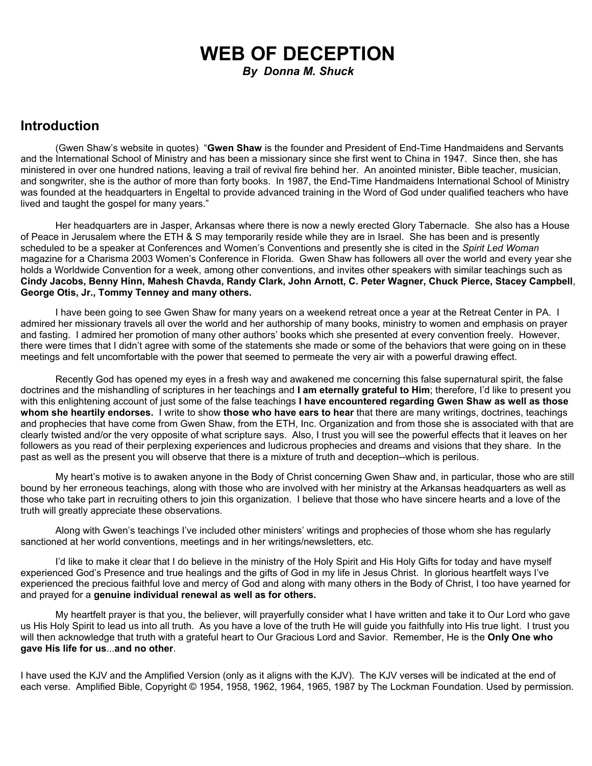# **WEB OF DECEPTION**

*By Donna M. Shuck* 

# **Introduction**

 (Gwen Shaw's website in quotes) "**Gwen Shaw** is the founder and President of End-Time Handmaidens and Servants and the International School of Ministry and has been a missionary since she first went to China in 1947. Since then, she has ministered in over one hundred nations, leaving a trail of revival fire behind her. An anointed minister, Bible teacher, musician, and songwriter, she is the author of more than forty books. In 1987, the End-Time Handmaidens International School of Ministry was founded at the headquarters in Engeltal to provide advanced training in the Word of God under qualified teachers who have lived and taught the gospel for many years."

 Her headquarters are in Jasper, Arkansas where there is now a newly erected Glory Tabernacle. She also has a House of Peace in Jerusalem where the ETH & S may temporarily reside while they are in Israel. She has been and is presently scheduled to be a speaker at Conferences and Women's Conventions and presently she is cited in the *Spirit Led Woman* magazine for a Charisma 2003 Women's Conference in Florida. Gwen Shaw has followers all over the world and every year she holds a Worldwide Convention for a week, among other conventions, and invites other speakers with similar teachings such as **Cindy Jacobs, Benny Hinn, Mahesh Chavda, Randy Clark, John Arnott, C. Peter Wagner, Chuck Pierce, Stacey Campbell**, **George Otis, Jr., Tommy Tenney and many others.** 

 I have been going to see Gwen Shaw for many years on a weekend retreat once a year at the Retreat Center in PA. I admired her missionary travels all over the world and her authorship of many books, ministry to women and emphasis on prayer and fasting. I admired her promotion of many other authors' books which she presented at every convention freely. However, there were times that I didn't agree with some of the statements she made or some of the behaviors that were going on in these meetings and felt uncomfortable with the power that seemed to permeate the very air with a powerful drawing effect.

Recently God has opened my eyes in a fresh way and awakened me concerning this false supernatural spirit, the false doctrines and the mishandling of scriptures in her teachings and **I am eternally grateful to Him**; therefore, I'd like to present you with this enlightening account of just some of the false teachings **I have encountered regarding Gwen Shaw as well as those whom she heartily endorses.** I write to show **those who have ears to hear** that there are many writings, doctrines, teachings and prophecies that have come from Gwen Shaw, from the ETH, Inc. Organization and from those she is associated with that are clearly twisted and/or the very opposite of what scripture says. Also, I trust you will see the powerful effects that it leaves on her followers as you read of their perplexing experiences and ludicrous prophecies and dreams and visions that they share. In the past as well as the present you will observe that there is a mixture of truth and deception--which is perilous.

 My heart's motive is to awaken anyone in the Body of Christ concerning Gwen Shaw and, in particular, those who are still bound by her erroneous teachings, along with those who are involved with her ministry at the Arkansas headquarters as well as those who take part in recruiting others to join this organization. I believe that those who have sincere hearts and a love of the truth will greatly appreciate these observations.

 Along with Gwen's teachings I've included other ministers' writings and prophecies of those whom she has regularly sanctioned at her world conventions, meetings and in her writings/newsletters, etc.

I'd like to make it clear that I do believe in the ministry of the Holy Spirit and His Holy Gifts for today and have myself experienced God's Presence and true healings and the gifts of God in my life in Jesus Christ. In glorious heartfelt ways I've experienced the precious faithful love and mercy of God and along with many others in the Body of Christ, I too have yearned for and prayed for a **genuine individual renewal as well as for others.** 

 My heartfelt prayer is that you, the believer, will prayerfully consider what I have written and take it to Our Lord who gave us His Holy Spirit to lead us into all truth. As you have a love of the truth He will guide you faithfully into His true light. I trust you will then acknowledge that truth with a grateful heart to Our Gracious Lord and Savior. Remember, He is the **Only One who gave His life for us**...**and no other**.

I have used the KJV and the Amplified Version (only as it aligns with the KJV). The KJV verses will be indicated at the end of each verse. Amplified Bible, Copyright © 1954, 1958, 1962, 1964, 1965, 1987 by The Lockman Foundation. Used by permission.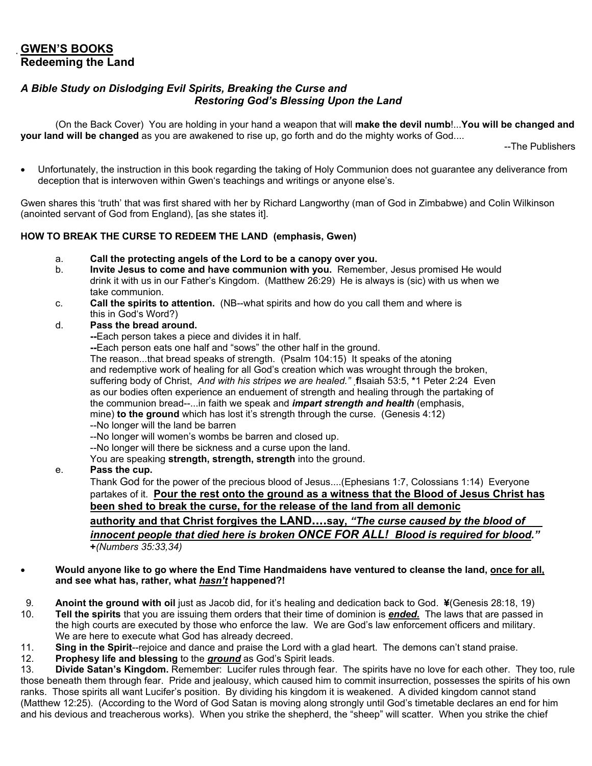# *A Bible Study on Dislodging Evil Spirits, Breaking the Curse and Restoring God's Blessing Upon the Land*

 (On the Back Cover) You are holding in your hand a weapon that will **make the devil numb**!...**You will be changed and your land will be changed** as you are awakened to rise up, go forth and do the mighty works of God....

--The Publishers

• Unfortunately, the instruction in this book regarding the taking of Holy Communion does not guarantee any deliverance from deception that is interwoven within Gwen's teachings and writings or anyone else's.

Gwen shares this 'truth' that was first shared with her by Richard Langworthy (man of God in Zimbabwe) and Colin Wilkinson (anointed servant of God from England), [as she states it].

# **HOW TO BREAK THE CURSE TO REDEEM THE LAND (emphasis, Gwen)**

- a. **Call the protecting angels of the Lord to be a canopy over you.**
- b. **Invite Jesus to come and have communion with you.** Remember, Jesus promised He would drink it with us in our Father's Kingdom. (Matthew 26:29) He is always is (sic) with us when we take communion.
- c. **Call the spirits to attention.** (NB--what spirits and how do you call them and where is this in God's Word?)

# d. **Pass the bread around.**

- **--**Each person takes a piece and divides it in half.
- **--**Each person eats one half and "sows" the other half in the ground.

 The reason...that bread speaks of strength. (Psalm 104:15) It speaks of the atoning and redemptive work of healing for all God's creation which was wrought through the broken, suffering body of Christ, *And with his stripes we are healed."* **f**Isaiah 53:5, **\***1 Peter 2:24 Even as our bodies often experience an enduement of strength and healing through the partaking of the communion bread--...in faith we speak and *impart strength and health* (emphasis, mine) **to the ground** which has lost it's strength through the curse. (Genesis 4:12)

- - --No longer will the land be barren
	- --No longer will women's wombs be barren and closed up.
	- --No longer will there be sickness and a curse upon the land.
	- You are speaking **strength, strength, strength** into the ground.

# e. **Pass the cup.**

 Thank God for the power of the precious blood of Jesus....(Ephesians 1:7, Colossians 1:14) Everyone partakes of it. **Pour the rest onto the ground as a witness that the Blood of Jesus Christ has been shed to break the curse, for the release of the land from all demonic** 

# **authority and that Christ forgives the LAND....say,** *"The curse caused by the blood of innocent people that died here is broken ONCE FOR ALL! Blood is required for blood."* **+***(Numbers 35:33,34)*

# • **Would anyone like to go where the End Time Handmaidens have ventured to cleanse the land, once for all, and see what has, rather, what** *hasn't* **happened?!**

- 9*.* **Anoint the ground with oil** just as Jacob did, for it's healing and dedication back to God. **¥**(Genesis 28:18, 19)
- 10. **Tell the spirits** that you are issuing them orders that their time of dominion is *ended.* The laws that are passed in the high courts are executed by those who enforce the law. We are God's law enforcement officers and military. We are here to execute what God has already decreed.
- 11. **Sing in the Spirit**--rejoice and dance and praise the Lord with a glad heart. The demons can't stand praise.
- 12. **Prophesy life and blessing** to the *ground* as God's Spirit leads.

13. **Divide Satan's Kingdom.** Remember: Lucifer rules through fear. The spirits have no love for each other. They too, rule those beneath them through fear. Pride and jealousy, which caused him to commit insurrection, possesses the spirits of his own ranks. Those spirits all want Lucifer's position. By dividing his kingdom it is weakened. A divided kingdom cannot stand (Matthew 12:25). (According to the Word of God Satan is moving along strongly until God's timetable declares an end for him and his devious and treacherous works). When you strike the shepherd, the "sheep" will scatter. When you strike the chief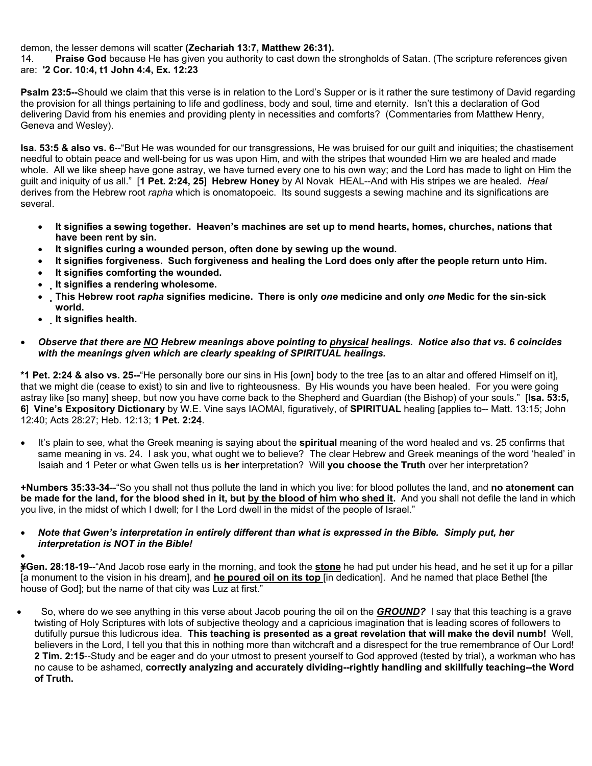demon, the lesser demons will scatter **(Zechariah 13:7, Matthew 26:31).**

14. **Praise God** because He has given you authority to cast down the strongholds of Satan. (The scripture references given are: **'2 Cor. 10:4, t1 John 4:4, Ex. 12:23** 

**Psalm 23:5--**Should we claim that this verse is in relation to the Lord's Supper or is it rather the sure testimony of David regarding the provision for all things pertaining to life and godliness, body and soul, time and eternity. Isn't this a declaration of God delivering David from his enemies and providing plenty in necessities and comforts? (Commentaries from Matthew Henry, Geneva and Wesley).

**Isa. 53:5 & also vs. 6**--"But He was wounded for our transgressions, He was bruised for our guilt and iniquities; the chastisement needful to obtain peace and well-being for us was upon Him, and with the stripes that wounded Him we are healed and made whole. All we like sheep have gone astray, we have turned every one to his own way; and the Lord has made to light on Him the guilt and iniquity of us all." [**1 Pet. 2:24, 25**] **Hebrew Honey** by Al Novak HEAL--And with His stripes we are healed. *Heal* derives from the Hebrew root *rapha* which is onomatopoeic. Its sound suggests a sewing machine and its significations are several.

- **It signifies a sewing together. Heaven's machines are set up to mend hearts, homes, churches, nations that have been rent by sin.**
- **It signifies curing a wounded person, often done by sewing up the wound.**
- **It signifies forgiveness. Such forgiveness and healing the Lord does only after the people return unto Him.**
- **It signifies comforting the wounded.**
- **It signifies a rendering wholesome.**
- **This Hebrew root** *rapha* **signifies medicine. There is only** *one* **medicine and only** *one* **Medic for the sin-sick world.**
- **It signifies health.**

# • *Observe that there are NO Hebrew meanings above pointing to physical healings. Notice also that vs. 6 coincides with the meanings given which are clearly speaking of SPIRITUAL healings.*

**\*1 Pet. 2:24 & also vs. 25--**"He personally bore our sins in His [own] body to the tree [as to an altar and offered Himself on it], that we might die (cease to exist) to sin and live to righteousness. By His wounds you have been healed. For you were going astray like [so many] sheep, but now you have come back to the Shepherd and Guardian (the Bishop) of your souls." [**Isa. 53:5, 6**] **Vine's Expository Dictionary** by W.E. Vine says IAOMAI, figuratively, of **SPIRITUAL** healing [applies to-- Matt. 13:15; John 12:40; Acts 28:27; Heb. 12:13; **1 Pet. 2:24**.

• It's plain to see, what the Greek meaning is saying about the **spiritual** meaning of the word healed and vs. 25 confirms that same meaning in vs. 24. I ask you, what ought we to believe? The clear Hebrew and Greek meanings of the word 'healed' in Isaiah and 1 Peter or what Gwen tells us is **her** interpretation? Will **you choose the Truth** over her interpretation?

**+Numbers 35:33-34**--"So you shall not thus pollute the land in which you live: for blood pollutes the land, and **no atonement can be made for the land, for the blood shed in it, but by the blood of him who shed it.** And you shall not defile the land in which you live, in the midst of which I dwell; for I the Lord dwell in the midst of the people of Israel."

# • *Note that Gwen's interpretation in entirely different than what is expressed in the Bible. Simply put, her interpretation is NOT in the Bible!*

• **¥Gen. 28:18-19**--"And Jacob rose early in the morning, and took the **stone** he had put under his head, and he set it up for a pillar [a monument to the vision in his dream], and **he poured oil on its top** [in dedication]. And he named that place Bethel [the house of God]; but the name of that city was Luz at first."

• So, where do we see anything in this verse about Jacob pouring the oil on the *GROUND?* I say that this teaching is a grave twisting of Holy Scriptures with lots of subjective theology and a capricious imagination that is leading scores of followers to dutifully pursue this ludicrous idea. **This teaching is presented as a great revelation that will make the devil numb!** Well, believers in the Lord, I tell you that this in nothing more than witchcraft and a disrespect for the true remembrance of Our Lord! **2 Tim. 2:15**--Study and be eager and do your utmost to present yourself to God approved (tested by trial), a workman who has no cause to be ashamed, **correctly analyzing and accurately dividing--rightly handling and skillfully teaching--the Word of Truth.**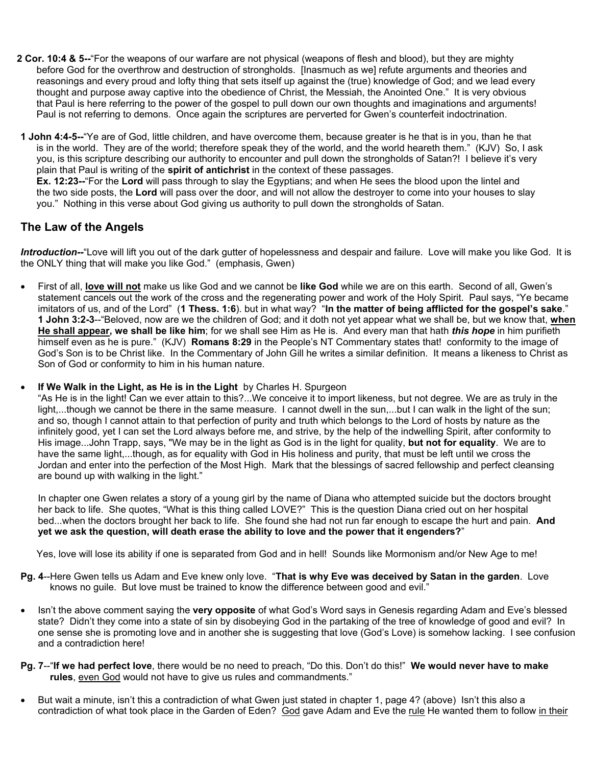**2 Cor. 10:4 & 5--**"For the weapons of our warfare are not physical (weapons of flesh and blood), but they are mighty before God for the overthrow and destruction of strongholds. [Inasmuch as we] refute arguments and theories and reasonings and every proud and lofty thing that sets itself up against the (true) knowledge of God; and we lead every thought and purpose away captive into the obedience of Christ, the Messiah, the Anointed One." It is very obvious that Paul is here referring to the power of the gospel to pull down our own thoughts and imaginations and arguments! Paul is not referring to demons. Once again the scriptures are perverted for Gwen's counterfeit indoctrination.

**1 John 4:4-5--**"Ye are of God, little children, and have overcome them, because greater is he that is in you, than he that is in the world. They are of the world; therefore speak they of the world, and the world heareth them." (KJV) So, I ask you, is this scripture describing our authority to encounter and pull down the strongholds of Satan?! I believe it's very plain that Paul is writing of the **spirit of antichrist** in the context of these passages.

 **Ex. 12:23--**"For the **Lord** will pass through to slay the Egyptians; and when He sees the blood upon the lintel and the two side posts, the **Lord** will pass over the door, and will not allow the destroyer to come into your houses to slay you." Nothing in this verse about God giving us authority to pull down the strongholds of Satan.

# **The Law of the Angels**

*Introduction--*"Love will lift you out of the dark gutter of hopelessness and despair and failure. Love will make you like God. It is the ONLY thing that will make you like God." (emphasis, Gwen)

- First of all, **love will not** make us like God and we cannot be **like God** while we are on this earth. Second of all, Gwen's statement cancels out the work of the cross and the regenerating power and work of the Holy Spirit. Paul says, "Ye became imitators of us, and of the Lord" (**1 Thess. 1:6**). but in what way? "**In the matter of being afflicted for the gospel's sake**." **1 John 3:2-3**--"Beloved, now are we the children of God; and it doth not yet appear what we shall be, but we know that, **when He shall appear, we shall be like him**; for we shall see Him as He is. And every man that hath *this hope* in him purifieth himself even as he is pure." (KJV) **Romans 8:29** in the People's NT Commentary states that! conformity to the image of God's Son is to be Christ like. In the Commentary of John Gill he writes a similar definition. It means a likeness to Christ as Son of God or conformity to him in his human nature.
- **If We Walk in the Light, as He is in the Light** by Charles H. Spurgeon

"As He is in the light! Can we ever attain to this?...We conceive it to import likeness, but not degree. We are as truly in the light,...though we cannot be there in the same measure. I cannot dwell in the sun,...but I can walk in the light of the sun; and so, though I cannot attain to that perfection of purity and truth which belongs to the Lord of hosts by nature as the infinitely good, yet I can set the Lord always before me, and strive, by the help of the indwelling Spirit, after conformity to His image...John Trapp, says, "We may be in the light as God is in the light for quality, **but not for equality**. We are to have the same light,...though, as for equality with God in His holiness and purity, that must be left until we cross the Jordan and enter into the perfection of the Most High. Mark that the blessings of sacred fellowship and perfect cleansing are bound up with walking in the light."

In chapter one Gwen relates a story of a young girl by the name of Diana who attempted suicide but the doctors brought her back to life. She quotes, "What is this thing called LOVE?" This is the question Diana cried out on her hospital bed...when the doctors brought her back to life. She found she had not run far enough to escape the hurt and pain. **And yet we ask the question, will death erase the ability to love and the power that it engenders?**"

Yes, love will lose its ability if one is separated from God and in hell! Sounds like Mormonism and/or New Age to me!

- **Pg. 4**--Here Gwen tells us Adam and Eve knew only love. "**That is why Eve was deceived by Satan in the garden**. Love knows no guile. But love must be trained to know the difference between good and evil."
- Isn't the above comment saying the **very opposite** of what God's Word says in Genesis regarding Adam and Eve's blessed state? Didn't they come into a state of sin by disobeying God in the partaking of the tree of knowledge of good and evil? In one sense she is promoting love and in another she is suggesting that love (God's Love) is somehow lacking. I see confusion and a contradiction here!
- **Pg. 7**--"**If we had perfect love**, there would be no need to preach, "Do this. Don't do this!" **We would never have to make rules**, even God would not have to give us rules and commandments."
- But wait a minute, isn't this a contradiction of what Gwen just stated in chapter 1, page 4? (above) Isn't this also a contradiction of what took place in the Garden of Eden? God gave Adam and Eve the rule He wanted them to follow in their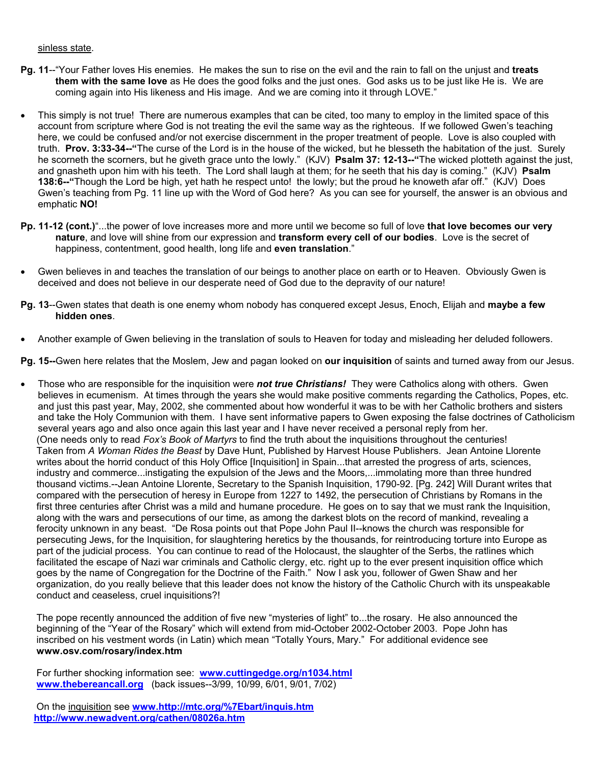#### sinless state.

- **Pg. 11**--"Your Father loves His enemies. He makes the sun to rise on the evil and the rain to fall on the unjust and **treats them with the same love** as He does the good folks and the just ones. God asks us to be just like He is. We are coming again into His likeness and His image. And we are coming into it through LOVE."
- This simply is not true! There are numerous examples that can be cited, too many to employ in the limited space of this account from scripture where God is not treating the evil the same way as the righteous. If we followed Gwen's teaching here, we could be confused and/or not exercise discernment in the proper treatment of people. Love is also coupled with truth. **Prov. 3:33-34--"**The curse of the Lord is in the house of the wicked, but he blesseth the habitation of the just. Surely he scorneth the scorners, but he giveth grace unto the lowly." (KJV) **Psalm 37: 12-13--"**The wicked plotteth against the just, and gnasheth upon him with his teeth. The Lord shall laugh at them; for he seeth that his day is coming." (KJV) **Psalm 138:6--"**Though the Lord be high, yet hath he respect unto! the lowly; but the proud he knoweth afar off." (KJV) Does Gwen's teaching from Pg. 11 line up with the Word of God here? As you can see for yourself, the answer is an obvious and emphatic **NO!**
- **Pp. 11-12 (cont.)**"...the power of love increases more and more until we become so full of love **that love becomes our very nature**, and love will shine from our expression and **transform every cell of our bodies**. Love is the secret of happiness, contentment, good health, long life and **even translation**."
- Gwen believes in and teaches the translation of our beings to another place on earth or to Heaven. Obviously Gwen is deceived and does not believe in our desperate need of God due to the depravity of our nature!
- **Pg. 13**--Gwen states that death is one enemy whom nobody has conquered except Jesus, Enoch, Elijah and **maybe a few hidden ones**.
- Another example of Gwen believing in the translation of souls to Heaven for today and misleading her deluded followers.

**Pg. 15--**Gwen here relates that the Moslem, Jew and pagan looked on **our inquisition** of saints and turned away from our Jesus.

• Those who are responsible for the inquisition were *not true Christians!* They were Catholics along with others. Gwen believes in ecumenism. At times through the years she would make positive comments regarding the Catholics, Popes, etc. and just this past year, May, 2002, she commented about how wonderful it was to be with her Catholic brothers and sisters and take the Holy Communion with them. I have sent informative papers to Gwen exposing the false doctrines of Catholicism several years ago and also once again this last year and I have never received a personal reply from her. (One needs only to read *Fox's Book of Martyrs* to find the truth about the inquisitions throughout the centuries! Taken from *A Woman Rides the Beast* by Dave Hunt, Published by Harvest House Publishers. Jean Antoine Llorente writes about the horrid conduct of this Holy Office [Inquisition] in Spain...that arrested the progress of arts, sciences, industry and commerce...instigating the expulsion of the Jews and the Moors,...immolating more than three hundred thousand victims.--Jean Antoine Llorente, Secretary to the Spanish Inquisition, 1790-92. [Pg. 242] Will Durant writes that compared with the persecution of heresy in Europe from 1227 to 1492, the persecution of Christians by Romans in the first three centuries after Christ was a mild and humane procedure. He goes on to say that we must rank the Inquisition, along with the wars and persecutions of our time, as among the darkest blots on the record of mankind, revealing a ferocity unknown in any beast. "De Rosa points out that Pope John Paul II--knows the church was responsible for persecuting Jews, for the Inquisition, for slaughtering heretics by the thousands, for reintroducing torture into Europe as part of the judicial process. You can continue to read of the Holocaust, the slaughter of the Serbs, the ratlines which facilitated the escape of Nazi war criminals and Catholic clergy, etc. right up to the ever present inquisition office which goes by the name of Congregation for the Doctrine of the Faith." Now I ask you, follower of Gwen Shaw and her organization, do you really believe that this leader does not know the history of the Catholic Church with its unspeakable conduct and ceaseless, cruel inquisitions?!

 The pope recently announced the addition of five new "mysteries of light" to...the rosary. He also announced the beginning of the "Year of the Rosary" which will extend from mid-October 2002-October 2003. Pope John has inscribed on his vestment words (in Latin) which mean "Totally Yours, Mary." For additional evidence see **www.osv.com/rosary/index.htm** 

For further shocking information see: **[www.cuttingedge.org/n1034.html](http://www.cuttingedge.org/n1034.html) [www.thebereancall.org](http://www.thebereancall.org/)** (back issues--3/99, 10/99, 6/01, 9/01, 7/02)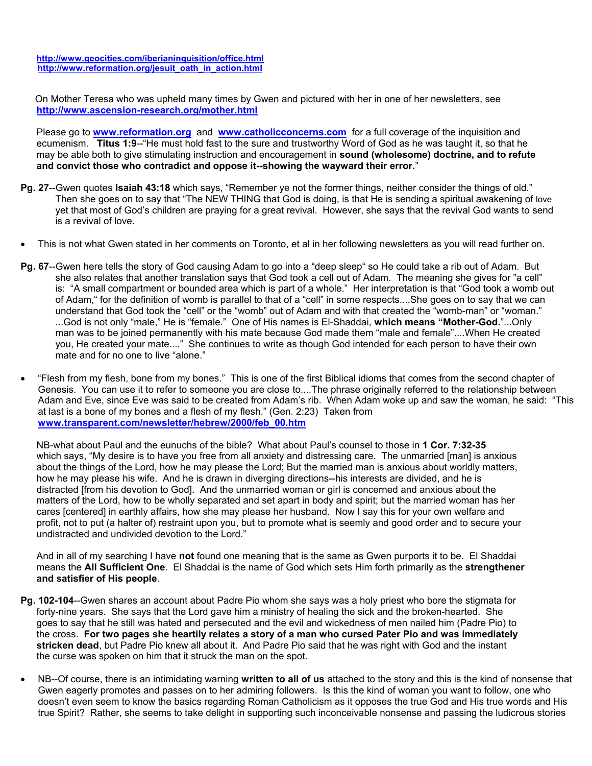**<http://www.geocities.com/iberianinquisition/office.html> [http://www.reformation.org/jesuit\\_oath\\_in\\_action.html](http://www.reformation.org/jesuit_oath_in_action.html)**

On Mother Teresa who was upheld many times by Gwen and pictured with her in one of her newsletters, see  **<http://www.ascension-research.org/mother.html>**

Please go to **[www.reformation.org](http://www.reformation.org/)** and **[www.catholicconcerns.com](http://www.catholicconcerns.com/)** for a full coverage of the inquisition and ecumenism. **Titus 1:9**--"He must hold fast to the sure and trustworthy Word of God as he was taught it, so that he may be able both to give stimulating instruction and encouragement in **sound (wholesome) doctrine, and to refute and convict those who contradict and oppose it--showing the wayward their error.**"

- **Pg. 27**--Gwen quotes **Isaiah 43:18** which says, "Remember ye not the former things, neither consider the things of old." Then she goes on to say that "The NEW THING that God is doing, is that He is sending a spiritual awakening of love yet that most of God's children are praying for a great revival. However, she says that the revival God wants to send is a revival of love.
- This is not what Gwen stated in her comments on Toronto, et al in her following newsletters as you will read further on.
- **Pg. 67**--Gwen here tells the story of God causing Adam to go into a "deep sleep" so He could take a rib out of Adam. But she also relates that another translation says that God took a cell out of Adam. The meaning she gives for "a cell" is: "A small compartment or bounded area which is part of a whole." Her interpretation is that "God took a womb out of Adam," for the definition of womb is parallel to that of a "cell" in some respects....She goes on to say that we can understand that God took the "cell" or the "womb" out of Adam and with that created the "womb-man" or "woman." ...God is not only "male," He is "female." One of His names is El-Shaddai, **which means "Mother-God.**"...Only man was to be joined permanently with his mate because God made them "male and female"....When He created you, He created your mate...." She continues to write as though God intended for each person to have their own mate and for no one to live "alone."
- "Flesh from my flesh, bone from my bones." This is one of the first Biblical idioms that comes from the second chapter of Genesis. You can use it to refer to someone you are close to....The phrase originally referred to the relationship between Adam and Eve, since Eve was said to be created from Adam's rib. When Adam woke up and saw the woman, he said: "This at last is a bone of my bones and a flesh of my flesh." (Gen. 2:23) Taken from **[www.transparent.com/newsletter/hebrew/2000/feb\\_00.htm](http://www.transparent.com/newsletter/hebrew/2000/feb_00.htm)**

NB-what about Paul and the eunuchs of the bible? What about Paul's counsel to those in **1 Cor. 7:32-35**  which says, "My desire is to have you free from all anxiety and distressing care. The unmarried [man] is anxious about the things of the Lord, how he may please the Lord; But the married man is anxious about worldly matters, how he may please his wife. And he is drawn in diverging directions--his interests are divided, and he is distracted [from his devotion to God]. And the unmarried woman or girl is concerned and anxious about the matters of the Lord, how to be wholly separated and set apart in body and spirit; but the married woman has her cares [centered] in earthly affairs, how she may please her husband. Now I say this for your own welfare and profit, not to put (a halter of) restraint upon you, but to promote what is seemly and good order and to secure your undistracted and undivided devotion to the Lord."

 And in all of my searching I have **not** found one meaning that is the same as Gwen purports it to be. El Shaddai means the **All Sufficient One**. El Shaddai is the name of God which sets Him forth primarily as the **strengthener and satisfier of His people**.

- **Pg. 102-104**--Gwen shares an account about Padre Pio whom she says was a holy priest who bore the stigmata for forty-nine years. She says that the Lord gave him a ministry of healing the sick and the broken-hearted. She goes to say that he still was hated and persecuted and the evil and wickedness of men nailed him (Padre Pio) to the cross. **For two pages she heartily relates a story of a man who cursed Pater Pio and was immediately stricken dead**, but Padre Pio knew all about it. And Padre Pio said that he was right with God and the instant the curse was spoken on him that it struck the man on the spot.
- NB--Of course, there is an intimidating warning **written to all of us** attached to the story and this is the kind of nonsense that Gwen eagerly promotes and passes on to her admiring followers. Is this the kind of woman you want to follow, one who doesn't even seem to know the basics regarding Roman Catholicism as it opposes the true God and His true words and His true Spirit? Rather, she seems to take delight in supporting such inconceivable nonsense and passing the ludicrous stories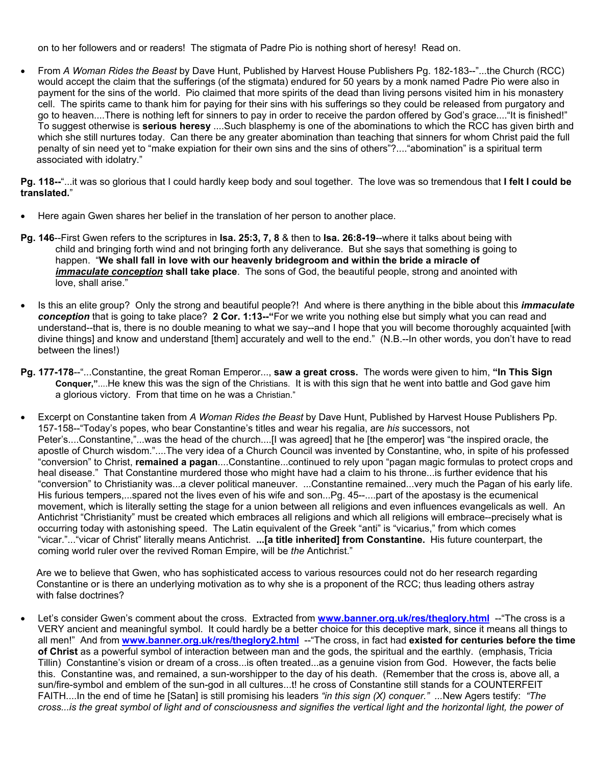on to her followers and or readers! The stigmata of Padre Pio is nothing short of heresy! Read on.

• From *A Woman Rides the Beast* by Dave Hunt, Published by Harvest House Publishers Pg. 182-183--"...the Church (RCC) would accept the claim that the sufferings (of the stigmata) endured for 50 years by a monk named Padre Pio were also in payment for the sins of the world. Pio claimed that more spirits of the dead than living persons visited him in his monastery cell. The spirits came to thank him for paying for their sins with his sufferings so they could be released from purgatory and go to heaven....There is nothing left for sinners to pay in order to receive the pardon offered by God's grace...."It is finished!" To suggest otherwise is **serious heresy** ....Such blasphemy is one of the abominations to which the RCC has given birth and which she still nurtures today. Can there be any greater abomination than teaching that sinners for whom Christ paid the full penalty of sin need yet to "make expiation for their own sins and the sins of others"?...."abomination" is a spiritual term associated with idolatry."

**Pg. 118--**"...it was so glorious that I could hardly keep body and soul together. The love was so tremendous that **I felt I could be translated.**"

- Here again Gwen shares her belief in the translation of her person to another place.
- **Pg. 146**--First Gwen refers to the scriptures in **Isa. 25:3, 7, 8** & then to **Isa. 26:8-19**--where it talks about being with child and bringing forth wind and not bringing forth any deliverance. But she says that something is going to happen. "**We shall fall in love with our heavenly bridegroom and within the bride a miracle of**  *immaculate conception* **shall take place**. The sons of God, the beautiful people, strong and anointed with love, shall arise."
- Is this an elite group? Only the strong and beautiful people?! And where is there anything in the bible about this *immaculate conception* that is going to take place? **2 Cor. 1:13--"**For we write you nothing else but simply what you can read and understand--that is, there is no double meaning to what we say--and I hope that you will become thoroughly acquainted [with divine things] and know and understand [them] accurately and well to the end." (N.B.--In other words, you don't have to read between the lines!)
- **Pg. 177-178**--"...Constantine, the great Roman Emperor..., **saw a great cross.** The words were given to him, **"In This Sign Conquer,"**....He knew this was the sign of the Christians. It is with this sign that he went into battle and God gave him a glorious victory. From that time on he was a Christian."
- Excerpt on Constantine taken from *A Woman Rides the Beast* by Dave Hunt, Published by Harvest House Publishers Pp. 157-158--"Today's popes, who bear Constantine's titles and wear his regalia, are *his* successors, not Peter's....Constantine,"...was the head of the church....[I was agreed] that he [the emperor] was "the inspired oracle, the apostle of Church wisdom."....The very idea of a Church Council was invented by Constantine, who, in spite of his professed "conversion" to Christ, **remained a pagan**....Constantine...continued to rely upon "pagan magic formulas to protect crops and heal disease." That Constantine murdered those who might have had a claim to his throne...is further evidence that his "conversion" to Christianity was...a clever political maneuver. ...Constantine remained...very much the Pagan of his early life. His furious tempers,...spared not the lives even of his wife and son...Pg. 45--....part of the apostasy is the ecumenical movement, which is literally setting the stage for a union between all religions and even influences evangelicals as well. An Antichrist "Christianity" must be created which embraces all religions and which all religions will embrace--precisely what is occurring today with astonishing speed. The Latin equivalent of the Greek "anti" is "vicarius," from which comes "vicar."..."vicar of Christ" literally means Antichrist. **...[a title inherited] from Constantine.** His future counterpart, the coming world ruler over the revived Roman Empire, will be *the* Antichrist."

 Are we to believe that Gwen, who has sophisticated access to various resources could not do her research regarding Constantine or is there an underlying motivation as to why she is a proponent of the RCC; thus leading others astray with false doctrines?

Let's consider Gwen's comment about the cross. Extracted from [www.banner.org.uk/res/theglory.html](http://www.banner.org.uk/res/theglory.html) --"The cross is a VERY ancient and meaningful symbol. It could hardly be a better choice for this deceptive mark, since it means all things to all men!" And from [www.banner.org.uk/res/theglory2.html](http://www.banner.org.uk/res/theglory2.html) --"The cross, in fact had existed for centuries before the time **of Christ** as a powerful symbol of interaction between man and the gods, the spiritual and the earthly. (emphasis, Tricia Tillin) Constantine's vision or dream of a cross...is often treated...as a genuine vision from God. However, the facts belie this. Constantine was, and remained, a sun-worshipper to the day of his death. (Remember that the cross is, above all, a sun/fire-symbol and emblem of the sun-god in all cultures...t! he cross of Constantine still stands for a COUNTERFEIT FAITH....In the end of time he [Satan] is still promising his leaders *"in this sign (X) conquer." ...*New Agers testify: *"The cross...is the great symbol of light and of consciousness and signifies the vertical light and the horizontal light, the power of*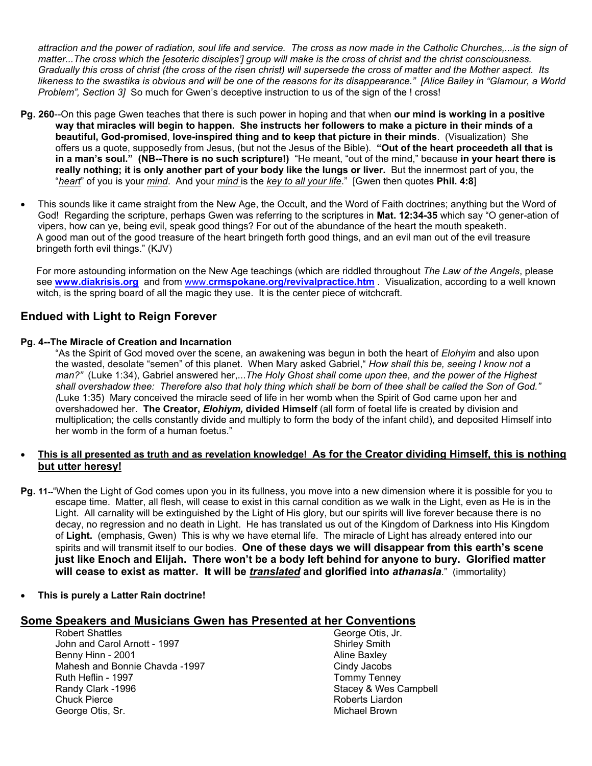*attraction and the power of radiation, soul life and service. The cross as now made in the Catholic Churches,...is the sign of matter...The cross which the [esoteric disciples'] group will make is the cross of christ and the christ consciousness. Gradually this cross of christ (the cross of the risen christ) will supersede the cross of matter and the Mother aspect. Its likeness to the swastika is obvious and will be one of the reasons for its disappearance." [Alice Bailey in "Glamour, a World Problem", Section 3]* So much for Gwen's deceptive instruction to us of the sign of the ! cross!

- **Pg. 260**--On this page Gwen teaches that there is such power in hoping and that when **our mind is working in a positive way that miracles will begin to happen. She instructs her followers to make a picture in their minds of a beautiful, God-promised**, **love-inspired thing and to keep that picture in their minds**. (Visualization) She offers us a quote, supposedly from Jesus, (but not the Jesus of the Bible). **"Out of the heart proceedeth all that is in a man's soul." (NB--There is no such scripture!)** "He meant, "out of the mind," because **in your heart there is really nothing; it is only another part of your body like the lungs or liver.** But the innermost part of you, the "*heart*" of you is your *mind*. And your *mind* is the *key to all your life*." [Gwen then quotes **Phil. 4:8**]
- This sounds like it came straight from the New Age, the Occult, and the Word of Faith doctrines; anything but the Word of God! Regarding the scripture, perhaps Gwen was referring to the scriptures in **Mat. 12:34-35** which say "O gener-ation of vipers, how can ye, being evil, speak good things? For out of the abundance of the heart the mouth speaketh. A good man out of the good treasure of the heart bringeth forth good things, and an evil man out of the evil treasure bringeth forth evil things." (KJV)

 For more astounding information on the New Age teachings (which are riddled throughout *The Law of the Angels*, please see **[www.diakrisis.org](http://www.diakrisis.org/)** and from www.**[crmspokane.org/revivalpractice.htm](http://www.crmspokane.org/revivalpractice.htm)** .Visualization, according to a well known witch, is the spring board of all the magic they use. It is the center piece of witchcraft.

# **Endued with Light to Reign Forever**

# **Pg. 4--The Miracle of Creation and Incarnation**

"As the Spirit of God moved over the scene, an awakening was begun in both the heart of *Elohyim* and also upon the wasted, desolate "semen" of this planet. When Mary asked Gabriel," *How shall this be, seeing I know not a man?"* (Luke 1:34), Gabriel answered her,...*The Holy Ghost shall come upon thee, and the power of the Highest shall overshadow thee: Therefore also that holy thing which shall be born of thee shall be called the Son of God." (*Luke 1:35) Mary conceived the miracle seed of life in her womb when the Spirit of God came upon her and overshadowed her. **The Creator,** *Elohiym,* **divided Himself** (all form of foetal life is created by division and multiplication; the cells constantly divide and multiply to form the body of the infant child), and deposited Himself into her womb in the form of a human foetus."

# • **This is all presented as truth and as revelation knowledge! As for the Creator dividing Himself, this is nothing but utter heresy!**

- **Pg. 11--**"When the Light of God comes upon you in its fullness, you move into a new dimension where it is possible for you to escape time. Matter, all flesh, will cease to exist in this carnal condition as we walk in the Light, even as He is in the Light. All carnality will be extinguished by the Light of His glory, but our spirits will live forever because there is no decay, no regression and no death in Light. He has translated us out of the Kingdom of Darkness into His Kingdom of **Light.** (emphasis, Gwen) This is why we have eternal life. The miracle of Light has already entered into our spirits and will transmit itself to our bodies. **One of these days we will disappear from this earth's scene just like Enoch and Elijah. There won't be a body left behind for anyone to bury. Glorified matter will cease to exist as matter. It will be** *translated* **and glorified into** *athanasia.*"(immortality)
- **This is purely a Latter Rain doctrine!**

# **Some Speakers and Musicians Gwen has Presented at her Conventions**<br>Robert Shattles **George Otis. Jr.**

John and Carol Arnott - 1997 Shirley Smith Benny Hinn - 2001 **Aline Baxley** Mahesh and Bonnie Chavda -1997 Charlotte Chavas Cindy Jacobs Ruth Heflin - 1997 **The State of Tommy Tenney**<br>Randy Clark -1996 **The State of Tommy Tenney** Chuck Pierce **Roberts Liardon** George Otis, Sr. **Michael Brown** 

George Otis, Jr. Stacey & Wes Campbell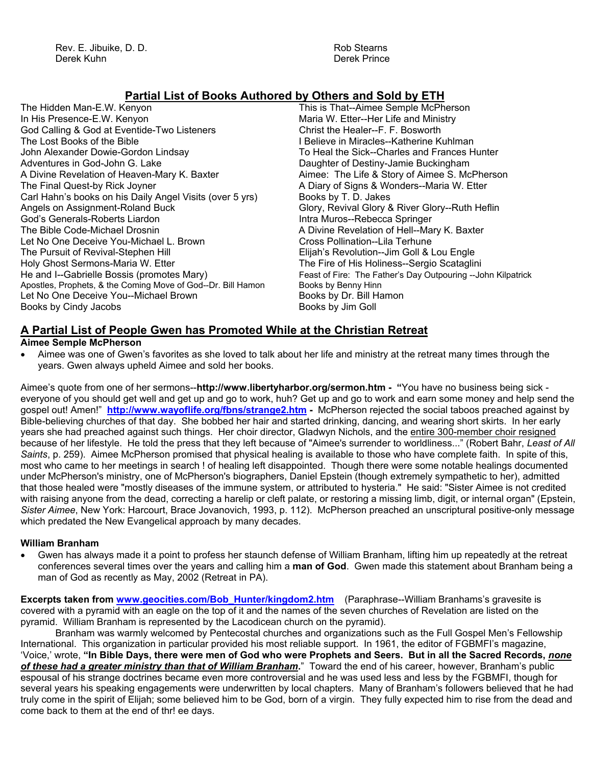Rev. E. Jibuike, D. D. Rob Stearns Derek Kuhn Derek Prince

# **Partial List of Books Authored by Others and Sold by ETH<br>This is That--Aimee Semple McPh**<br>This is That--Aimee Semple McPh

- In His Presence-E.W. Kenyon **Maria W. Etter--Her Life and Ministry** Maria W. Etter--Her Life and Ministry God Calling & God at Eventide-Two Listeners Christ the Healer--F. F. Bosworth The Lost Books of the Bible I Believe in Miracles--Katherine Kuhlman John Alexander Dowie-Gordon Lindsay To Heal the Sick--Charles and Frances Hunter Adventures in God-John G. Lake<br>
A Divine Revelation of Heaven-Mary K. Baxter<br>
A Divine Revelation of Heaven-Mary K. Baxter<br>
A Aimee: The Life & Story of Aimee S. Mc The Final Quest-by Rick Joyner **A Diary of Signs & Wonders--Maria W. Etter** A Diary of Signs & Wonders--Maria W. Etter Carl Hahn's books on his Daily Angel Visits (over 5 yrs) Books by T. D. Jakes Angels on Assignment-Roland Buck Glory, Revival Glory & River Glory--Ruth Heflin God's Generals-Roberts Liardon **International Contra Contra Contra Contra Contra Contra Contra Contra Contra Contra Contra Contra Contra Contra Contra Contra Contra Contra Contra Contra Contra Contra Contra Contra Contra C** The Bible Code-Michael Drosnin **A Divine Revelation of Hell--Mary K. Baxter** A Divine Revelation of Hell--Mary K. Baxter Let No One Deceive You-Michael L. Brown Cross Pollination--Lila Terhune The Pursuit of Revival-Stephen Hill Elijah's Revolution--Jim Goll & Lou Engle Holy Ghost Sermons-Maria W. Etter The Fire of His Holiness--Sergio Scataglini He and I--Gabrielle Bossis (promotes Mary) Feast of Fire: The Father's Day Outpouring --John Kilpatrick Apostles, Prophets, & the Coming Move of God--Dr. Bill Hamon Books by Benny Hinn Let No One Deceive You--Michael Brown Books by Dr. Bill Hamon Books by Cindy Jacobs Books by Jim Goll and Books by Jim Goll
- This is That--Aimee Semple McPherson Aimee: The Life & Story of Aimee S. McPherson

# **A Partial List of People Gwen has Promoted While at the Christian Retreat**

# **Aimee Semple McPherson**

• Aimee was one of Gwen's favorites as she loved to talk about her life and ministry at the retreat many times through the years. Gwen always upheld Aimee and sold her books.

Aimee's quote from one of her sermons--**http://www.libertyharbor.org/sermon.htm - "**You have no business being sick everyone of you should get well and get up and go to work, huh? Get up and go to work and earn some money and help send the gospel out! Amen!" **<http://www.wayoflife.org/fbns/strange2.htm>-** McPherson rejected the social taboos preached against by Bible-believing churches of that day. She bobbed her hair and started drinking, dancing, and wearing short skirts. In her early years she had preached against such things. Her choir director, Gladwyn Nichols, and the entire 300-member choir resigned because of her lifestyle. He told the press that they left because of "Aimee's surrender to worldliness..." (Robert Bahr, *Least of All Saints*, p. 259). Aimee McPherson promised that physical healing is available to those who have complete faith. In spite of this, most who came to her meetings in search ! of healing left disappointed. Though there were some notable healings documented under McPherson's ministry, one of McPherson's biographers, Daniel Epstein (though extremely sympathetic to her), admitted that those healed were "mostly diseases of the immune system, or attributed to hysteria." He said: "Sister Aimee is not credited with raising anyone from the dead, correcting a harelip or cleft palate, or restoring a missing limb, digit, or internal organ" (Epstein, *Sister Aimee*, New York: Harcourt, Brace Jovanovich, 1993, p. 112). McPherson preached an unscriptural positive-only message which predated the New Evangelical approach by many decades.

# **William Branham**

• Gwen has always made it a point to profess her staunch defense of William Branham, lifting him up repeatedly at the retreat conferences several times over the years and calling him a **man of God**. Gwen made this statement about Branham being a man of God as recently as May, 2002 (Retreat in PA).

**Excerpts taken from [www.geocities.com/Bob\\_Hunter/kingdom2.htm](http://www.geocities.com/Bob_Hunter/kingdom2.htm)** (Paraphrase--William Branhams's gravesite is covered with a pyramid with an eagle on the top of it and the names of the seven churches of Revelation are listed on the pyramid. William Branham is represented by the Lacodicean church on the pyramid).

 Branham was warmly welcomed by Pentecostal churches and organizations such as the Full Gospel Men's Fellowship International. This organization in particular provided his most reliable support. In 1961, the editor of FGBMFI's magazine, 'Voice,' wrote, **"In Bible Days, there were men of God who were Prophets and Seers. But in all the Sacred Records,** *none of these had a greater ministry than that of William Branham***.**"Toward the end of his career, however, Branham's public espousal of his strange doctrines became even more controversial and he was used less and less by the FGBMFI, though for several years his speaking engagements were underwritten by local chapters. Many of Branham's followers believed that he had truly come in the spirit of Elijah; some believed him to be God, born of a virgin. They fully expected him to rise from the dead and come back to them at the end of thr! ee days.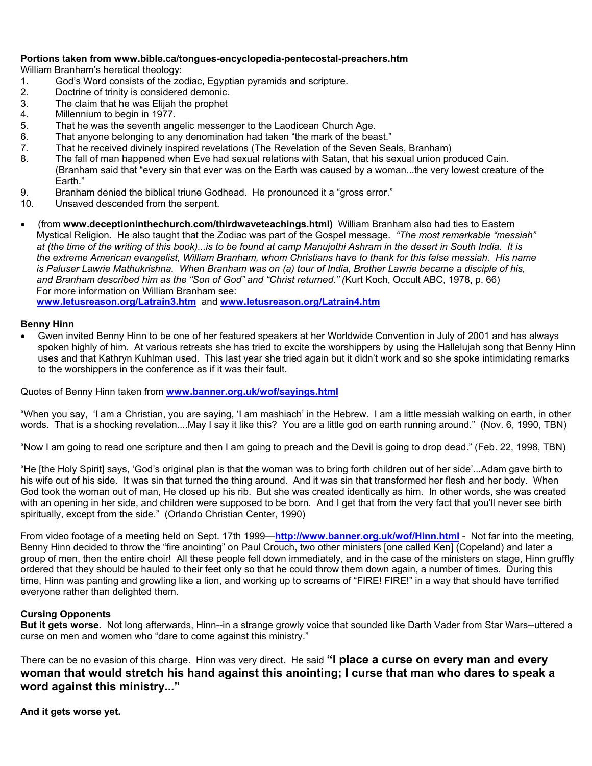# **Portions** t**aken from www.bible.ca/tongues-encyclopedia-pentecostal-preachers.htm**

William Branham's heretical theology:

- 1. God's Word consists of the zodiac, Egyptian pyramids and scripture.
- 2. Doctrine of trinity is considered demonic.
- 3. The claim that he was Elijah the prophet
- 4. Millennium to begin in 1977.
- 5. That he was the seventh angelic messenger to the Laodicean Church Age.
- 6. That anyone belonging to any denomination had taken "the mark of the beast."
- 7. That he received divinely inspired revelations (The Revelation of the Seven Seals, Branham)<br>8. The fall of man happened when Eve had sexual relations with Satan, that his sexual union pro
- The fall of man happened when Eve had sexual relations with Satan, that his sexual union produced Cain. (Branham said that "every sin that ever was on the Earth was caused by a woman...the very lowest creature of the Earth."
- 9. Branham denied the biblical triune Godhead. He pronounced it a "gross error."
- 10. Unsaved descended from the serpent.
- (from **www.deceptioninthechurch.com/thirdwaveteachings.html)** William Branham also had ties to Eastern Mystical Religion. He also taught that the Zodiac was part of the Gospel message. *"The most remarkable "messiah" at (the time of the writing of this book)...is to be found at camp Manujothi Ashram in the desert in South India. It is the extreme American evangelist, William Branham, whom Christians have to thank for this false messiah. His name is Paluser Lawrie Mathukrishna. When Branham was on (a) tour of India, Brother Lawrie became a disciple of his, and Branham described him as the "Son of God" and "Christ returned." (*Kurt Koch, Occult ABC, 1978, p. 66) For more information on William Branham see:

 **[www.letusreason.org/Latrain3.htm](http://www.letusreason.org/Latrain3.htm)** and **[www.letusreason.org/Latrain4.htm](http://www.letusreason.org/Latrain4.htm)**

# **Benny Hinn**

• Gwen invited Benny Hinn to be one of her featured speakers at her Worldwide Convention in July of 2001 and has always spoken highly of him. At various retreats she has tried to excite the worshippers by using the Hallelujah song that Benny Hinn uses and that Kathryn Kuhlman used. This last year she tried again but it didn't work and so she spoke intimidating remarks to the worshippers in the conference as if it was their fault.

Quotes of Benny Hinn taken from **[www.banner.org.uk/wof/sayings.html](http://www.banner.org.uk/wof/sayings.html)**

"When you say, 'I am a Christian, you are saying, 'I am mashiach' in the Hebrew. I am a little messiah walking on earth, in other words. That is a shocking revelation....May I say it like this? You are a little god on earth running around." (Nov. 6, 1990, TBN)

"Now I am going to read one scripture and then I am going to preach and the Devil is going to drop dead." (Feb. 22, 1998, TBN)

"He [the Holy Spirit] says, 'God's original plan is that the woman was to bring forth children out of her side'...Adam gave birth to his wife out of his side. It was sin that turned the thing around. And it was sin that transformed her flesh and her body. When God took the woman out of man, He closed up his rib. But she was created identically as him. In other words, she was created with an opening in her side, and children were supposed to be born. And I get that from the very fact that you'll never see birth spiritually, except from the side." (Orlando Christian Center, 1990)

From video footage of a meeting held on Sept. 17th 1999—**<http://www.banner.org.uk/wof/Hinn.html>** -Not far into the meeting, Benny Hinn decided to throw the "fire anointing" on Paul Crouch, two other ministers [one called Ken] (Copeland) and later a group of men, then the entire choir! All these people fell down immediately, and in the case of the ministers on stage, Hinn gruffly ordered that they should be hauled to their feet only so that he could throw them down again, a number of times. During this time, Hinn was panting and growling like a lion, and working up to screams of "FIRE! FIRE!" in a way that should have terrified everyone rather than delighted them.

# **Cursing Opponents**

**But it gets worse.** Not long afterwards, Hinn--in a strange growly voice that sounded like Darth Vader from Star Wars--uttered a curse on men and women who "dare to come against this ministry."

There can be no evasion of this charge. Hinn was very direct. He said **"I place a curse on every man and every woman that would stretch his hand against this anointing; I curse that man who dares to speak a word against this ministry..."** 

**And it gets worse yet.**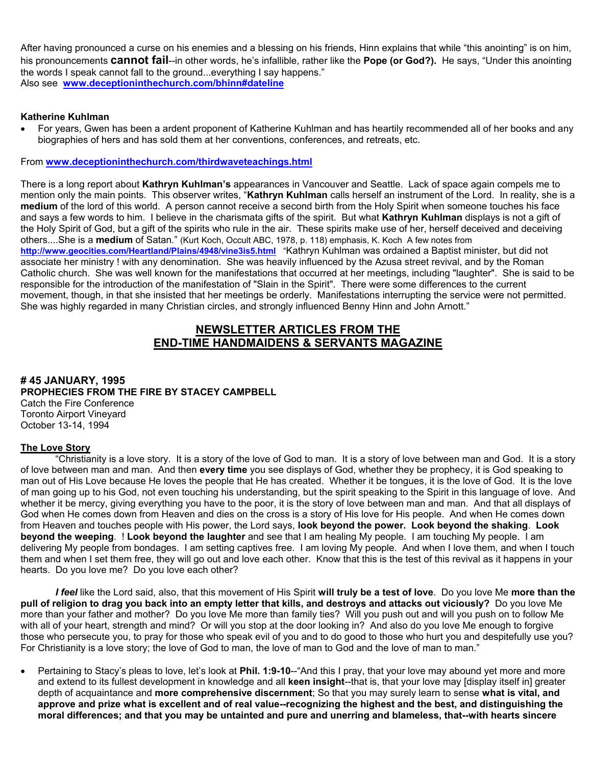After having pronounced a curse on his enemies and a blessing on his friends, Hinn explains that while "this anointing" is on him, his pronouncements **cannot fail**--in other words, he's infallible, rather like the **Pope (or God?).** He says, "Under this anointing the words I speak cannot fall to the ground...everything I say happens." Also see **[www.deceptioninthechurch.com/bhinn#dateline](http://www.deceptioninthechurch.com/bhinn)**

# **Katherine Kuhlman**

• For years, Gwen has been a ardent proponent of Katherine Kuhlman and has heartily recommended all of her books and any biographies of hers and has sold them at her conventions, conferences, and retreats, etc.

From **[www.deceptioninthechurch.com/thirdwaveteachings.html](http://www.deceptioninthechurch.com/thirdwaveteachings.html)**

There is a long report about **Kathryn Kuhlman's** appearances in Vancouver and Seattle. Lack of space again compels me to mention only the main points. This observer writes, "**Kathryn Kuhlman** calls herself an instrument of the Lord. In reality, she is a **medium** of the lord of this world. A person cannot receive a second birth from the Holy Spirit when someone touches his face and says a few words to him. I believe in the charismata gifts of the spirit. But what **Kathryn Kuhlman** displays is not a gift of the Holy Spirit of God, but a gift of the spirits who rule in the air. These spirits make use of her, herself deceived and deceiving others....She is a **medium** of Satan." (Kurt Koch, Occult ABC, 1978, p. 118) emphasis, K. Koch A few notes from **<http://www.geocities.com/Heartland/Plains/4948/vine3is5.html>** "Kathryn Kuhlman was ordained a Baptist minister, but did not associate her ministry ! with any denomination. She was heavily influenced by the Azusa street revival, and by the Roman Catholic church. She was well known for the manifestations that occurred at her meetings, including "laughter". She is said to be responsible for the introduction of the manifestation of "Slain in the Spirit". There were some differences to the current movement, though, in that she insisted that her meetings be orderly. Manifestations interrupting the service were not permitted. She was highly regarded in many Christian circles, and strongly influenced Benny Hinn and John Arnott."

# **NEWSLETTER ARTICLES FROM THE END-TIME HANDMAIDENS & SERVANTS MAGAZINE**

# **# 45 JANUARY, 1995 PROPHECIES FROM THE FIRE BY STACEY CAMPBELL**

Catch the Fire Conference Toronto Airport Vineyard October 13-14, 1994

# **The Love Story**

"Christianity is a love story. It is a story of the love of God to man. It is a story of love between man and God. It is a story of love between man and man. And then **every time** you see displays of God, whether they be prophecy, it is God speaking to man out of His Love because He loves the people that He has created. Whether it be tongues, it is the love of God. It is the love of man going up to his God, not even touching his understanding, but the spirit speaking to the Spirit in this language of love. And whether it be mercy, giving everything you have to the poor, it is the story of love between man and man. And that all displays of God when He comes down from Heaven and dies on the cross is a story of His love for His people. And when He comes down from Heaven and touches people with His power, the Lord says, **look beyond the power. Look beyond the shaking**. **Look beyond the weeping**. ! **Look beyond the laughter** and see that I am healing My people. I am touching My people. I am delivering My people from bondages. I am setting captives free. I am loving My people. And when I love them, and when I touch them and when I set them free, they will go out and love each other. Know that this is the test of this revival as it happens in your hearts. Do you love me? Do you love each other?

*I feel* like the Lord said, also, that this movement of His Spirit **will truly be a test of love**. Do you love Me **more than the pull of religion to drag you back into an empty letter that kills, and destroys and attacks out viciously?** Do you love Me more than your father and mother? Do you love Me more than family ties? Will you push out and will you push on to follow Me with all of your heart, strength and mind? Or will you stop at the door looking in? And also do you love Me enough to forgive those who persecute you, to pray for those who speak evil of you and to do good to those who hurt you and despitefully use you? For Christianity is a love story; the love of God to man, the love of man to God and the love of man to man."

• Pertaining to Stacy's pleas to love, let's look at **Phil. 1:9-10**--"And this I pray, that your love may abound yet more and more and extend to its fullest development in knowledge and all **keen insight**--that is, that your love may [display itself in] greater depth of acquaintance and **more comprehensive discernment**; So that you may surely learn to sense **what is vital, and approve and prize what is excellent and of real value--recognizing the highest and the best, and distinguishing the moral differences; and that you may be untainted and pure and unerring and blameless, that--with hearts sincere**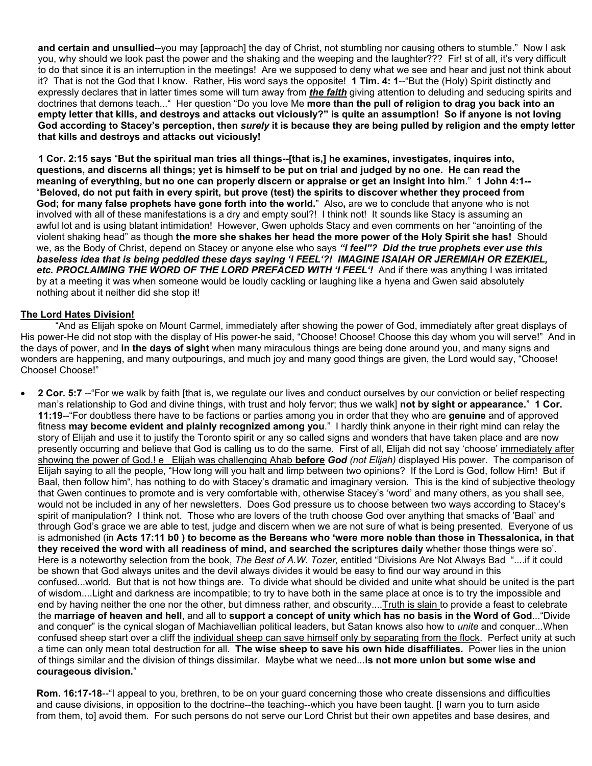**and certain and unsullied**--you may [approach] the day of Christ, not stumbling nor causing others to stumble." Now I ask you, why should we look past the power and the shaking and the weeping and the laughter??? Fir! st of all, it's very difficult to do that since it is an interruption in the meetings! Are we supposed to deny what we see and hear and just not think about it? That is not the God that I know. Rather, His word says the opposite! **1 Tim. 4: 1**--"But the (Holy) Spirit distinctly and expressly declares that in latter times some will turn away from *the faith* giving attention to deluding and seducing spirits and doctrines that demons teach..." Her question "Do you love Me **more than the pull of religion to drag you back into an empty letter that kills, and destroys and attacks out viciously?" is quite an assumption! So if anyone is not loving God according to Stacey's perception, then** *surely* **it is because they are being pulled by religion and the empty letter that kills and destroys and attacks out viciously!** 

 **1 Cor. 2:15 says** "**But the spiritual man tries all things--[that is,] he examines, investigates, inquires into, questions, and discerns all things; yet is himself to be put on trial and judged by no one. He can read the meaning of everything, but no one can properly discern or appraise or get an insight into him**." **1 John 4:1--** "**Beloved, do not put faith in every spirit, but prove (test) the spirits to discover whether they proceed from God; for many false prophets have gone forth into the world.**"Also**,** are we to conclude that anyone who is not involved with all of these manifestations is a dry and empty soul?! I think not! It sounds like Stacy is assuming an awful lot and is using blatant intimidation! However, Gwen upholds Stacy and even comments on her "anointing of the violent shaking head" as though **the more she shakes her head the more power of the Holy Spirit she has!** Should we, as the Body of Christ, depend on Stacey or anyone else who says *"I feel"? Did the true prophets ever use this baseless idea that is being peddled these days saying 'I FEEL'?! IMAGINE ISAIAH OR JEREMIAH OR EZEKIEL, etc. PROCLAIMING THE WORD OF THE LORD PREFACED WITH 'I FEEL'!* And if there was anything I was irritated by at a meeting it was when someone would be loudly cackling or laughing like a hyena and Gwen said absolutely nothing about it neither did she stop it!

# **The Lord Hates Division!**

 "And as Elijah spoke on Mount Carmel, immediately after showing the power of God, immediately after great displays of His power-He did not stop with the display of His power-he said, "Choose! Choose! Choose this day whom you will serve!" And in the days of power, and **in the days of sight** when many miraculous things are being done around you, and many signs and wonders are happening, and many outpourings, and much joy and many good things are given, the Lord would say, "Choose! Choose! Choose!"

• **2 Cor. 5:7** --"For we walk by faith [that is, we regulate our lives and conduct ourselves by our conviction or belief respecting man's relationship to God and divine things, with trust and holy fervor; thus we walk] **not by sight or appearance.**" **1 Cor. 11:19**--"For doubtless there have to be factions or parties among you in order that they who are **genuine** and of approved fitness **may become evident and plainly recognized among you**." I hardly think anyone in their right mind can relay the story of Elijah and use it to justify the Toronto spirit or any so called signs and wonders that have taken place and are now presently occurring and believe that God is calling us to do the same. First of all, Elijah did not say 'choose' immediately after showing the power of God.! e Elijah was challenging Ahab **before** *God (not Elijah)* displayed His power. The comparison of Elijah saying to all the people, "How long will you halt and limp between two opinions? If the Lord is God, follow Him! But if Baal, then follow him", has nothing to do with Stacey's dramatic and imaginary version. This is the kind of subjective theology that Gwen continues to promote and is very comfortable with, otherwise Stacey's 'word' and many others, as you shall see, would not be included in any of her newsletters. Does God pressure us to choose between two ways according to Stacey's spirit of manipulation? I think not. Those who are lovers of the truth choose God over anything that smacks of 'Baal' and through God's grace we are able to test, judge and discern when we are not sure of what is being presented. Everyone of us is admonished (in **Acts 17:11 b0 ) to become as the Bereans who 'were more noble than those in Thessalonica, in that they received the word with all readiness of mind, and searched the scriptures daily** whether those things were so'. Here is a noteworthy selection from the book, *The Best of A.W. Tozer,* entitled "Divisions Are Not Always Bad "....if it could be shown that God always unites and the devil always divides it would be easy to find our way around in this confused...world. But that is not how things are. To divide what should be divided and unite what should be united is the part of wisdom....Light and darkness are incompatible; to try to have both in the same place at once is to try the impossible and end by having neither the one nor the other, but dimness rather, and obscurity....Truth is slain to provide a feast to celebrate the **marriage of heaven and hell**, and all to **support a concept of unity which has no basis in the Word of God**..."Divide and conquer" is the cynical slogan of Machiavellian political leaders, but Satan knows also how to *unite* and conquer...When confused sheep start over a cliff the individual sheep can save himself only by separating from the flock. Perfect unity at such a time can only mean total destruction for all. **The wise sheep to save his own hide disaffiliates.** Power lies in the union of things similar and the division of things dissimilar. Maybe what we need...**is not more union but some wise and courageous division.**"

 **Rom. 16:17-18**--"I appeal to you, brethren, to be on your guard concerning those who create dissensions and difficulties and cause divisions, in opposition to the doctrine--the teaching--which you have been taught. [I warn you to turn aside from them, to] avoid them. For such persons do not serve our Lord Christ but their own appetites and base desires, and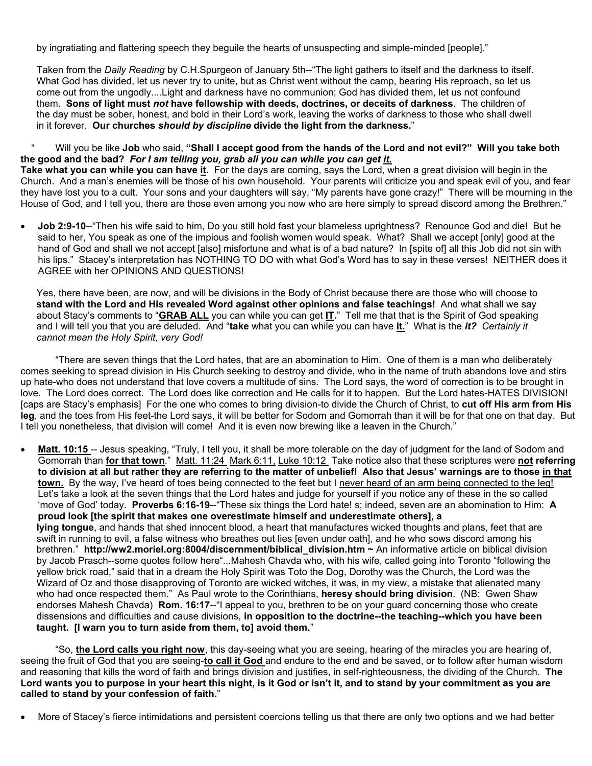by ingratiating and flattering speech they beguile the hearts of unsuspecting and simple-minded [people]."

 Taken from the *Daily Reading* by C.H.Spurgeon of January 5th--"The light gathers to itself and the darkness to itself. What God has divided, let us never try to unite, but as Christ went without the camp, bearing His reproach, so let us come out from the ungodly....Light and darkness have no communion; God has divided them, let us not confound them. **Sons of light must** *not* **have fellowship with deeds, doctrines, or deceits of darkness**. The children of the day must be sober, honest, and bold in their Lord's work, leaving the works of darkness to those who shall dwell in it forever. **Our churches** *should by discipline* **divide the light from the darkness.**"

" Will you be like **Job** who said, **"Shall I accept good from the hands of the Lord and not evil?" Will you take both the good and the bad?** *For I am telling you, grab all you can while you can get it.* 

**Take what you can while you can have it.** For the days are coming, says the Lord, when a great division will begin in the Church. And a man's enemies will be those of his own household. Your parents will criticize you and speak evil of you, and fear they have lost you to a cult. Your sons and your daughters will say, "My parents have gone crazy!" There will be mourning in the House of God, and I tell you, there are those even among you now who are here simply to spread discord among the Brethren."

• **Job 2:9-10**--"Then his wife said to him, Do you still hold fast your blameless uprightness? Renounce God and die! But he said to her, You speak as one of the impious and foolish women would speak. What? Shall we accept [only] good at the hand of God and shall we not accept [also] misfortune and what is of a bad nature? In [spite of] all this Job did not sin with his lips." Stacey's interpretation has NOTHING TO DO with what God's Word has to say in these verses! NEITHER does it AGREE with her OPINIONS AND QUESTIONS!

 Yes, there have been, are now, and will be divisions in the Body of Christ because there are those who will choose to **stand with the Lord and His revealed Word against other opinions and false teachings!** And what shall we say about Stacy's comments to "**GRAB ALL** you can while you can get **IT.**" Tell me that that is the Spirit of God speaking and I will tell you that you are deluded. And "**take** what you can while you can have **it.**"What is the *it? Certainly it cannot mean the Holy Spirit, very God!*

 "There are seven things that the Lord hates, that are an abomination to Him. One of them is a man who deliberately comes seeking to spread division in His Church seeking to destroy and divide, who in the name of truth abandons love and stirs up hate-who does not understand that love covers a multitude of sins. The Lord says, the word of correction is to be brought in love. The Lord does correct. The Lord does like correction and He calls for it to happen. But the Lord hates-HATES DIVISION! [caps are Stacy's emphasis] For the one who comes to bring division-to divide the Church of Christ, to **cut off His arm from His leg**, and the toes from His feet-the Lord says, it will be better for Sodom and Gomorrah than it will be for that one on that day. But I tell you nonetheless, that division will come! And it is even now brewing like a leaven in the Church."

**Matt. 10:15** -- Jesus speaking, "Truly, I tell you, it shall be more tolerable on the day of judgment for the land of Sodom and Gomorrah than **for that town**." Matt. 11:24 Mark 6:11, Luke 10:12 Take notice also that these scriptures were **not referring to division at all but rather they are referring to the matter of unbelief! Also that Jesus' warnings are to those in that town.** By the way, I've heard of toes being connected to the feet but I never heard of an arm being connected to the leg! Let's take a look at the seven things that the Lord hates and judge for yourself if you notice any of these in the so called 'move of God' today. **Proverbs 6:16-19**--"These six things the Lord hate! s; indeed, seven are an abomination to Him: **A proud look [the spirit that makes one overestimate himself and underestimate others], a lying tongue**, and hands that shed innocent blood, a heart that manufactures wicked thoughts and plans, feet that are swift in running to evil, a false witness who breathes out lies [even under oath], and he who sows discord among his brethren." **http://ww2.moriel.org:8004/discernment/biblical\_division.htm ~** An informative article on biblical division by Jacob Prasch--some quotes follow here"...Mahesh Chavda who, with his wife, called going into Toronto "following the yellow brick road," said that in a dream the Holy Spirit was Toto the Dog, Dorothy was the Church, the Lord was the Wizard of Oz and those disapproving of Toronto are wicked witches, it was, in my view, a mistake that alienated many who had once respected them." As Paul wrote to the Corinthians, **heresy should bring division**. (NB: Gwen Shaw endorses Mahesh Chavda) **Rom. 16:17**--"I appeal to you, brethren to be on your guard concerning those who create dissensions and difficulties and cause divisions, **in opposition to the doctrine--the teaching--which you have been taught. [I warn you to turn aside from them, to] avoid them.**"

"So, **the Lord calls you right now**, this day-seeing what you are seeing, hearing of the miracles you are hearing of, seeing the fruit of God that you are seeing-**to call it God** and endure to the end and be saved, or to follow after human wisdom and reasoning that kills the word of faith and brings division and justifies, in self-righteousness, the dividing of the Church. **The Lord wants you to purpose in your heart this night, is it God or isn't it, and to stand by your commitment as you are called to stand by your confession of faith.**"

• More of Stacey's fierce intimidations and persistent coercions telling us that there are only two options and we had better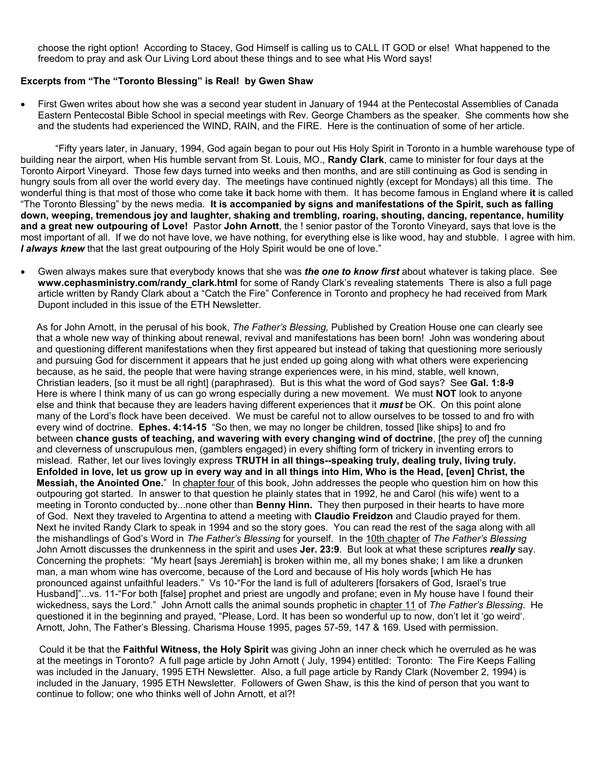choose the right option! According to Stacey, God Himself is calling us to CALL IT GOD or else! What happened to the freedom to pray and ask Our Living Lord about these things and to see what His Word says!

#### **Excerpts from "The "Toronto Blessing" is Real! by Gwen Shaw**

• First Gwen writes about how she was a second year student in January of 1944 at the Pentecostal Assemblies of Canada Eastern Pentecostal Bible School in special meetings with Rev. George Chambers as the speaker. She comments how she and the students had experienced the WIND, RAIN, and the FIRE. Here is the continuation of some of her article.

"Fifty years later, in January, 1994, God again began to pour out His Holy Spirit in Toronto in a humble warehouse type of building near the airport, when His humble servant from St. Louis, MO., **Randy Clark**, came to minister for four days at the Toronto Airport Vineyard. Those few days turned into weeks and then months, and are still continuing as God is sending in hungry souls from all over the world every day. The meetings have continued nightly (except for Mondays) all this time. The wonderful thing is that most of those who come take **it** back home with them. It has become famous in England where **it** is called "The Toronto Blessing" by the news media. **It is accompanied by signs and manifestations of the Spirit, such as falling down, weeping, tremendous joy and laughter, shaking and trembling, roaring, shouting, dancing, repentance, humility and a great new outpouring of Love!** Pastor **John Arnott**, the ! senior pastor of the Toronto Vineyard, says that love is the most important of all. If we do not have love, we have nothing, for everything else is like wood, hay and stubble. I agree with him. *I always knew* that the last great outpouring of the Holy Spirit would be one of love."

• Gwen always makes sure that everybody knows that she was *the one to know first* about whatever is taking place. See **www.cephasministry.com/randy\_clark.html** for some of Randy Clark's revealing statements There is also a full page article written by Randy Clark about a "Catch the Fire" Conference in Toronto and prophecy he had received from Mark Dupont included in this issue of the ETH Newsletter.

 As for John Arnott, in the perusal of his book, *The Father's Blessing,* Published by Creation House one can clearly see that a whole new way of thinking about renewal, revival and manifestations has been born! John was wondering about and questioning different manifestations when they first appeared but instead of taking that questioning more seriously and pursuing God for discernment it appears that he just ended up going along with what others were experiencing because, as he said, the people that were having strange experiences were, in his mind, stable, well known, Christian leaders, [so it must be all right] (paraphrased). But is this what the word of God says? See **Gal. 1:8-9** Here is where I think many of us can go wrong especially during a new movement. We must **NOT** look to anyone else and think that because they are leaders having different experiences that it *must* be OK. On this point alone many of the Lord's flock have been deceived. We must be careful not to allow ourselves to be tossed to and fro with every wind of doctrine. **Ephes. 4:14-15** "So then, we may no longer be children, tossed [like ships] to and fro between **chance gusts of teaching, and wavering with every changing wind of doctrine**, [the prey of] the cunning and cleverness of unscrupulous men, (gamblers engaged) in every shifting form of trickery in inventing errors to mislead. Rather, let our lives lovingly express **TRUTH in all things--speaking truly, dealing truly, living truly. Enfolded in love, let us grow up in every way and in all things into Him, Who is the Head, [even] Christ, the Messiah, the Anointed One.**"In chapter four of this book, John addresses the people who question him on how this outpouring got started. In answer to that question he plainly states that in 1992, he and Carol (his wife) went to a meeting in Toronto conducted by...none other than **Benny Hinn.** They then purposed in their hearts to have more of God. Next they traveled to Argentina to attend a meeting with **Claudio Freidzon** and Claudio prayed for them. Next he invited Randy Clark to speak in 1994 and so the story goes. You can read the rest of the saga along with all the mishandlings of God's Word in *The Father's Blessing* for yourself. In the 10th chapter of *The Father's Blessing* John Arnott discusses the drunkenness in the spirit and uses **Jer. 23:9**. But look at what these scriptures *really* say. Concerning the prophets: "My heart [says Jeremiah] is broken within me, all my bones shake; I am like a drunken man, a man whom wine has overcome, because of the Lord and because of His holy words [which He has pronounced against unfaithful leaders." Vs 10-"For the land is full of adulterers [forsakers of God, Israel's true Husband]"...vs. 11-"For both [false] prophet and priest are ungodly and profane; even in My house have I found their wickedness, says the Lord." John Arnott calls the animal sounds prophetic in chapter 11 of *The Father's Blessing*. He questioned it in the beginning and prayed, "Please, Lord. It has been so wonderful up to now, don't let it 'go weird'. Arnott, John, The Father's Blessing. Charisma House 1995, pages 57-59, 147 & 169. Used with permission.

 Could it be that the **Faithful Witness, the Holy Spirit** was giving John an inner check which he overruled as he was at the meetings in Toronto? A full page article by John Arnott ( July, 1994) entitled: Toronto: The Fire Keeps Falling was included in the January, 1995 ETH Newsletter. Also, a full page article by Randy Clark (November 2, 1994) is included in the January, 1995 ETH Newsletter. Followers of Gwen Shaw, is this the kind of person that you want to continue to follow; one who thinks well of John Arnott, et al?!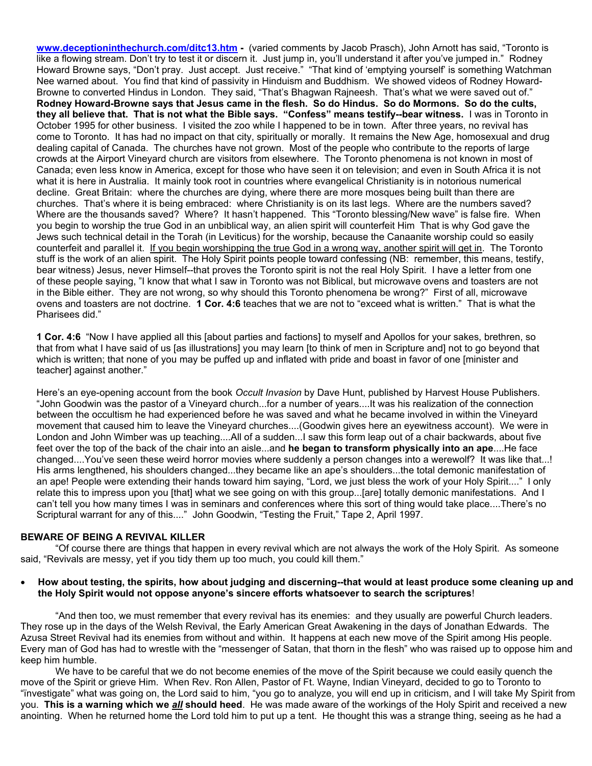**[www.deceptioninthechurch.com/ditc13.htm](http://www.deceptioninthechurch.com/ditc13.htm) -** (varied comments by Jacob Prasch), John Arnott has said, "Toronto is like a flowing stream. Don't try to test it or discern it. Just jump in, you'll understand it after you've jumped in." Rodney Howard Browne says, "Don't pray. Just accept. Just receive." "That kind of 'emptying yourself' is something Watchman Nee warned about. You find that kind of passivity in Hinduism and Buddhism. We showed videos of Rodney Howard- Browne to converted Hindus in London. They said, "That's Bhagwan Rajneesh. That's what we were saved out of." **Rodney Howard-Browne says that Jesus came in the flesh. So do Hindus. So do Mormons. So do the cults, they all believe that. That is not what the Bible says. "Confess" means testify--bear witness.** I was in Toronto in October 1995 for other business. I visited the zoo while I happened to be in town. After three years, no revival has come to Toronto. It has had no impact on that city, spiritually or morally. It remains the New Age, homosexual and drug dealing capital of Canada. The churches have not grown. Most of the people who contribute to the reports of large crowds at the Airport Vineyard church are visitors from elsewhere. The Toronto phenomena is not known in most of Canada; even less know in America, except for those who have seen it on television; and even in South Africa it is not what it is here in Australia. It mainly took root in countries where evangelical Christianity is in notorious numerical decline. Great Britain: where the churches are dying, where there are more mosques being built than there are churches. That's where it is being embraced: where Christianity is on its last legs. Where are the numbers saved? Where are the thousands saved? Where? It hasn't happened. This "Toronto blessing/New wave" is false fire. When you begin to worship the true God in an unbiblical way, an alien spirit will counterfeit Him That is why God gave the Jews such technical detail in the Torah (in Leviticus) for the worship, because the Canaanite worship could so easily counterfeit and parallel it. If you begin worshipping the true God in a wrong way, another spirit will get in. The Toronto stuff is the work of an alien spirit. The Holy Spirit points people toward confessing (NB: remember, this means, testify, bear witness) Jesus, never Himself--that proves the Toronto spirit is not the real Holy Spirit. I have a letter from one of these people saying, "I know that what I saw in Toronto was not Biblical, but microwave ovens and toasters are not in the Bible either. They are not wrong, so why should this Toronto phenomena be wrong?" First of all, microwave ovens and toasters are not doctrine. **1 Cor. 4:6** teaches that we are not to "exceed what is written." That is what the Pharisees did."

 **1 Cor. 4:6** "Now I have applied all this [about parties and factions] to myself and Apollos for your sakes, brethren, so that from what I have said of us [as illustrations] you may learn [to think of men in Scripture and] not to go beyond that which is written; that none of you may be puffed up and inflated with pride and boast in favor of one [minister and teacher] against another."

 Here's an eye-opening account from the book *Occult Invasion* by Dave Hunt, published by Harvest House Publishers. "John Goodwin was the pastor of a Vineyard church...for a number of years....It was his realization of the connection between the occultism he had experienced before he was saved and what he became involved in within the Vineyard movement that caused him to leave the Vineyard churches....(Goodwin gives here an eyewitness account). We were in London and John Wimber was up teaching....All of a sudden...I saw this form leap out of a chair backwards, about five feet over the top of the back of the chair into an aisle...and **he began to transform physically into an ape**....He face changed....You've seen these weird horror movies where suddenly a person changes into a werewolf? It was like that...! His arms lengthened, his shoulders changed...they became like an ape's shoulders...the total demonic manifestation of an ape! People were extending their hands toward him saying, "Lord, we just bless the work of your Holy Spirit...." I only relate this to impress upon you [that] what we see going on with this group...[are] totally demonic manifestations. And I can't tell you how many times I was in seminars and conferences where this sort of thing would take place....There's no Scriptural warrant for any of this...." John Goodwin, "Testing the Fruit," Tape 2, April 1997.

# **BEWARE OF BEING A REVIVAL KILLER**

 "Of course there are things that happen in every revival which are not always the work of the Holy Spirit. As someone said, "Revivals are messy, yet if you tidy them up too much, you could kill them."

#### • **How about testing, the spirits, how about judging and discerning--that would at least produce some cleaning up and the Holy Spirit would not oppose anyone's sincere efforts whatsoever to search the scriptures**!

"And then too, we must remember that every revival has its enemies: and they usually are powerful Church leaders. They rose up in the days of the Welsh Revival, the Early American Great Awakening in the days of Jonathan Edwards. The Azusa Street Revival had its enemies from without and within. It happens at each new move of the Spirit among His people. Every man of God has had to wrestle with the "messenger of Satan, that thorn in the flesh" who was raised up to oppose him and keep him humble.

We have to be careful that we do not become enemies of the move of the Spirit because we could easily quench the move of the Spirit or grieve Him. When Rev. Ron Allen, Pastor of Ft. Wayne, Indian Vineyard, decided to go to Toronto to "ïnvestigate" what was going on, the Lord said to him, "you go to analyze, you will end up in criticism, and I will take My Spirit from you. **This is a warning which we** *all* **should heed**. He was made aware of the workings of the Holy Spirit and received a new anointing. When he returned home the Lord told him to put up a tent. He thought this was a strange thing, seeing as he had a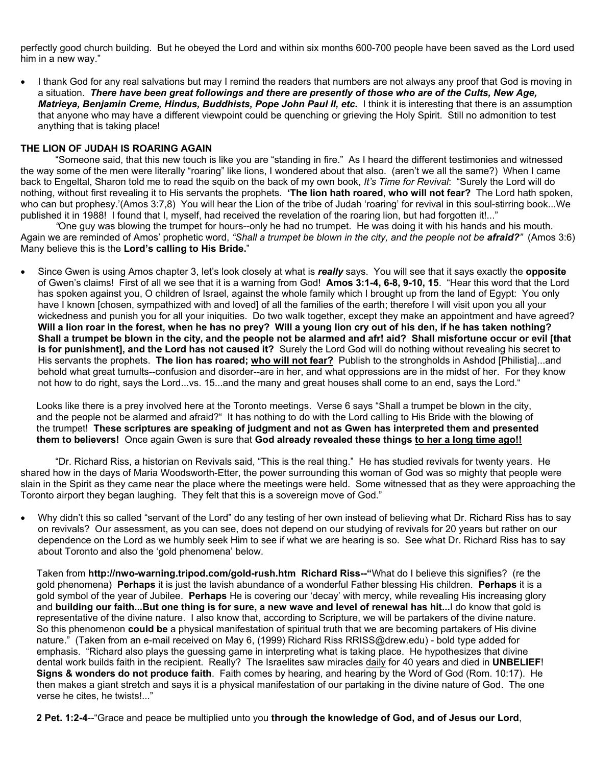perfectly good church building. But he obeyed the Lord and within six months 600-700 people have been saved as the Lord used him in a new way."

• I thank God for any real salvations but may I remind the readers that numbers are not always any proof that God is moving in a situation. *There have been great followings and there are presently of those who are of the Cults, New Age, Matrieya, Benjamin Creme, Hindus, Buddhists, Pope John Paul II, etc.* I think it is interesting that there is an assumption that anyone who may have a different viewpoint could be quenching or grieving the Holy Spirit. Still no admonition to test anything that is taking place!

#### **THE LION OF JUDAH IS ROARING AGAIN**

"Someone said, that this new touch is like you are "standing in fire." As I heard the different testimonies and witnessed the way some of the men were literally "roaring" like lions, I wondered about that also. (aren't we all the same?) When I came back to Engeltal, Sharon told me to read the squib on the back of my own book, *It's Time for Revival*: "Surely the Lord will do nothing, without first revealing it to His servants the prophets. **'The lion hath roared**, **who will not fear?** The Lord hath spoken, who can but prophesy.'(Amos 3:7,8) You will hear the Lion of the tribe of Judah 'roaring' for revival in this soul-stirring book...We published it in 1988! I found that I, myself, had received the revelation of the roaring lion, but had forgotten it!..."

 *"*One guy was blowing the trumpet for hours--only he had no trumpet. He was doing it with his hands and his mouth. Again we are reminded of Amos' prophetic word, "Shall a trumpet be blown in the city, and the people not be afraid?" (Amos 3:6) Many believe this is the **Lord's calling to His Bride.**"

• Since Gwen is using Amos chapter 3, let's look closely at what is *really* says. You will see that it says exactly the **opposite**  of Gwen's claims! First of all we see that it is a warning from God! **Amos 3:1-4, 6-8, 9-10, 15**. "Hear this word that the Lord has spoken against you, O children of Israel, against the whole family which I brought up from the land of Egypt: You only have I known [chosen, sympathized with and loved] of all the families of the earth; therefore I will visit upon you all your wickedness and punish you for all your iniquities. Do two walk together, except they make an appointment and have agreed? **Will a lion roar in the forest, when he has no prey? Will a young lion cry out of his den, if he has taken nothing? Shall a trumpet be blown in the city, and the people not be alarmed and afr! aid? Shall misfortune occur or evil [that is for punishment], and the Lord has not caused it?** Surely the Lord God will do nothing without revealing his secret to His servants the prophets. **The lion has roared; who will not fear?** Publish to the strongholds in Ashdod [Philistia]...and behold what great tumults--confusion and disorder--are in her, and what oppressions are in the midst of her. For they know not how to do right, says the Lord...vs. 15...and the many and great houses shall come to an end, says the Lord."

 Looks like there is a prey involved here at the Toronto meetings. Verse 6 says "Shall a trumpet be blown in the city, and the people not be alarmed and afraid?" It has nothing to do with the Lord calling to His Bride with the blowing of the trumpet!**These scriptures are speaking of judgment and not as Gwen has interpreted them and presented them to believers!**Once again Gwen is sure that **God already revealed these things to her a long time ago!!**

"Dr. Richard Riss, a historian on Revivals said, "This is the real thing." He has studied revivals for twenty years. He shared how in the days of Maria Woodsworth-Etter, the power surrounding this woman of God was so mighty that people were slain in the Spirit as they came near the place where the meetings were held. Some witnessed that as they were approaching the Toronto airport they began laughing. They felt that this is a sovereign move of God."

• Why didn't this so called "servant of the Lord" do any testing of her own instead of believing what Dr. Richard Riss has to say on revivals? Our assessment, as you can see, does not depend on our studying of revivals for 20 years but rather on our dependence on the Lord as we humbly seek Him to see if what we are hearing is so. See what Dr. Richard Riss has to say about Toronto and also the 'gold phenomena' below.

 Taken from **http://nwo-warning.tripod.com/gold-rush.htm Richard Riss--"**What do I believe this signifies? (re the gold phenomena) **Perhaps** it is just the lavish abundance of a wonderful Father blessing His children. **Perhaps** it is a gold symbol of the year of Jubilee. **Perhaps** He is covering our 'decay' with mercy, while revealing His increasing glory and **building our faith...But one thing is for sure, a new wave and level of renewal has hit...**I do know that gold is representative of the divine nature. I also know that, according to Scripture, we will be partakers of the divine nature. So this phenomenon **could be** a physical manifestation of spiritual truth that we are becoming partakers of His divine nature." (Taken from an e-mail received on May 6, (1999) Richard Riss RRISS@drew.edu) - bold type added for emphasis. "Richard also plays the guessing game in interpreting what is taking place. He hypothesizes that divine dental work builds faith in the recipient. Really? The Israelites saw miracles daily for 40 years and died in **UNBELIEF**! **Signs & wonders do not produce faith**. Faith comes by hearing, and hearing by the Word of God (Rom. 10:17). He then makes a giant stretch and says it is a physical manifestation of our partaking in the divine nature of God. The one verse he cites, he twists!..."

**2 Pet. 1:2-4**--"Grace and peace be multiplied unto you **through the knowledge of God, and of Jesus our Lord**,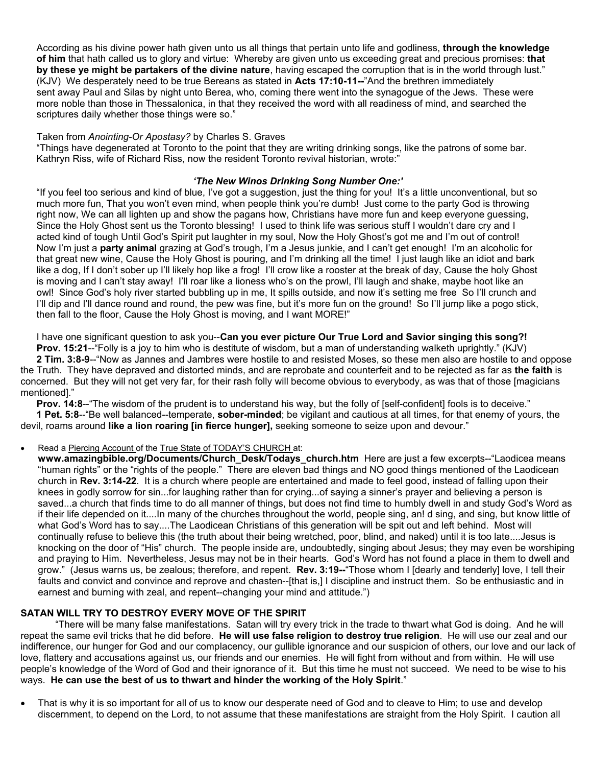According as his divine power hath given unto us all things that pertain unto life and godliness, **through the knowledge of him** that hath called us to glory and virtue: Whereby are given unto us exceeding great and precious promises: **that by these ye might be partakers of the divine nature**, having escaped the corruption that is in the world through lust." (KJV) We desperately need to be true Bereans as stated in **Acts 17:10-11--**"And the brethren immediately sent away Paul and Silas by night unto Berea, who, coming there went into the synagogue of the Jews. These were more noble than those in Thessalonica, in that they received the word with all readiness of mind, and searched the scriptures daily whether those things were so."

# Taken from *Anointing-Or Apostasy?* by Charles S. Graves

 "Things have degenerated at Toronto to the point that they are writing drinking songs, like the patrons of some bar. Kathryn Riss, wife of Richard Riss, now the resident Toronto revival historian, wrote:"

# *'The New Winos Drinking Song Number One:'*

 "If you feel too serious and kind of blue, I've got a suggestion, just the thing for you! It's a little unconventional, but so much more fun, That you won't even mind, when people think you're dumb! Just come to the party God is throwing right now, We can all lighten up and show the pagans how, Christians have more fun and keep everyone guessing, Since the Holy Ghost sent us the Toronto blessing! I used to think life was serious stuff I wouldn't dare cry and I acted kind of tough Until God's Spirit put laughter in my soul, Now the Holy Ghost's got me and I'm out of control! Now I'm just a **party animal** grazing at God's trough, I'm a Jesus junkie, and I can't get enough! I'm an alcoholic for that great new wine, Cause the Holy Ghost is pouring, and I'm drinking all the time! I just laugh like an idiot and bark like a dog, If I don't sober up I'll likely hop like a frog! I'll crow like a rooster at the break of day, Cause the holy Ghost is moving and I can't stay away! I'll roar like a lioness who's on the prowl, I'll laugh and shake, maybe hoot like an owl! Since God's holy river started bubbling up in me, It spills outside, and now it's setting me free So I'll crunch and I'll dip and I'll dance round and round, the pew was fine, but it's more fun on the ground! So I'll jump like a pogo stick, then fall to the floor, Cause the Holy Ghost is moving, and I want MORE!"

I have one significant question to ask you--**Can you ever picture Our True Lord and Savior singing this song?!**

 **Prov. 15:21**--"Folly is a joy to him who is destitute of wisdom, but a man of understanding walketh uprightly." (KJV)

 **2 Tim. 3:8-9**--"Now as Jannes and Jambres were hostile to and resisted Moses, so these men also are hostile to and oppose the Truth. They have depraved and distorted minds, and are reprobate and counterfeit and to be rejected as far as **the faith** is concerned. But they will not get very far, for their rash folly will become obvious to everybody, as was that of those [magicians mentioned]."

 **Prov. 14:8**--"The wisdom of the prudent is to understand his way, but the folly of [self-confident] fools is to deceive."  **1 Pet. 5:8**--"Be well balanced--temperate, **sober-minded**; be vigilant and cautious at all times, for that enemy of yours, the devil, roams around **like a lion roaring [in fierce hunger],** seeking someone to seize upon and devour."

#### Read a Piercing Account of the True State of TODAY'S CHURCH at:

www.amazingbible.org/Documents/Church\_Desk/Todays\_church.htm Here are just a few excerpts--"Laodicea means "human rights" or the "rights of the people." There are eleven bad things and NO good things mentioned of the Laodicean church in **Rev. 3:14-22**. It is a church where people are entertained and made to feel good, instead of falling upon their knees in godly sorrow for sin...for laughing rather than for crying...of saying a sinner's prayer and believing a person is saved...a church that finds time to do all manner of things, but does not find time to humbly dwell in and study God's Word as if their life depended on it....In many of the churches throughout the world, people sing, an! d sing, and sing, but know little of what God's Word has to say....The Laodicean Christians of this generation will be spit out and left behind. Most will continually refuse to believe this (the truth about their being wretched, poor, blind, and naked) until it is too late....Jesus is knocking on the door of "His" church. The people inside are, undoubtedly, singing about Jesus; they may even be worshiping and praying to Him. Nevertheless, Jesus may not be in their hearts. God's Word has not found a place in them to dwell and grow." (Jesus warns us, be zealous; therefore, and repent. **Rev. 3:19--**"Those whom I [dearly and tenderly] love, I tell their faults and convict and convince and reprove and chasten--[that is,] I discipline and instruct them. So be enthusiastic and in earnest and burning with zeal, and repent--changing your mind and attitude.")

# **SATAN WILL TRY TO DESTROY EVERY MOVE OF THE SPIRIT**

"There will be many false manifestations. Satan will try every trick in the trade to thwart what God is doing. And he will repeat the same evil tricks that he did before. **He will use false religion to destroy true religion**. He will use our zeal and our indifference, our hunger for God and our complacency, our gullible ignorance and our suspicion of others, our love and our lack of love, flattery and accusations against us, our friends and our enemies. He will fight from without and from within. He will use people's knowledge of the Word of God and their ignorance of it. But this time he must not succeed. We need to be wise to his ways. **He can use the best of us to thwart and hinder the working of the Holy Spirit**."

That is why it is so important for all of us to know our desperate need of God and to cleave to Him; to use and develop discernment, to depend on the Lord, to not assume that these manifestations are straight from the Holy Spirit. I caution all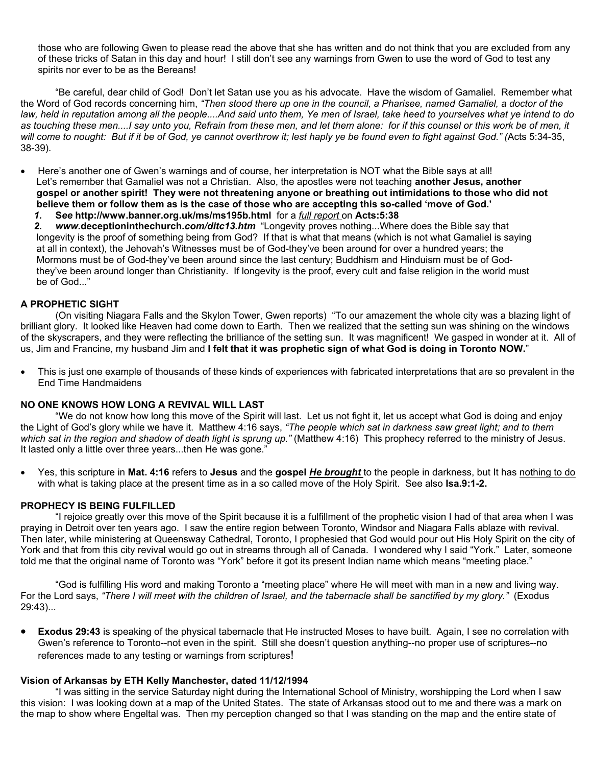those who are following Gwen to please read the above that she has written and do not think that you are excluded from any of these tricks of Satan in this day and hour! I still don't see any warnings from Gwen to use the word of God to test any spirits nor ever to be as the Bereans!

"Be careful, dear child of God! Don't let Satan use you as his advocate. Have the wisdom of Gamaliel. Remember what the Word of God records concerning him, *"Then stood there up one in the council, a Pharisee, named Gamaliel, a doctor of the law, held in reputation among all the people....And said unto them, Ye men of Israel, take heed to yourselves what ye intend to do as touching these men....I say unto you, Refrain from these men, and let them alone: for if this counsel or this work be of men, it will come to nought: But if it be of God, ye cannot overthrow it; lest haply ye be found even to fight against God." (*Acts 5:34-35, 38-39).

• Here's another one of Gwen's warnings and of course, her interpretation is NOT what the Bible says at all! Let's remember that Gamaliel was not a Christian. Also, the apostles were not teaching **another Jesus, another gospel or another spirit! They were not threatening anyone or breathing out intimidations to those who did not believe them or follow them as is the case of those who are accepting this so-called 'move of God.'** 

 *1.* **S***ee* **http://www.banner.org.uk/ms/ms195b.html** for a *full report* on **Acts:5:38** 

 *2. www.***deceptioninthechurch***.com/ditc13.htm* "Longevity proves nothing...Where does the Bible say that longevity is the proof of something being from God? If that is what that means (which is not what Gamaliel is saying at all in context), the Jehovah's Witnesses must be of God-they've been around for over a hundred years; the Mormons must be of God-they've been around since the last century; Buddhism and Hinduism must be of God they've been around longer than Christianity. If longevity is the proof, every cult and false religion in the world must be of God..."

# **A PROPHETIC SIGHT**

 (On visiting Niagara Falls and the Skylon Tower, Gwen reports) "To our amazement the whole city was a blazing light of brilliant glory. It looked like Heaven had come down to Earth. Then we realized that the setting sun was shining on the windows of the skyscrapers, and they were reflecting the brilliance of the setting sun. It was magnificent! We gasped in wonder at it. All of us, Jim and Francine, my husband Jim and **I felt that it was prophetic sign of what God is doing in Toronto NOW.**"

• This is just one example of thousands of these kinds of experiences with fabricated interpretations that are so prevalent in the End Time Handmaidens

# **NO ONE KNOWS HOW LONG A REVIVAL WILL LAST**

 "We do not know how long this move of the Spirit will last. Let us not fight it, let us accept what God is doing and enjoy the Light of God's glory while we have it. Matthew 4:16 says, *"The people which sat in darkness saw great light; and to them which sat in the region and shadow of death light is sprung up."* (Matthew 4:16) This prophecy referred to the ministry of Jesus. It lasted only a little over three years...then He was gone."

• Yes, this scripture in **Mat. 4:16** refers to **Jesus** and the **gospel** *He brought* to the people in darkness, but It has nothing to do with what is taking place at the present time as in a so called move of the Holy Spirit. See also **Isa.9:1-2.** 

#### **PROPHECY IS BEING FULFILLED**

 "I rejoice greatly over this move of the Spirit because it is a fulfillment of the prophetic vision I had of that area when I was praying in Detroit over ten years ago. I saw the entire region between Toronto, Windsor and Niagara Falls ablaze with revival. Then later, while ministering at Queensway Cathedral, Toronto, I prophesied that God would pour out His Holy Spirit on the city of York and that from this city revival would go out in streams through all of Canada. I wondered why I said "York." Later, someone told me that the original name of Toronto was "York" before it got its present Indian name which means "meeting place."

"God is fulfilling His word and making Toronto a "meeting place" where He will meet with man in a new and living way. For the Lord says, *"There I will meet with the children of Israel, and the tabernacle shall be sanctified by my glory."* (Exodus 29:43)...

• **Exodus 29:43** is speaking of the physical tabernacle that He instructed Moses to have built. Again, I see no correlation with Gwen's reference to Toronto--not even in the spirit. Still she doesn't question anything--no proper use of scriptures--no references made to any testing or warnings from scriptures!

# **Vision of Arkansas by ETH Kelly Manchester, dated 11/12/1994**

 "I was sitting in the service Saturday night during the International School of Ministry, worshipping the Lord when I saw this vision: I was looking down at a map of the United States. The state of Arkansas stood out to me and there was a mark on the map to show where Engeltal was. Then my perception changed so that I was standing on the map and the entire state of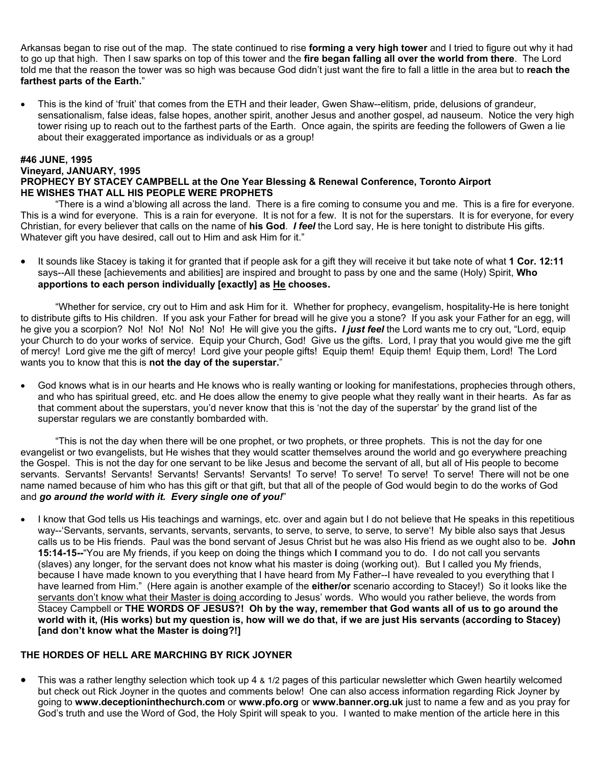Arkansas began to rise out of the map. The state continued to rise **forming a very high tower** and I tried to figure out why it had to go up that high. Then I saw sparks on top of this tower and the **fire began falling all over the world from there**. The Lord told me that the reason the tower was so high was because God didn't just want the fire to fall a little in the area but to **reach the farthest parts of the Earth.**"

• This is the kind of 'fruit' that comes from the ETH and their leader, Gwen Shaw--elitism, pride, delusions of grandeur, sensationalism, false ideas, false hopes, another spirit, another Jesus and another gospel, ad nauseum. Notice the very high tower rising up to reach out to the farthest parts of the Earth. Once again, the spirits are feeding the followers of Gwen a lie about their exaggerated importance as individuals or as a group!

#### **#46 JUNE, 1995 Vineyard, JANUARY, 1995 PROPHECY BY STACEY CAMPBELL at the One Year Blessing & Renewal Conference, Toronto Airport HE WISHES THAT ALL HIS PEOPLE WERE PROPHETS**

 "There is a wind a'blowing all across the land. There is a fire coming to consume you and me. This is a fire for everyone. This is a wind for everyone. This is a rain for everyone. It is not for a few. It is not for the superstars. It is for everyone, for every Christian, for every believer that calls on the name of **his God**. *I feel* the Lord say, He is here tonight to distribute His gifts. Whatever gift you have desired, call out to Him and ask Him for it."

• It sounds like Stacey is taking it for granted that if people ask for a gift they will receive it but take note of what **1 Cor. 12:11**  says--All these [achievements and abilities] are inspired and brought to pass by one and the same (Holy) Spirit, **Who apportions to each person individually [exactly] as He chooses.** 

"Whether for service, cry out to Him and ask Him for it. Whether for prophecy, evangelism, hospitality-He is here tonight to distribute gifts to His children. If you ask your Father for bread will he give you a stone? If you ask your Father for an egg, will he give you a scorpion? No! No! No! No! No! He will give you the gifts**.** *I just feel* the Lord wants me to cry out, "Lord, equip your Church to do your works of service. Equip your Church, God! Give us the gifts. Lord, I pray that you would give me the gift of mercy! Lord give me the gift of mercy! Lord give your people gifts! Equip them! Equip them! Equip them, Lord! The Lord wants you to know that this is **not the day of the superstar.**"

• God knows what is in our hearts and He knows who is really wanting or looking for manifestations, prophecies through others, and who has spiritual greed, etc. and He does allow the enemy to give people what they really want in their hearts. As far as that comment about the superstars, you'd never know that this is 'not the day of the superstar' by the grand list of the superstar regulars we are constantly bombarded with.

"This is not the day when there will be one prophet, or two prophets, or three prophets. This is not the day for one evangelist or two evangelists, but He wishes that they would scatter themselves around the world and go everywhere preaching the Gospel. This is not the day for one servant to be like Jesus and become the servant of all, but all of His people to become servants. Servants! Servants! Servants! Servants! Servants! To serve! To serve! To serve! To serve! There will not be one name named because of him who has this gift or that gift, but that all of the people of God would begin to do the works of God and *go around the world with it. Every single one of you!*"

• I know that God tells us His teachings and warnings, etc. over and again but I do not believe that He speaks in this repetitious way--'Servants, servants, servants, servants, servants, to serve, to serve, to serve, to serve'! My bible also says that Jesus calls us to be His friends. Paul was the bond servant of Jesus Christ but he was also His friend as we ought also to be. **John 15:14-15--**"You are My friends, if you keep on doing the things which **I** command you to do. I do not call you servants (slaves) any longer, for the servant does not know what his master is doing (working out). But I called you My friends, because I have made known to you everything that I have heard from My Father--I have revealed to you everything that I have learned from Him." (Here again is another example of the **either/or** scenario according to Stacey!) So it looks like the servants don't know what their Master is doing according to Jesus' words. Who would you rather believe, the words from Stacey Campbell or **THE WORDS OF JESUS?! Oh by the way, remember that God wants all of us to go around the world with it, (His works) but my question is, how will we do that, if we are just His servants (according to Stacey) [and don't know what the Master is doing?!]** 

# **THE HORDES OF HELL ARE MARCHING BY RICK JOYNER**

• This was a rather lengthy selection which took up 4 & 1/2 pages of this particular newsletter which Gwen heartily welcomed but check out Rick Joyner in the quotes and comments below! One can also access information regarding Rick Joyner by going to **www.deceptioninthechurch.com** or **www.pfo.org** or **www.banner.org.uk** just to name a few and as you pray for God's truth and use the Word of God, the Holy Spirit will speak to you. I wanted to make mention of the article here in this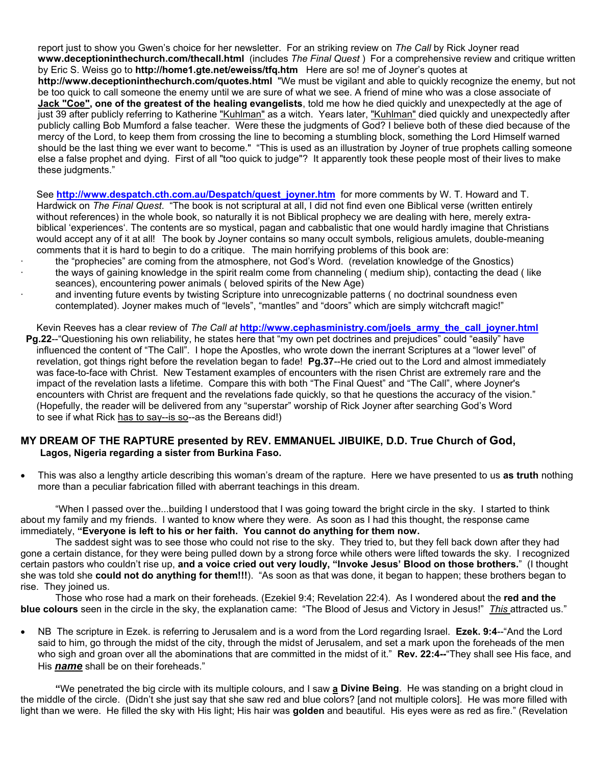report just to show you Gwen's choice for her newsletter. For an striking review on *The Call* by Rick Joyner read **www.deceptioninthechurch.com/thecall.html** (includes *The Final Quest* ) For a comprehensive review and critique written by Eric S. Weiss go to **http://home1.gte.net/eweiss/tfq.htm** Here are so! me of Joyner's quotes at **http://www.deceptioninthechurch.com/quotes.html** "We must be vigilant and able to quickly recognize the enemy, but not be too quick to call someone the enemy until we are sure of what we see. A friend of mine who was a close associate of **Jack "Coe", one of the greatest of the healing evangelists**, told me how he died quickly and unexpectedly at the age of just 39 after publicly referring to Katherine "Kuhlman" as a witch. Years later, "Kuhlman" died quickly and unexpectedly after publicly calling Bob Mumford a false teacher. Were these the judgments of God? I believe both of these died because of the mercy of the Lord, to keep them from crossing the line to becoming a stumbling block, something the Lord Himself warned should be the last thing we ever want to become." "This is used as an illustration by Joyner of true prophets calling someone else a false prophet and dying. First of all "too quick to judge"? It apparently took these people most of their lives to make these judgments."

 See **[http://www.despatch.cth.com.au/Despatch/quest\\_joyner.htm](http://www.despatch.cth.com.au/Despatch/quest_joyner.htm)** for more comments by W. T. Howard and T. Hardwick on *The Final Quest*. "The book is not scriptural at all, I did not find even one Biblical verse (written entirely without references) in the whole book, so naturally it is not Biblical prophecy we are dealing with here, merely extra biblical 'experiences'. The contents are so mystical, pagan and cabbalistic that one would hardly imagine that Christians would accept any of it at all! The book by Joyner contains so many occult symbols, religious amulets, double-meaning<br>comments that it is hard to begin to do a critique. The main horrifying problems of this book are:

the "prophecies" are coming from the atmosphere, not God's Word. (revelation knowledge of the Gnostics)<br>the ways of gaining knowledge in the spirit realm come from channeling (medium ship), contacting the dead (like seances), encountering power animals ( beloved spirits of the New Age) and inventing future events by twisting Scripture into unrecognizable patterns (no doctrinal soundness even contemplated). Joyner makes much of "levels", "mantles" and "doors" which are simply witchcraft magic!"

 Kevin Reeves has a clear review of *The Call at* **[http://www.cephasministry.com/joels\\_army\\_the\\_call\\_joyner.html](http://www.cephasministry.com/joels_army_the_call_joyner.html) Pg.22**--"Questioning his own reliability, he states here that "my own pet doctrines and prejudices" could "easily" have influenced the content of "The Call". I hope the Apostles, who wrote down the inerrant Scriptures at a "lower level" of revelation, got things right before the revelation began to fade! **Pg.37**--He cried out to the Lord and almost immediately was face-to-face with Christ. New Testament examples of encounters with the risen Christ are extremely rare and the impact of the revelation lasts a lifetime. Compare this with both "The Final Quest" and "The Call", where Joyner's encounters with Christ are frequent and the revelations fade quickly, so that he questions the accuracy of the vision." (Hopefully, the reader will be delivered from any "superstar" worship of Rick Joyner after searching God's Word to see if what Rick has to say--is so--as the Bereans did!)

# **MY DREAM OF THE RAPTURE presented by REV. EMMANUEL JIBUIKE, D.D. True Church of God, Lagos, Nigeria regarding a sister from Burkina Faso.**

• This was also a lengthy article describing this woman's dream of the rapture. Here we have presented to us **as truth** nothing more than a peculiar fabrication filled with aberrant teachings in this dream.

"When I passed over the...building I understood that I was going toward the bright circle in the sky. I started to think about my family and my friends. I wanted to know where they were. As soon as I had this thought, the response came immediately, **"Everyone is left to his or her faith. You cannot do anything for them now.**

 The saddest sight was to see those who could not rise to the sky. They tried to, but they fell back down after they had gone a certain distance, for they were being pulled down by a strong force while others were lifted towards the sky. I recognized certain pastors who couldn't rise up, **and a voice cried out very loudly, "Invoke Jesus' Blood on those brothers.**"(I thought she was told she **could not do anything for them!!!**). "As soon as that was done, it began to happen; these brothers began to rise. They joined us.

 Those who rose had a mark on their foreheads. (Ezekiel 9:4; Revelation 22:4). As I wondered about the **red and the blue colours** seen in the circle in the sky, the explanation came: "The Blood of Jesus and Victory in Jesus!" *This* attracted us."

• NB The scripture in Ezek. is referring to Jerusalem and is a word from the Lord regarding Israel. **Ezek. 9:4**--"And the Lord said to him, go through the midst of the city, through the midst of Jerusalem, and set a mark upon the foreheads of the men who sigh and groan over all the abominations that are committed in the midst of it." **Rev. 22:4--**"They shall see His face, and His *name* shall be on their foreheads."

 **"**We penetrated the big circle with its multiple colours, and I saw **a Divine Being**. He was standing on a bright cloud in the middle of the circle. (Didn't she just say that she saw red and blue colors? [and not multiple colors]. He was more filled with light than we were. He filled the sky with His light; His hair was **golden** and beautiful. His eyes were as red as fire." (Revelation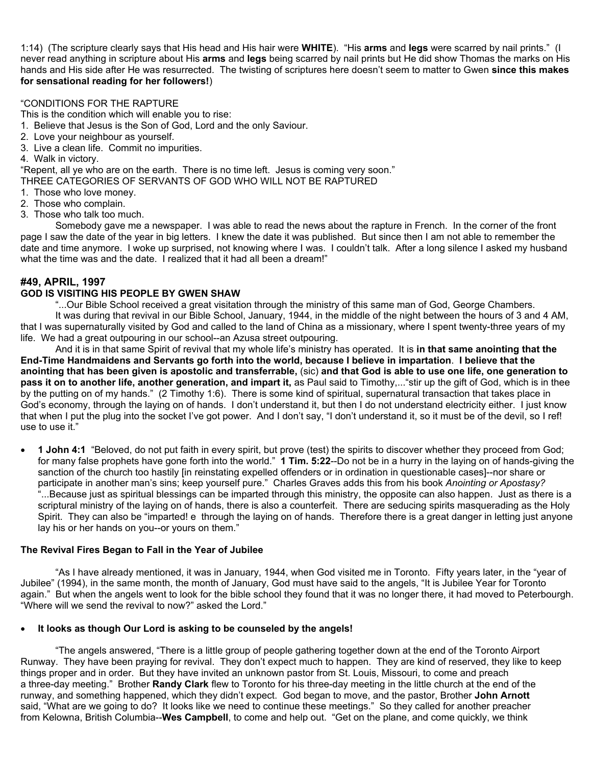1:14) (The scripture clearly says that His head and His hair were **WHITE**). "His **arms** and **legs** were scarred by nail prints." (I never read anything in scripture about His **arms** and **legs** being scarred by nail prints but He did show Thomas the marks on His hands and His side after He was resurrected. The twisting of scriptures here doesn't seem to matter to Gwen **since this makes for sensational reading for her followers!**)

# "CONDITIONS FOR THE RAPTURE

This is the condition which will enable you to rise:

- 1. Believe that Jesus is the Son of God, Lord and the only Saviour.
- 2. Love your neighbour as yourself.
- 3. Live a clean life. Commit no impurities.
- 4. Walk in victory.

"Repent, all ye who are on the earth. There is no time left. Jesus is coming very soon."

THREE CATEGORIES OF SERVANTS OF GOD WHO WILL NOT BE RAPTURED

- 1. Those who love money.
- 2. Those who complain.
- 3. Those who talk too much.

 Somebody gave me a newspaper. I was able to read the news about the rapture in French. In the corner of the front page I saw the date of the year in big letters. I knew the date it was published. But since then I am not able to remember the date and time anymore. I woke up surprised, not knowing where I was. I couldn't talk. After a long silence I asked my husband what the time was and the date. I realized that it had all been a dream!"

# **#49, APRIL, 1997**

# **GOD IS VISITING HIS PEOPLE BY GWEN SHAW**

 "...Our Bible School received a great visitation through the ministry of this same man of God, George Chambers. It was during that revival in our Bible School, January, 1944, in the middle of the night between the hours of 3 and 4 AM, that I was supernaturally visited by God and called to the land of China as a missionary, where I spent twenty-three years of my life. We had a great outpouring in our school--an Azusa street outpouring.

 And it is in that same Spirit of revival that my whole life's ministry has operated. It is **in that same anointing that the End-Time Handmaidens and Servants go forth into the world, because I believe in impartation**. **I believe that the anointing that has been given is apostolic and transferrable,** (sic) **and that God is able to use one life, one generation to**  pass it on to another life, another generation, and impart it, as Paul said to Timothy,... "stir up the gift of God, which is in thee by the putting on of my hands." (2 Timothy 1:6). There is some kind of spiritual, supernatural transaction that takes place in God's economy, through the laying on of hands. I don't understand it, but then I do not understand electricity either. I just know that when I put the plug into the socket I've got power. And I don't say, "I don't understand it, so it must be of the devil, so I ref! use to use it."

• **1 John 4:1** "Beloved, do not put faith in every spirit, but prove (test) the spirits to discover whether they proceed from God; for many false prophets have gone forth into the world." **1 Tim. 5:22**--Do not be in a hurry in the laying on of hands-giving the sanction of the church too hastily [in reinstating expelled offenders or in ordination in questionable cases]--nor share or participate in another man's sins; keep yourself pure." Charles Graves adds this from his book *Anointing or Apostasy?*  "...Because just as spiritual blessings can be imparted through this ministry, the opposite can also happen. Just as there is a scriptural ministry of the laying on of hands, there is also a counterfeit. There are seducing spirits masquerading as the Holy Spirit. They can also be "imparted! e through the laying on of hands. Therefore there is a great danger in letting just anyone lay his or her hands on you--or yours on them."

#### **The Revival Fires Began to Fall in the Year of Jubilee**

"As I have already mentioned, it was in January, 1944, when God visited me in Toronto. Fifty years later, in the "year of Jubilee" (1994), in the same month, the month of January, God must have said to the angels, "It is Jubilee Year for Toronto again." But when the angels went to look for the bible school they found that it was no longer there, it had moved to Peterbourgh. "Where will we send the revival to now?" asked the Lord."

#### • **It looks as though Our Lord is asking to be counseled by the angels!**

"The angels answered, "There is a little group of people gathering together down at the end of the Toronto Airport Runway. They have been praying for revival. They don't expect much to happen. They are kind of reserved, they like to keep things proper and in order. But they have invited an unknown pastor from St. Louis, Missouri, to come and preach a three-day meeting." Brother **Randy Clark** flew to Toronto for his three-day meeting in the little church at the end of the runway, and something happened, which they didn't expect. God began to move, and the pastor, Brother **John Arnott**  said, "What are we going to do? It looks like we need to continue these meetings." So they called for another preacher from Kelowna, British Columbia--**Wes Campbell**, to come and help out. "Get on the plane, and come quickly, we think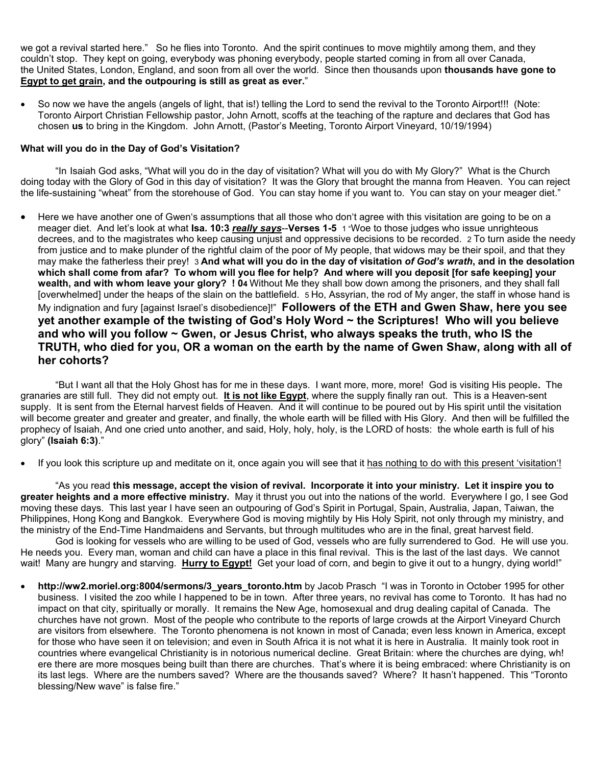we got a revival started here." So he flies into Toronto. And the spirit continues to move mightily among them, and they couldn't stop. They kept on going, everybody was phoning everybody, people started coming in from all over Canada, the United States, London, England, and soon from all over the world. Since then thousands upon **thousands have gone to Egypt to get grain, and the outpouring is still as great as ever.**"

• So now we have the angels (angels of light, that is!) telling the Lord to send the revival to the Toronto Airport!!! (Note: Toronto Airport Christian Fellowship pastor, John Arnott, scoffs at the teaching of the rapture and declares that God has chosen **us** to bring in the Kingdom. John Arnott, (Pastor's Meeting, Toronto Airport Vineyard, 10/19/1994)

# **What will you do in the Day of God's Visitation?**

 "In Isaiah God asks, "What will you do in the day of visitation? What will you do with My Glory?" What is the Church doing today with the Glory of God in this day of visitation? It was the Glory that brought the manna from Heaven. You can reject the life-sustaining "wheat" from the storehouse of God. You can stay home if you want to. You can stay on your meager diet."

• Here we have another one of Gwen's assumptions that all those who don't agree with this visitation are going to be on a meager diet. And let's look at what **Isa. 10:3** *really says*--**Verses 1-5** 1 "Woe to those judges who issue unrighteous decrees, and to the magistrates who keep causing unjust and oppressive decisions to be recorded. 2 To turn aside the needy from justice and to make plunder of the rightful claim of the poor of My people, that widows may be their spoil, and that they may make the fatherless their prey! 3 **And what will you do in the day of visitation** *of God's wrath***, and in the desolation which shall come from afar? To whom will you flee for help? And where will you deposit [for safe keeping] your wealth, and with whom leave your glory? ! 04** Without Me they shall bow down among the prisoners, and they shall fall [overwhelmed] under the heaps of the slain on the battlefield. 5 Ho, Assyrian, the rod of My anger, the staff in whose hand is My indignation and fury [against Israel's disobedience]!" **Followers of the ETH and Gwen Shaw, here you see yet another example of the twisting of God's Holy Word ~ the Scriptures! Who will you believe and who will you follow ~ Gwen, or Jesus Christ, who always speaks the truth, who IS the TRUTH, who died for you, OR a woman on the earth by the name of Gwen Shaw, along with all of her cohorts?**

"But I want all that the Holy Ghost has for me in these days. I want more, more, more! God is visiting His people**.** The granaries are still full. They did not empty out. **It is not like Egypt**, where the supply finally ran out. This is a Heaven-sent supply. It is sent from the Eternal harvest fields of Heaven. And it will continue to be poured out by His spirit until the visitation will become greater and greater and greater, and finally, the whole earth will be filled with His Glory. And then will be fulfilled the prophecy of Isaiah, And one cried unto another, and said, Holy, holy, holy, is the LORD of hosts: the whole earth is full of his glory" **(Isaiah 6:3)**."

• If you look this scripture up and meditate on it, once again you will see that it has nothing to do with this present 'visitation'!

"As you read **this message, accept the vision of revival. Incorporate it into your ministry. Let it inspire you to greater heights and a more effective ministry.** May it thrust you out into the nations of the world. Everywhere I go, I see God moving these days. This last year I have seen an outpouring of God's Spirit in Portugal, Spain, Australia, Japan, Taiwan, the Philippines, Hong Kong and Bangkok. Everywhere God is moving mightily by His Holy Spirit, not only through my ministry, and the ministry of the End-Time Handmaidens and Servants, but through multitudes who are in the final, great harvest field.

 God is looking for vessels who are willing to be used of God, vessels who are fully surrendered to God. He will use you. He needs you. Every man, woman and child can have a place in this final revival. This is the last of the last days. We cannot wait! Many are hungry and starving. Hurry to Egypt! Get your load of corn, and begin to give it out to a hungry, dying world!"

• **http://ww2.moriel.org:8004/sermons/3\_years\_toronto.htm** by Jacob Prasch "I was in Toronto in October 1995 for other business. I visited the zoo while I happened to be in town. After three years, no revival has come to Toronto. It has had no impact on that city, spiritually or morally. It remains the New Age, homosexual and drug dealing capital of Canada. The churches have not grown. Most of the people who contribute to the reports of large crowds at the Airport Vineyard Church are visitors from elsewhere. The Toronto phenomena is not known in most of Canada; even less known in America, except for those who have seen it on television; and even in South Africa it is not what it is here in Australia. It mainly took root in countries where evangelical Christianity is in notorious numerical decline. Great Britain: where the churches are dying, wh! ere there are more mosques being built than there are churches. That's where it is being embraced: where Christianity is on its last legs. Where are the numbers saved? Where are the thousands saved? Where? It hasn't happened. This "Toronto blessing/New wave" is false fire."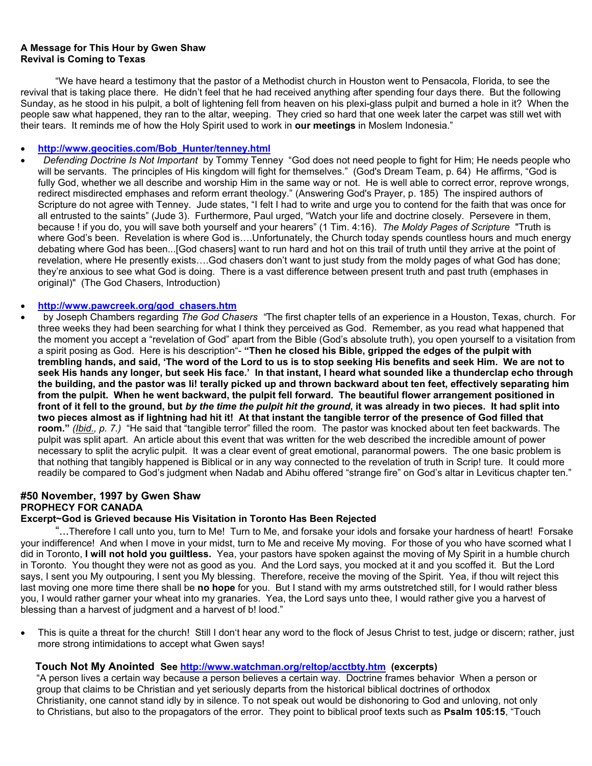#### **A Message for This Hour by Gwen Shaw Revival is Coming to Texas**

"We have heard a testimony that the pastor of a Methodist church in Houston went to Pensacola, Florida, to see the revival that is taking place there. He didn't feel that he had received anything after spending four days there. But the following Sunday, as he stood in his pulpit, a bolt of lightening fell from heaven on his plexi-glass pulpit and burned a hole in it? When the people saw what happened, they ran to the altar, weeping. They cried so hard that one week later the carpet was still wet with their tears. It reminds me of how the Holy Spirit used to work in **our meetings** in Moslem Indonesia."

# • **[http://www.geocities.com/Bob\\_Hunter/tenney.html](http://www.geocities.com/Bob_Hunter/tenney.html)**

• *Defending Doctrine Is Not Important* by Tommy Tenney "God does not need people to fight for Him; He needs people who will be servants. The principles of His kingdom will fight for themselves." (God's Dream Team, p. 64) He affirms, "God is fully God, whether we all describe and worship Him in the same way or not. He is well able to correct error, reprove wrongs, redirect misdirected emphases and reform errant theology." (Answering God's Prayer, p. 185) The inspired authors of Scripture do not agree with Tenney. Jude states, "I felt I had to write and urge you to contend for the faith that was once for all entrusted to the saints" (Jude 3). Furthermore, Paul urged, "Watch your life and doctrine closely. Persevere in them, because ! if you do, you will save both yourself and your hearers" (1 Tim. 4:16). *The Moldy Pages of Scripture* "Truth is where God's been. Revelation is where God is….Unfortunately, the Church today spends countless hours and much energy debating where God has been...[God chasers] want to run hard and hot on this trail of truth until they arrive at the point of revelation, where He presently exists….God chasers don't want to just study from the moldy pages of what God has done; they're anxious to see what God is doing. There is a vast difference between present truth and past truth (emphases in original)" (The God Chasers, Introduction)

# • **[http://www.pawcreek.org/god\\_chasers.htm](http://www.pawcreek.org/god_chasers.htm)**

• by Joseph Chambers regarding *The God Chasers "*The first chapter tells of an experience in a Houston, Texas, church. For three weeks they had been searching for what I think they perceived as God. Remember, as you read what happened that the moment you accept a "revelation of God" apart from the Bible (God's absolute truth), you open yourself to a visitation from a spirit posing as God. Here is his description"- **"Then he closed his Bible, gripped the edges of the pulpit with trembling hands, and said, 'The word of the Lord to us is to stop seeking His benefits and seek Him. We are not to seek His hands any longer, but seek His face.' In that instant, I heard what sounded like a thunderclap echo through the building, and the pastor was li! terally picked up and thrown backward about ten feet, effectively separating him from the pulpit. When he went backward, the pulpit fell forward. The beautiful flower arrangement positioned in front of it fell to the ground, but** *by the time the pulpit hit the ground***, it was already in two pieces. It had split into two pieces almost as if lightning had hit it! At that instant the tangible terror of the presence of God filled that room."** *(Ibid., p. 7.)* "He said that "tangible terror" filled the room. The pastor was knocked about ten feet backwards. The pulpit was split apart. An article about this event that was written for the web described the incredible amount of power necessary to split the acrylic pulpit. It was a clear event of great emotional, paranormal powers. The one basic problem is that nothing that tangibly happened is Biblical or in any way connected to the revelation of truth in Scrip! ture. It could more readily be compared to God's judgment when Nadab and Abihu offered "strange fire" on God's altar in Leviticus chapter ten."

# **#50 November, 1997 by Gwen Shaw PROPHECY FOR CANADA**

#### **Excerpt~God is Grieved because His Visitation in Toronto Has Been Rejected**

 "...Therefore I call unto you, turn to Me! Turn to Me, and forsake your idols and forsake your hardness of heart! Forsake your indifference! And when I move in your midst, turn to Me and receive My moving. For those of you who have scorned what I did in Toronto, **I will not hold you guiltless.** Yea, your pastors have spoken against the moving of My Spirit in a humble church in Toronto. You thought they were not as good as you. And the Lord says, you mocked at it and you scoffed it. But the Lord says, I sent you My outpouring, I sent you My blessing. Therefore, receive the moving of the Spirit. Yea, if thou wilt reject this last moving one more time there shall be **no hope** for you. But I stand with my arms outstretched still, for I would rather bless you, I would rather garner your wheat into my granaries. Yea, the Lord says unto thee, I would rather give you a harvest of blessing than a harvest of judgment and a harvest of b! lood."

This is quite a threat for the church! Still I don't hear any word to the flock of Jesus Christ to test, judge or discern; rather, just more strong intimidations to accept what Gwen says!

#### **Touch Not My Anointed See <http://www.watchman.org/reltop/acctbty.htm> (excerpts)**

 "A person lives a certain way because a person believes a certain way. Doctrine frames behavior When a person or group that claims to be Christian and yet seriously departs from the historical biblical doctrines of orthodox Christianity, one cannot stand idly by in silence. To not speak out would be dishonoring to God and unloving, not only to Christians, but also to the propagators of the error. They point to biblical proof texts such as **Psalm 105:15**, "Touch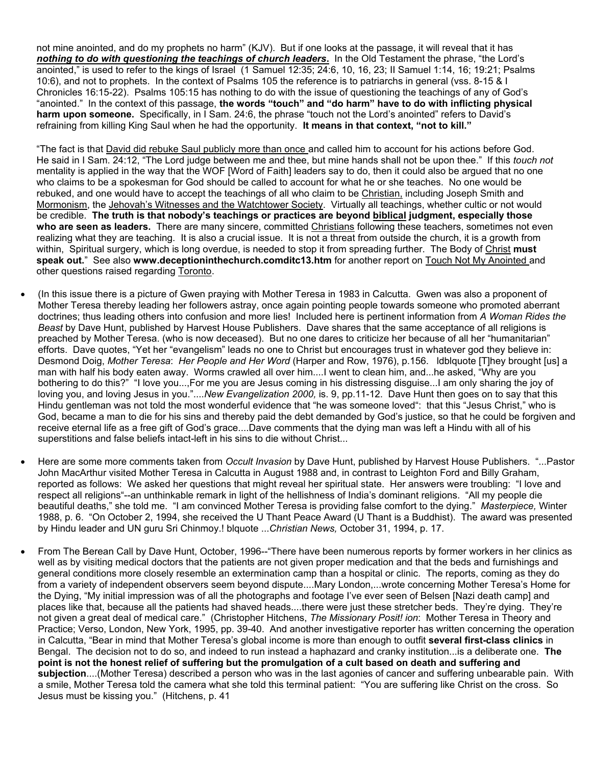not mine anointed, and do my prophets no harm" (KJV). But if one looks at the passage, it will reveal that it has *nothing to do with questioning the teachings of church leaders***.** In the Old Testament the phrase, "the Lord's anointed," is used to refer to the kings of Israel (1 Samuel 12:35; 24:6, 10, 16, 23; II Samuel 1:14, 16; 19:21; Psalms 10:6), and not to prophets. In the context of Psalms 105 the reference is to patriarchs in general (vss. 8-15 & I Chronicles 16:15-22). Psalms 105:15 has nothing to do with the issue of questioning the teachings of any of God's "anointed." In the context of this passage, **the words "touch" and "do harm" have to do with inflicting physical harm upon someone.** Specifically, in I Sam. 24:6, the phrase "touch not the Lord's anointed" refers to David's refraining from killing King Saul when he had the opportunity. **It means in that context, "not to kill."** 

"The fact is that David did rebuke Saul publicly more than once and called him to account for his actions before God. He said in I Sam. 24:12, "The Lord judge between me and thee, but mine hands shall not be upon thee." If this *touch not*  mentality is applied in the way that the WOF [Word of Faith] leaders say to do, then it could also be argued that no one who claims to be a spokesman for God should be called to account for what he or she teaches. No one would be rebuked, and one would have to accept the teachings of all who claim to be Christian, including Joseph Smith and Mormonism, the Jehovah's Witnesses and the Watchtower Society. Virtually all teachings, whether cultic or not would be credible. **The truth is that nobody's teachings or practices are beyond biblical judgment, especially those who are seen as leaders.** There are many sincere, committed Christians following these teachers, sometimes not even realizing what they are teaching. It is also a crucial issue. It is not a threat from outside the church, it is a growth from within, Spiritual surgery, which is long overdue, is needed to stop it from spreading further. The Body of Christ **must speak out.**"See also **www.deceptioninthechurch.comditc13.htm** for another report on Touch Not My Anointed and other questions raised regarding Toronto.

- (In this issue there is a picture of Gwen praying with Mother Teresa in 1983 in Calcutta. Gwen was also a proponent of Mother Teresa thereby leading her followers astray, once again pointing people towards someone who promoted aberrant doctrines; thus leading others into confusion and more lies! Included here is pertinent information from *A Woman Rides the Beast* by Dave Hunt, published by Harvest House Publishers. Dave shares that the same acceptance of all religions is preached by Mother Teresa. (who is now deceased). But no one dares to criticize her because of all her "humanitarian" efforts. Dave quotes, "Yet her "evangelism" leads no one to Christ but encourages trust in whatever god they believe in: Desmond Doig, *Mother Teresa*: *Her People and Her Word* (Harper and Row, 1976), p.156. ldblquote [T]hey brought [us] a man with half his body eaten away. Worms crawled all over him....I went to clean him, and...he asked, "Why are you bothering to do this?" "I love you...,For me you are Jesus coming in his distressing disguise...I am only sharing the joy of loving you, and loving Jesus in you."....*New Evangelization 2000,* is. 9, pp.11-12. Dave Hunt then goes on to say that this Hindu gentleman was not told the most wonderful evidence that "he was someone loved": that this "Jesus Christ," who is God, became a man to die for his sins and thereby paid the debt demanded by God's justice, so that he could be forgiven and receive eternal life as a free gift of God's grace....Dave comments that the dying man was left a Hindu with all of his superstitions and false beliefs intact-left in his sins to die without Christ...
- Here are some more comments taken from *Occult Invasion* by Dave Hunt, published by Harvest House Publishers. "...Pastor John MacArthur visited Mother Teresa in Calcutta in August 1988 and, in contrast to Leighton Ford and Billy Graham, reported as follows: We asked her questions that might reveal her spiritual state. Her answers were troubling: "I love and respect all religions"--an unthinkable remark in light of the hellishness of India's dominant religions. "All my people die beautiful deaths," she told me. "I am convinced Mother Teresa is providing false comfort to the dying." *Masterpiece,* Winter 1988, p. 6. "On October 2, 1994, she received the U Thant Peace Award (U Thant is a Buddhist). The award was presented by Hindu leader and UN guru Sri Chinmoy.! blquote ...*Christian News,* October 31, 1994, p. 17.
- From The Berean Call by Dave Hunt, October, 1996--"There have been numerous reports by former workers in her clinics as well as by visiting medical doctors that the patients are not given proper medication and that the beds and furnishings and general conditions more closely resemble an extermination camp than a hospital or clinic. The reports, coming as they do from a variety of independent observers seem beyond dispute....Mary London,...wrote concerning Mother Teresa's Home for the Dying, "My initial impression was of all the photographs and footage I've ever seen of Belsen [Nazi death camp] and places like that, because all the patients had shaved heads....there were just these stretcher beds. They're dying. They're not given a great deal of medical care." (Christopher Hitchens, *The Missionary Posit! ion*: Mother Teresa in Theory and Practice; Verso, London, New York, 1995, pp. 39-40. And another investigative reporter has written concerning the operation in Calcutta, "Bear in mind that Mother Teresa's global income is more than enough to outfit **several first-class clinics** in Bengal. The decision not to do so, and indeed to run instead a haphazard and cranky institution...is a deliberate one. **The point is not the honest relief of suffering but the promulgation of a cult based on death and suffering and subjection**....(Mother Teresa) described a person who was in the last agonies of cancer and suffering unbearable pain. With a smile, Mother Teresa told the camera what she told this terminal patient: "You are suffering like Christ on the cross. So Jesus must be kissing you." (Hitchens, p. 41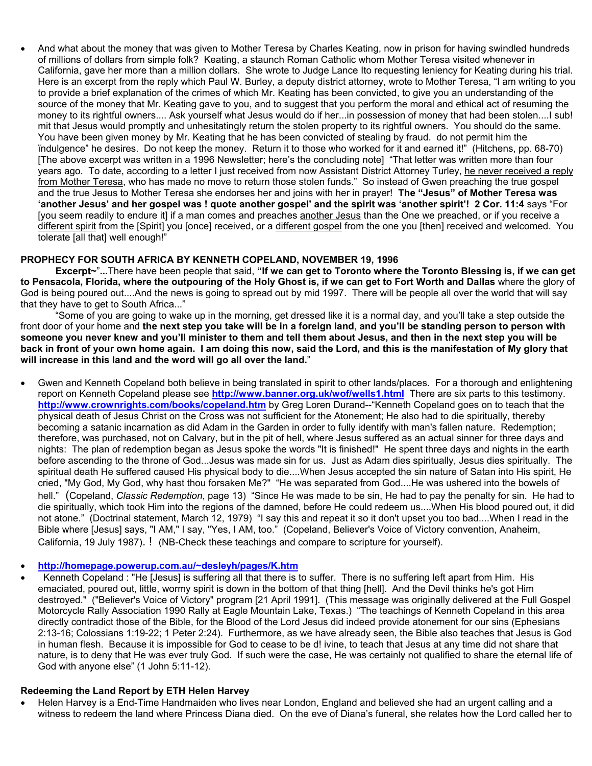• And what about the money that was given to Mother Teresa by Charles Keating, now in prison for having swindled hundreds of millions of dollars from simple folk? Keating, a staunch Roman Catholic whom Mother Teresa visited whenever in California, gave her more than a million dollars. She wrote to Judge Lance Ito requesting leniency for Keating during his trial. Here is an excerpt from the reply which Paul W. Burley, a deputy district attorney, wrote to Mother Teresa, "I am writing to you to provide a brief explanation of the crimes of which Mr. Keating has been convicted, to give you an understanding of the source of the money that Mr. Keating gave to you, and to suggest that you perform the moral and ethical act of resuming the money to its rightful owners.... Ask yourself what Jesus would do if her...in possession of money that had been stolen....I sub! mit that Jesus would promptly and unhesitatingly return the stolen property to its rightful owners. You should do the same. You have been given money by Mr. Keating that he has been convicted of stealing by fraud. do not permit him the ïndulgence" he desires. Do not keep the money. Return it to those who worked for it and earned it!" (Hitchens, pp. 68-70) [The above excerpt was written in a 1996 Newsletter; here's the concluding note] "That letter was written more than four years ago. To date, according to a letter I just received from now Assistant District Attorney Turley, he never received a reply from Mother Teresa, who has made no move to return those stolen funds." So instead of Gwen preaching the true gospel and the true Jesus to Mother Teresa she endorses her and joins with her in prayer! **The "Jesus" of Mother Teresa was 'another Jesus' and her gospel was ! quote another gospel' and the spirit was 'another spirit'! 2 Cor. 11:4** says "For [you seem readily to endure it] if a man comes and preaches another Jesus than the One we preached, or if you receive a different spirit from the [Spirit] you [once] received, or a different gospel from the one you [then] received and welcomed. You tolerate [all that] well enough!"

# **PROPHECY FOR SOUTH AFRICA BY KENNETH COPELAND, NOVEMBER 19, 1996**

 **Excerpt~**"**...**There have been people that said, **"If we can get to Toronto where the Toronto Blessing is, if we can get to Pensacola, Florida, where the outpouring of the Holy Ghost is, if we can get to Fort Worth and Dallas** where the glory of God is being poured out....And the news is going to spread out by mid 1997. There will be people all over the world that will say that they have to get to South Africa..."

 "Some of you are going to wake up in the morning, get dressed like it is a normal day, and you'll take a step outside the front door of your home and **the next step you take will be in a foreign land**, **and you'll be standing person to person with someone you never knew and you'll minister to them and tell them about Jesus, and then in the next step you will be back in front of your own home again. I am doing this now, said the Lord, and this is the manifestation of My glory that will increase in this land and the word will go all over the land.**"

• Gwen and Kenneth Copeland both believe in being translated in spirit to other lands/places. For a thorough and enlightening report on Kenneth Copeland please see **<http://www.banner.org.uk/wof/wells1.html>** There are six parts to this testimony. **<http://www.crownrights.com/books/copeland.htm>** by Greg Loren Durand--"Kenneth Copeland goes on to teach that the physical death of Jesus Christ on the Cross was not sufficient for the Atonement; He also had to die spiritually, thereby becoming a satanic incarnation as did Adam in the Garden in order to fully identify with man's fallen nature. Redemption; therefore, was purchased, not on Calvary, but in the pit of hell, where Jesus suffered as an actual sinner for three days and nights: The plan of redemption began as Jesus spoke the words "It is finished!" He spent three days and nights in the earth before ascending to the throne of God...Jesus was made sin for us. Just as Adam dies spiritually, Jesus dies spiritually. The spiritual death He suffered caused His physical body to die....When Jesus accepted the sin nature of Satan into His spirit, He cried, "My God, My God, why hast thou forsaken Me?" "He was separated from God....He was ushered into the bowels of hell." (Copeland, *Classic Redemption*, page 13) "Since He was made to be sin, He had to pay the penalty for sin. He had to die spiritually, which took Him into the regions of the damned, before He could redeem us....When His blood poured out, it did not atone." (Doctrinal statement, March 12, 1979) "I say this and repeat it so it don't upset you too bad....When I read in the Bible where [Jesus] says, "I AM," I say, "Yes, I AM, too." (Copeland, Believer's Voice of Victory convention, Anaheim, California, 19 July 1987). ! (NB-Check these teachings and compare to scripture for yourself).

# • **<http://homepage.powerup.com.au/~desleyh/pages/K.htm>**

• Kenneth Copeland : "He [Jesus] is suffering all that there is to suffer. There is no suffering left apart from Him. His emaciated, poured out, little, wormy spirit is down in the bottom of that thing [hell]. And the Devil thinks he's got Him destroyed." ("Believer's Voice of Victory" program [21 April 1991]. (This message was originally delivered at the Full Gospel Motorcycle Rally Association 1990 Rally at Eagle Mountain Lake, Texas.) "The teachings of Kenneth Copeland in this area directly contradict those of the Bible, for the Blood of the Lord Jesus did indeed provide atonement for our sins (Ephesians 2:13-16; Colossians 1:19-22; 1 Peter 2:24). Furthermore, as we have already seen, the Bible also teaches that Jesus is God in human flesh. Because it is impossible for God to cease to be d! ivine, to teach that Jesus at any time did not share that nature, is to deny that He was ever truly God. If such were the case, He was certainly not qualified to share the eternal life of God with anyone else" (1 John 5:11-12).

# **Redeeming the Land Report by ETH Helen Harvey**

• Helen Harvey is a End-Time Handmaiden who lives near London, England and believed she had an urgent calling and a witness to redeem the land where Princess Diana died. On the eve of Diana's funeral, she relates how the Lord called her to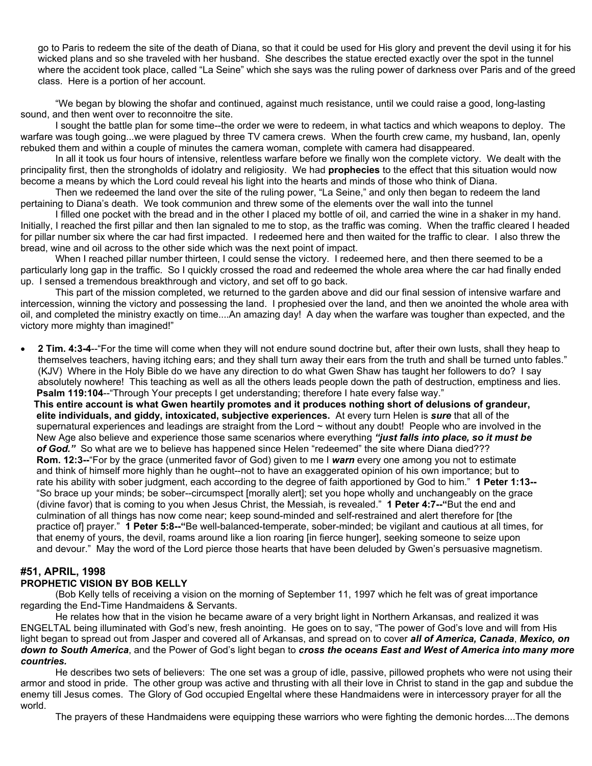go to Paris to redeem the site of the death of Diana, so that it could be used for His glory and prevent the devil using it for his wicked plans and so she traveled with her husband. She describes the statue erected exactly over the spot in the tunnel where the accident took place, called "La Seine" which she says was the ruling power of darkness over Paris and of the greed class. Here is a portion of her account.

"We began by blowing the shofar and continued, against much resistance, until we could raise a good, long-lasting sound, and then went over to reconnoitre the site.

 I sought the battle plan for some time--the order we were to redeem, in what tactics and which weapons to deploy. The warfare was tough going...we were plagued by three TV camera crews. When the fourth crew came, my husband, Ian, openly rebuked them and within a couple of minutes the camera woman, complete with camera had disappeared.

 In all it took us four hours of intensive, relentless warfare before we finally won the complete victory. We dealt with the principality first, then the strongholds of idolatry and religiosity. We had **prophecies** to the effect that this situation would now become a means by which the Lord could reveal his light into the hearts and minds of those who think of Diana.

 Then we redeemed the land over the site of the ruling power, "La Seine," and only then began to redeem the land pertaining to Diana's death. We took communion and threw some of the elements over the wall into the tunnel

I filled one pocket with the bread and in the other I placed my bottle of oil, and carried the wine in a shaker in my hand. Initially, I reached the first pillar and then Ian signaled to me to stop, as the traffic was coming. When the traffic cleared I headed for pillar number six where the car had first impacted. I redeemed here and then waited for the traffic to clear. I also threw the bread, wine and oil across to the other side which was the next point of impact.

 When I reached pillar number thirteen, I could sense the victory. I redeemed here, and then there seemed to be a particularly long gap in the traffic. So I quickly crossed the road and redeemed the whole area where the car had finally ended up. I sensed a tremendous breakthrough and victory, and set off to go back.

 This part of the mission completed, we returned to the garden above and did our final session of intensive warfare and intercession, winning the victory and possessing the land. I prophesied over the land, and then we anointed the whole area with oil, and completed the ministry exactly on time....An amazing day! A day when the warfare was tougher than expected, and the victory more mighty than imagined!"

• **2 Tim. 4:3-4**--"For the time will come when they will not endure sound doctrine but, after their own lusts, shall they heap to themselves teachers, having itching ears; and they shall turn away their ears from the truth and shall be turned unto fables." (KJV) Where in the Holy Bible do we have any direction to do what Gwen Shaw has taught her followers to do? I say absolutely nowhere! This teaching as well as all the others leads people down the path of destruction, emptiness and lies. **Psalm 119:104--**"Through Your precepts I get understanding; therefore I hate every false way."

 **This entire account is what Gwen heartily promotes and it produces nothing short of delusions of grandeur, elite individuals, and giddy, intoxicated, subjective experiences.** At every turn Helen is *sure* that all of the supernatural experiences and leadings are straight from the Lord  $\sim$  without any doubt! People who are involved in the New Age also believe and experience those same scenarios where everything *"just falls into place, so it must be of God."* So what are we to believe has happened since Helen "redeemed" the site where Diana died??? **Rom. 12:3--**"For by the grace (unmerited favor of God) given to me I *warn* every one among you not to estimate and think of himself more highly than he ought--not to have an exaggerated opinion of his own importance; but to rate his ability with sober judgment, each according to the degree of faith apportioned by God to him." **1 Peter 1:13--**  "So brace up your minds; be sober--circumspect [morally alert]; set you hope wholly and unchangeably on the grace (divine favor) that is coming to you when Jesus Christ, the Messiah, is revealed." **1 Peter 4:7--"**But the end and culmination of all things has now come near; keep sound-minded and self-restrained and alert therefore for [the practice of] prayer." **1 Peter 5:8--"**Be well-balanced-temperate, sober-minded; be vigilant and cautious at all times, for that enemy of yours, the devil, roams around like a lion roaring [in fierce hunger], seeking someone to seize upon and devour." May the word of the Lord pierce those hearts that have been deluded by Gwen's persuasive magnetism.

#### **#51, APRIL, 1998 PROPHETIC VISION BY BOB KELLY**

(Bob Kelly tells of receiving a vision on the morning of September 11, 1997 which he felt was of great importance regarding the End-Time Handmaidens & Servants.

 He relates how that in the vision he became aware of a very bright light in Northern Arkansas, and realized it was ENGELTAL being illuminated with God's new, fresh anointing. He goes on to say, "The power of God's love and will from His light began to spread out from Jasper and covered all of Arkansas, and spread on to cover *all of America, Canada*, *Mexico, on down to South America*, and the Power of God's light began to *cross the oceans East and West of America into many more countries.* 

 He describes two sets of believers: The one set was a group of idle, passive, pillowed prophets who were not using their armor and stood in pride. The other group was active and thrusting with all their love in Christ to stand in the gap and subdue the enemy till Jesus comes. The Glory of God occupied Engeltal where these Handmaidens were in intercessory prayer for all the world.

The prayers of these Handmaidens were equipping these warriors who were fighting the demonic hordes....The demons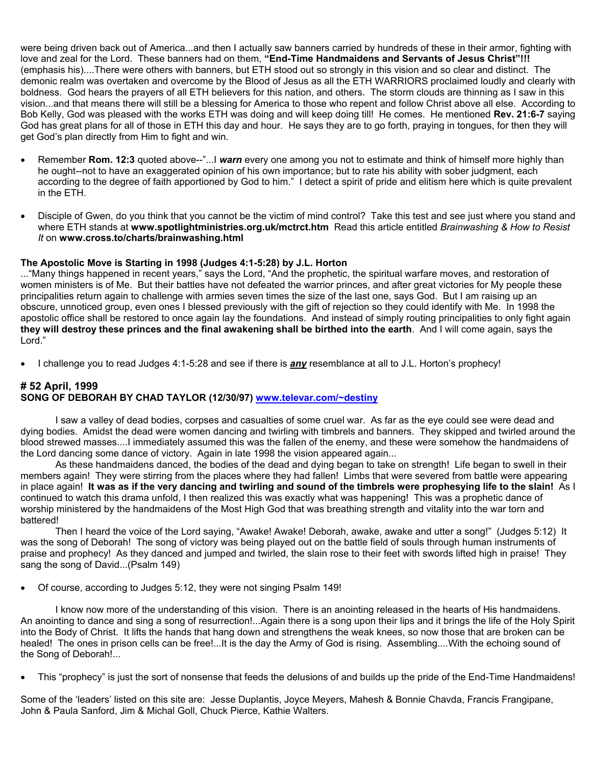were being driven back out of America...and then I actually saw banners carried by hundreds of these in their armor, fighting with love and zeal for the Lord. These banners had on them, **"End-Time Handmaidens and Servants of Jesus Christ"!!!**  (emphasis his)....There were others with banners, but ETH stood out so strongly in this vision and so clear and distinct. The demonic realm was overtaken and overcome by the Blood of Jesus as all the ETH WARRIORS proclaimed loudly and clearly with boldness. God hears the prayers of all ETH believers for this nation, and others. The storm clouds are thinning as I saw in this vision...and that means there will still be a blessing for America to those who repent and follow Christ above all else.According to Bob Kelly, God was pleased with the works ETH was doing and will keep doing till! He comes. He mentioned **Rev. 21:6-7** saying God has great plans for all of those in ETH this day and hour. He says they are to go forth, praying in tongues, for then they will get God's plan directly from Him to fight and win.

- Remember **Rom. 12:3** quoted above--"...I *warn* every one among you not to estimate and think of himself more highly than he ought--not to have an exaggerated opinion of his own importance; but to rate his ability with sober judgment, each according to the degree of faith apportioned by God to him." I detect a spirit of pride and elitism here which is quite prevalent in the ETH.
- Disciple of Gwen, do you think that you cannot be the victim of mind control? Take this test and see just where you stand and where ETH stands at **www.spotlightministries.org.uk/mctrct.htm** Read this article entitled *Brainwashing & How to Resist It* on **www.cross.to/charts/brainwashing.html**

# **The Apostolic Move is Starting in 1998 (Judges 4:1-5:28) by J.L. Horton**

..."Many things happened in recent years," says the Lord, "And the prophetic, the spiritual warfare moves, and restoration of women ministers is of Me. But their battles have not defeated the warrior princes, and after great victories for My people these principalities return again to challenge with armies seven times the size of the last one, says God. But I am raising up an obscure, unnoticed group, even ones I blessed previously with the gift of rejection so they could identify with Me. In 1998 the apostolic office shall be restored to once again lay the foundations. And instead of simply routing principalities to only fight again **they will destroy these princes and the final awakening shall be birthed into the earth**. And I will come again, says the Lord."

• I challenge you to read Judges 4:1-5:28 and see if there is *any* resemblance at all to J.L. Horton's prophecy!

# **# 52 April, 1999 SONG OF DEBORAH BY CHAD TAYLOR (12/30/97) [www.televar.com/~destiny](http://www.televar.com/~destiny)**

I saw a valley of dead bodies, corpses and casualties of some cruel war. As far as the eye could see were dead and dying bodies. Amidst the dead were women dancing and twirling with timbrels and banners. They skipped and twirled around the blood strewed masses....I immediately assumed this was the fallen of the enemy, and these were somehow the handmaidens of the Lord dancing some dance of victory. Again in late 1998 the vision appeared again...

 As these handmaidens danced, the bodies of the dead and dying began to take on strength! Life began to swell in their members again! They were stirring from the places where they had fallen! Limbs that were severed from battle were appearing in place again! **It was as if the very dancing and twirling and sound of the timbrels were prophesying life to the slain!** As I continued to watch this drama unfold, I then realized this was exactly what was happening! This was a prophetic dance of worship ministered by the handmaidens of the Most High God that was breathing strength and vitality into the war torn and battered!

 Then I heard the voice of the Lord saying, "Awake! Awake! Deborah, awake, awake and utter a song!" (Judges 5:12) It was the song of Deborah! The song of victory was being played out on the battle field of souls through human instruments of praise and prophecy! As they danced and jumped and twirled, the slain rose to their feet with swords lifted high in praise! They sang the song of David...(Psalm 149)

• Of course, according to Judges 5:12, they were not singing Psalm 149!

I know now more of the understanding of this vision. There is an anointing released in the hearts of His handmaidens. An anointing to dance and sing a song of resurrection!...Again there is a song upon their lips and it brings the life of the Holy Spirit into the Body of Christ. It lifts the hands that hang down and strengthens the weak knees, so now those that are broken can be healed! The ones in prison cells can be free!...It is the day the Army of God is rising. Assembling....With the echoing sound of the Song of Deborah!...

This "prophecy" is just the sort of nonsense that feeds the delusions of and builds up the pride of the End-Time Handmaidens!

Some of the 'leaders' listed on this site are: Jesse Duplantis, Joyce Meyers, Mahesh & Bonnie Chavda, Francis Frangipane, John & Paula Sanford, Jim & Michal Goll, Chuck Pierce, Kathie Walters.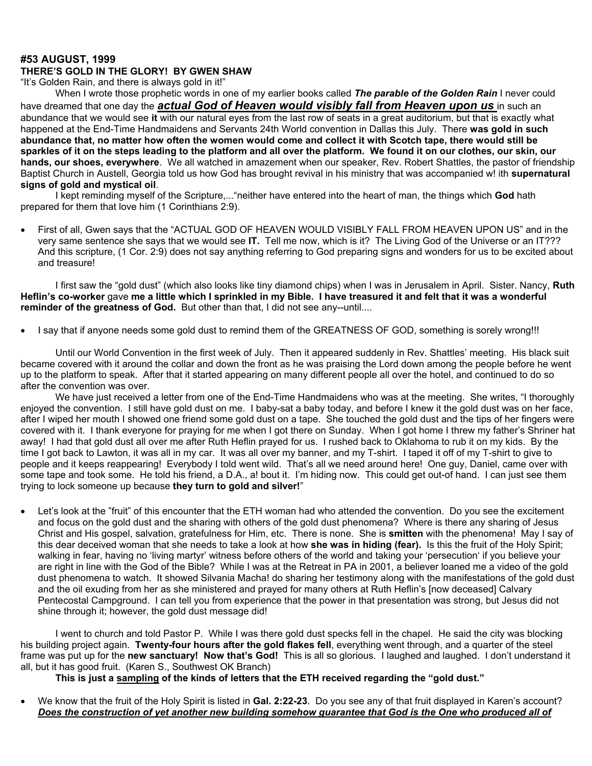# **#53 AUGUST, 1999 THERE'S GOLD IN THE GLORY! BY GWEN SHAW**

"It's Golden Rain, and there is always gold in it!"

 When I wrote those prophetic words in one of my earlier books called *The parable of the Golden Rain* I never could have dreamed that one day the **actual God of Heaven would visibly fall from Heaven upon us** in such an abundance that we would see **it** with our natural eyes from the last row of seats in a great auditorium, but that is exactly what happened at the End-Time Handmaidens and Servants 24th World convention in Dallas this July. There **was gold in such abundance that, no matter how often the women would come and collect it with Scotch tape, there would still be sparkles of it on the steps leading to the platform and all over the platform. We found it on our clothes, our skin, our hands, our shoes, everywhere**. We all watched in amazement when our speaker, Rev. Robert Shattles, the pastor of friendship Baptist Church in Austell, Georgia told us how God has brought revival in his ministry that was accompanied w! ith **supernatural signs of gold and mystical oil**.

 I kept reminding myself of the Scripture,..."neither have entered into the heart of man, the things which **God** hath prepared for them that love him (1 Corinthians 2:9).

• First of all, Gwen says that the "ACTUAL GOD OF HEAVEN WOULD VISIBLY FALL FROM HEAVEN UPON US" and in the very same sentence she says that we would see **IT.** Tell me now, which is it? The Living God of the Universe or an IT??? And this scripture, (1 Cor. 2:9) does not say anything referring to God preparing signs and wonders for us to be excited about and treasure!

I first saw the "gold dust" (which also looks like tiny diamond chips) when I was in Jerusalem in April. Sister. Nancy, **Ruth Heflin's co-worker** gave **me a little which I sprinkled in my Bible. I have treasured it and felt that it was a wonderful reminder of the greatness of God.** But other than that, I did not see any--until....

I say that if anyone needs some gold dust to remind them of the GREATNESS OF GOD, something is sorely wrong!!!

Until our World Convention in the first week of July. Then it appeared suddenly in Rev. Shattles' meeting. His black suit became covered with it around the collar and down the front as he was praising the Lord down among the people before he went up to the platform to speak. After that it started appearing on many different people all over the hotel, and continued to do so after the convention was over.

We have just received a letter from one of the End-Time Handmaidens who was at the meeting. She writes, "I thoroughly enjoyed the convention. I still have gold dust on me. I baby-sat a baby today, and before I knew it the gold dust was on her face, after I wiped her mouth I showed one friend some gold dust on a tape. She touched the gold dust and the tips of her fingers were covered with it. I thank everyone for praying for me when I got there on Sunday. When I got home I threw my father's Shriner hat away! I had that gold dust all over me after Ruth Heflin prayed for us. I rushed back to Oklahoma to rub it on my kids. By the time I got back to Lawton, it was all in my car. It was all over my banner, and my T-shirt. I taped it off of my T-shirt to give to people and it keeps reappearing! Everybody I told went wild. That's all we need around here! One guy, Daniel, came over with some tape and took some. He told his friend, a D.A., a! bout it. I'm hiding now. This could get out-of hand. I can just see them trying to lock someone up because **they turn to gold and silver!**"

Let's look at the "fruit" of this encounter that the ETH woman had who attended the convention. Do you see the excitement and focus on the gold dust and the sharing with others of the gold dust phenomena? Where is there any sharing of Jesus Christ and His gospel, salvation, gratefulness for Him, etc. There is none. She is **smitten** with the phenomena! May I say of this dear deceived woman that she needs to take a look at how **she was in hiding (fear).** Is this the fruit of the Holy Spirit; walking in fear, having no 'living martyr' witness before others of the world and taking your 'persecution' if you believe your are right in line with the God of the Bible? While I was at the Retreat in PA in 2001, a believer loaned me a video of the gold dust phenomena to watch. It showed Silvania Macha! do sharing her testimony along with the manifestations of the gold dust and the oil exuding from her as she ministered and prayed for many others at Ruth Heflin's [now deceased] Calvary Pentecostal Campground. I can tell you from experience that the power in that presentation was strong, but Jesus did not shine through it; however, the gold dust message did!

I went to church and told Pastor P. While I was there gold dust specks fell in the chapel. He said the city was blocking his building project again. **Twenty-four hours after the gold flakes fell**, everything went through, and a quarter of the steel frame was put up for the **new sanctuary! Now that's God!** This is all so glorious. I laughed and laughed. I don't understand it all, but it has good fruit. (Karen S., Southwest OK Branch)

 **This is just a sampling of the kinds of letters that the ETH received regarding the "gold dust."**

• We know that the fruit of the Holy Spirit is listed in **Gal. 2:22-23**. Do you see any of that fruit displayed in Karen's account? *Does the construction of yet another new building somehow guarantee that God is the One who produced all of*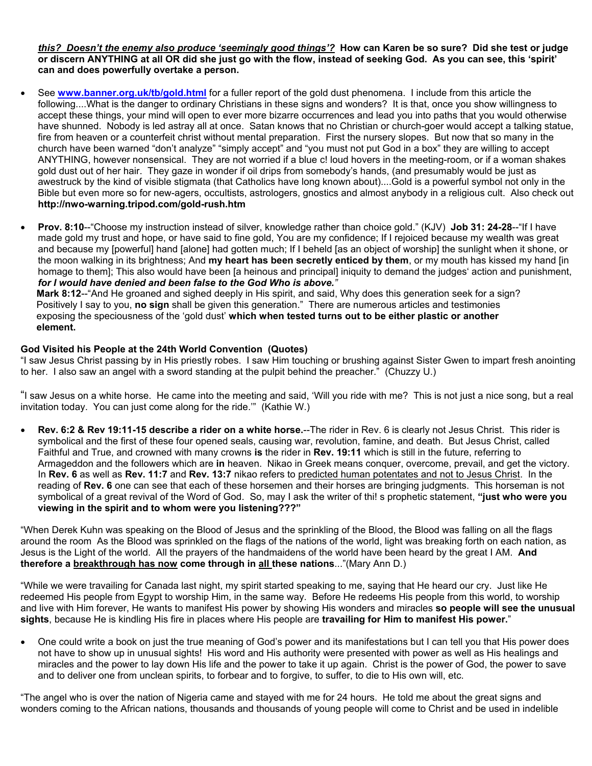#### *this? Doesn't the enemy also produce 'seemingly good things'?* **How can Karen be so sure? Did she test or judge or discern ANYTHING at all OR did she just go with the flow, instead of seeking God. As you can see, this 'spirit' can and does powerfully overtake a person.**

- See **[www.banner.org.uk/tb/gold.html](http://www.banner.org.uk/tb/gold.html)** for a fuller report of the gold dust phenomena. I include from this article the following....What is the danger to ordinary Christians in these signs and wonders? It is that, once you show willingness to accept these things, your mind will open to ever more bizarre occurrences and lead you into paths that you would otherwise have shunned. Nobody is led astray all at once. Satan knows that no Christian or church-goer would accept a talking statue, fire from heaven or a counterfeit christ without mental preparation. First the nursery slopes. But now that so many in the church have been warned "don't analyze" "simply accept" and "you must not put God in a box" they are willing to accept ANYTHING, however nonsensical. They are not worried if a blue c! loud hovers in the meeting-room, or if a woman shakes gold dust out of her hair. They gaze in wonder if oil drips from somebody's hands, (and presumably would be just as awestruck by the kind of visible stigmata (that Catholics have long known about)....Gold is a powerful symbol not only in the Bible but even more so for new-agers, occultists, astrologers, gnostics and almost anybody in a religious cult. Also check out **http://nwo-warning.tripod.com/gold-rush.htm**
- **Prov. 8:10**--"Choose my instruction instead of silver, knowledge rather than choice gold." (KJV) **Job 31: 24-28**--"If I have made gold my trust and hope, or have said to fine gold, You are my confidence; If I rejoiced because my wealth was great and because my [powerful] hand [alone] had gotten much; If I beheld [as an object of worship] the sunlight when it shone, or the moon walking in its brightness; And **my heart has been secretly enticed by them**, or my mouth has kissed my hand [in homage to them]; This also would have been [a heinous and principal] iniquity to demand the judges' action and punishment, *for I would have denied and been false to the God Who is above."*

 **Mark 8:12**--"And He groaned and sighed deeply in His spirit, and said, Why does this generation seek for a sign? Positively I say to you, **no sign** shall be given this generation." There are numerous articles and testimonies exposing the speciousness of the 'gold dust' **which when tested turns out to be either plastic or another element.**

# **God Visited his People at the 24th World Convention (Quotes)**

"I saw Jesus Christ passing by in His priestly robes. I saw Him touching or brushing against Sister Gwen to impart fresh anointing to her. I also saw an angel with a sword standing at the pulpit behind the preacher." (Chuzzy U.)

"I saw Jesus on a white horse. He came into the meeting and said, 'Will you ride with me? This is not just a nice song, but a real invitation today. You can just come along for the ride.'" (Kathie W.)

• **Rev. 6:2 & Rev 19:11-15 describe a rider on a white horse.**--The rider in Rev. 6 is clearly not Jesus Christ. This rider is symbolical and the first of these four opened seals, causing war, revolution, famine, and death. But Jesus Christ, called Faithful and True, and crowned with many crowns **is** the rider in **Rev. 19:11** which is still in the future, referring to Armageddon and the followers which are **in** heaven. Nikao in Greek means conquer, overcome, prevail, and get the victory. In **Rev. 6** as well as **Rev. 11:7** and **Rev. 13:7** nikao refers to predicted human potentates and not to Jesus Christ. In the reading of **Rev. 6** one can see that each of these horsemen and their horses are bringing judgments. This horseman is not symbolical of a great revival of the Word of God. So, may I ask the writer of thi! s prophetic statement, **"just who were you viewing in the spirit and to whom were you listening???"** 

"When Derek Kuhn was speaking on the Blood of Jesus and the sprinkling of the Blood, the Blood was falling on all the flags around the room As the Blood was sprinkled on the flags of the nations of the world, light was breaking forth on each nation, as Jesus is the Light of the world. All the prayers of the handmaidens of the world have been heard by the great I AM. **And therefore a breakthrough has now come through in all these nations**..."(Mary Ann D.)

"While we were travailing for Canada last night, my spirit started speaking to me, saying that He heard our cry. Just like He redeemed His people from Egypt to worship Him, in the same way. Before He redeems His people from this world, to worship and live with Him forever, He wants to manifest His power by showing His wonders and miracles **so people will see the unusual sights**, because He is kindling His fire in places where His people are **travailing for Him to manifest His power.**"

• One could write a book on just the true meaning of God's power and its manifestations but I can tell you that His power does not have to show up in unusual sights! His word and His authority were presented with power as well as His healings and miracles and the power to lay down His life and the power to take it up again. Christ is the power of God, the power to save and to deliver one from unclean spirits, to forbear and to forgive, to suffer, to die to His own will, etc.

"The angel who is over the nation of Nigeria came and stayed with me for 24 hours. He told me about the great signs and wonders coming to the African nations, thousands and thousands of young people will come to Christ and be used in indelible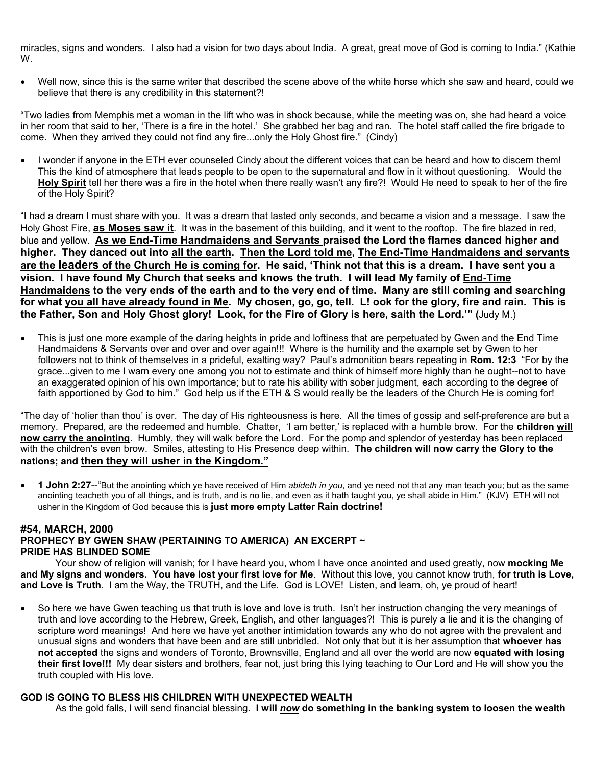miracles, signs and wonders. I also had a vision for two days about India. A great, great move of God is coming to India." (Kathie W.

• Well now, since this is the same writer that described the scene above of the white horse which she saw and heard, could we believe that there is any credibility in this statement?!

"Two ladies from Memphis met a woman in the lift who was in shock because, while the meeting was on, she had heard a voice in her room that said to her, 'There is a fire in the hotel.' She grabbed her bag and ran. The hotel staff called the fire brigade to come. When they arrived they could not find any fire...only the Holy Ghost fire." (Cindy)

• I wonder if anyone in the ETH ever counseled Cindy about the different voices that can be heard and how to discern them! This the kind of atmosphere that leads people to be open to the supernatural and flow in it without questioning. Would the **Holy Spirit** tell her there was a fire in the hotel when there really wasn't any fire?! Would He need to speak to her of the fire of the Holy Spirit?

"I had a dream I must share with you. It was a dream that lasted only seconds, and became a vision and a message. I saw the Holy Ghost Fire, **as Moses saw it**. It was in the basement of this building, and it went to the rooftop. The fire blazed in red, blue and yellow. **As we End-Time Handmaidens and Servants praised the Lord the flames danced higher and higher. They danced out into all the earth. Then the Lord told me, The End-Time Handmaidens and servants are the leaders of the Church He is coming for. He said, 'Think not that this is a dream. I have sent you a vision. I have found My Church that seeks and knows the truth. I will lead My family of End-Time Handmaidens to the very ends of the earth and to the very end of time. Many are still coming and searching for what you all have already found in Me. My chosen, go, go, tell. L! ook for the glory, fire and rain. This is the Father, Son and Holy Ghost glory! Look, for the Fire of Glory is here, saith the Lord.'" (**Judy M.)

• This is just one more example of the daring heights in pride and loftiness that are perpetuated by Gwen and the End Time Handmaidens & Servants over and over and over again!!! Where is the humility and the example set by Gwen to her followers not to think of themselves in a prideful, exalting way? Paul's admonition bears repeating in **Rom. 12:3** "For by the grace...given to me I warn every one among you not to estimate and think of himself more highly than he ought--not to have an exaggerated opinion of his own importance; but to rate his ability with sober judgment, each according to the degree of faith apportioned by God to him." God help us if the ETH & S would really be the leaders of the Church He is coming for!

"The day of 'holier than thou' is over. The day of His righteousness is here. All the times of gossip and self-preference are but a memory. Prepared, are the redeemed and humble. Chatter, 'I am better,' is replaced with a humble brow. For the **children will now carry the anointing**. Humbly, they will walk before the Lord. For the pomp and splendor of yesterday has been replaced with the children's even brow. Smiles, attesting to His Presence deep within. **The children will now carry the Glory to the nations; and then they will usher in the Kingdom."**

• **1 John 2:27**--"But the anointing which ye have received of Him *abideth in you*, and ye need not that any man teach you; but as the same anointing teacheth you of all things, and is truth, and is no lie, and even as it hath taught you, ye shall abide in Him." (KJV) ETH will not usher in the Kingdom of God because this is **just more empty Latter Rain doctrine!**

#### **#54, MARCH, 2000 PROPHECY BY GWEN SHAW (PERTAINING TO AMERICA) AN EXCERPT ~**

# **PRIDE HAS BLINDED SOME**

Your show of religion will vanish; for I have heard you, whom I have once anointed and used greatly, now **mocking Me and My signs and wonders. You have lost your first love for Me**. Without this love, you cannot know truth, **for truth is Love, and Love is Truth**. I am the Way, the TRUTH, and the Life. God is LOVE! Listen, and learn, oh, ye proud of heart!

• So here we have Gwen teaching us that truth is love and love is truth. Isn't her instruction changing the very meanings of truth and love according to the Hebrew, Greek, English, and other languages?! This is purely a lie and it is the changing of scripture word meanings! And here we have yet another intimidation towards any who do not agree with the prevalent and unusual signs and wonders that have been and are still unbridled. Not only that but it is her assumption that **whoever has not accepted** the signs and wonders of Toronto, Brownsville, England and all over the world are now **equated with losing their first love!!!** My dear sisters and brothers, fear not, just bring this lying teaching to Our Lord and He will show you the truth coupled with His love.

# **GOD IS GOING TO BLESS HIS CHILDREN WITH UNEXPECTED WEALTH**

As the gold falls, I will send financial blessing. **I will** *now* **do something in the banking system to loosen the wealth**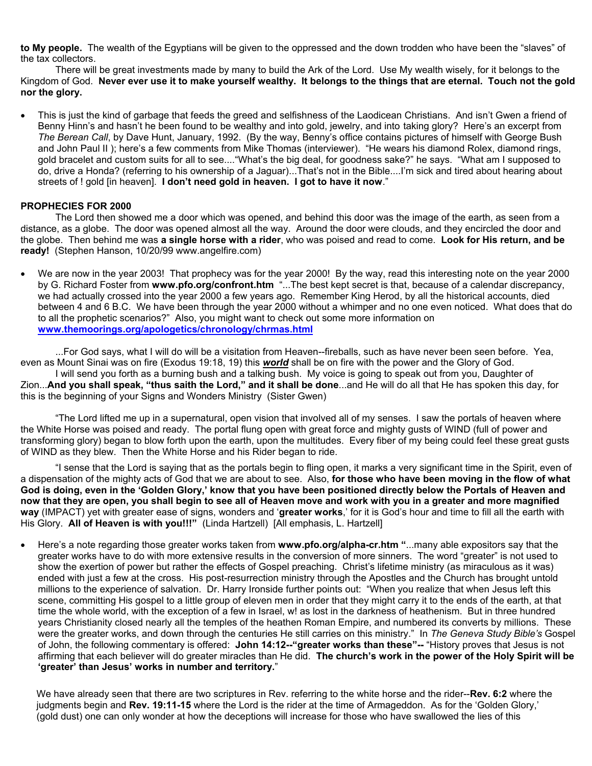**to My people.** The wealth of the Egyptians will be given to the oppressed and the down trodden who have been the "slaves" of the tax collectors.

 There will be great investments made by many to build the Ark of the Lord. Use My wealth wisely, for it belongs to the Kingdom of God. **Never ever use it to make yourself wealthy. It belongs to the things that are eternal. Touch not the gold nor the glory.** 

• This is just the kind of garbage that feeds the greed and selfishness of the Laodicean Christians. And isn't Gwen a friend of Benny Hinn's and hasn't he been found to be wealthy and into gold, jewelry, and into taking glory? Here's an excerpt from *The Berean Call*, by Dave Hunt, January, 1992. (By the way, Benny's office contains pictures of himself with George Bush and John Paul II ); here's a few comments from Mike Thomas (interviewer). "He wears his diamond Rolex, diamond rings, gold bracelet and custom suits for all to see...."What's the big deal, for goodness sake?" he says. "What am I supposed to do, drive a Honda? (referring to his ownership of a Jaguar)...That's not in the Bible....I'm sick and tired about hearing about streets of ! gold [in heaven]. **I don't need gold in heaven. I got to have it now**."

# **PROPHECIES FOR 2000**

 The Lord then showed me a door which was opened, and behind this door was the image of the earth, as seen from a distance, as a globe. The door was opened almost all the way. Around the door were clouds, and they encircled the door and the globe. Then behind me was **a single horse with a rider**, who was poised and read to come. **Look for His return, and be ready!** (Stephen Hanson, 10/20/99 www.angelfire.com)

• We are now in the year 2003! That prophecy was for the year 2000! By the way, read this interesting note on the year 2000 by G. Richard Foster from **www.pfo.org/confront.htm** "...The best kept secret is that, because of a calendar discrepancy, we had actually crossed into the year 2000 a few years ago. Remember King Herod, by all the historical accounts, died between 4 and 6 B.C. We have been through the year 2000 without a whimper and no one even noticed. What does that do to all the prophetic scenarios?" Also, you might want to check out some more information on **[www.themoorings.org/apologetics/chronology/chrmas.html](http://www.themoorings.org/apologetics/chronology/chrmas.html)**

...For God says, what I will do will be a visitation from Heaven--fireballs, such as have never been seen before. Yea, even as Mount Sinai was on fire (Exodus 19:18, 19) this *world* shall be on fire with the power and the Glory of God.

 I will send you forth as a burning bush and a talking bush. My voice is going to speak out from you, Daughter of Zion...**And you shall speak, "thus saith the Lord," and it shall be done**...and He will do all that He has spoken this day, for this is the beginning of your Signs and Wonders Ministry (Sister Gwen)

"The Lord lifted me up in a supernatural, open vision that involved all of my senses. I saw the portals of heaven where the White Horse was poised and ready. The portal flung open with great force and mighty gusts of WIND (full of power and transforming glory) began to blow forth upon the earth, upon the multitudes. Every fiber of my being could feel these great gusts of WIND as they blew. Then the White Horse and his Rider began to ride.

 "I sense that the Lord is saying that as the portals begin to fling open, it marks a very significant time in the Spirit, even of a dispensation of the mighty acts of God that we are about to see. Also, **for those who have been moving in the flow of what God is doing, even in the 'Golden Glory,' know that you have been positioned directly below the Portals of Heaven and now that they are open, you shall begin to see all of Heaven move and work with you in a greater and more magnified way** (IMPACT) yet with greater ease of signs, wonders and '**greater works**,' for it is God's hour and time to fill all the earth with His Glory. **All of Heaven is with you!!!"** (Linda Hartzell) [All emphasis, L. Hartzell]

• Here's a note regarding those greater works taken from **www.pfo.org/alpha-cr.htm "**...many able expositors say that the greater works have to do with more extensive results in the conversion of more sinners. The word "greater" is not used to show the exertion of power but rather the effects of Gospel preaching. Christ's lifetime ministry (as miraculous as it was) ended with just a few at the cross. His post-resurrection ministry through the Apostles and the Church has brought untold millions to the experience of salvation. Dr. Harry Ironside further points out: "When you realize that when Jesus left this scene, committing His gospel to a little group of eleven men in order that they might carry it to the ends of the earth, at that time the whole world, with the exception of a few in Israel, w! as lost in the darkness of heathenism. But in three hundred years Christianity closed nearly all the temples of the heathen Roman Empire, and numbered its converts by millions. These were the greater works, and down through the centuries He still carries on this ministry." In *The Geneva Study Bible's* Gospel of John, the following commentary is offered: **John 14:12--"greater works than these"--** "History proves that Jesus is not affirming that each believer will do greater miracles than He did. **The church's work in the power of the Holy Spirit will be 'greater' than Jesus' works in number and territory.**"

 We have already seen that there are two scriptures in Rev. referring to the white horse and the rider--**Rev. 6:2** where the judgments begin and **Rev. 19:11-15** where the Lord is the rider at the time of Armageddon. As for the 'Golden Glory,' (gold dust) one can only wonder at how the deceptions will increase for those who have swallowed the lies of this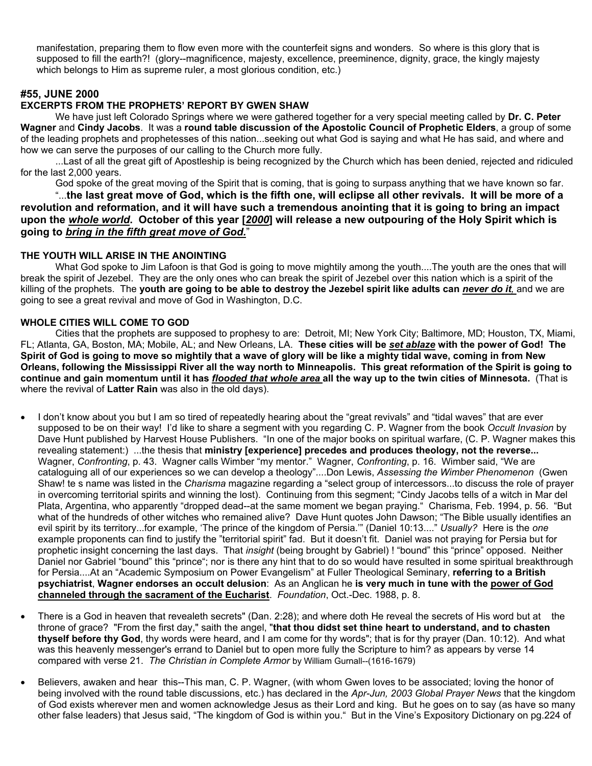manifestation, preparing them to flow even more with the counterfeit signs and wonders. So where is this glory that is supposed to fill the earth?! (glory--magnificence, majesty, excellence, preeminence, dignity, grace, the kingly majesty which belongs to Him as supreme ruler, a most glorious condition, etc.)

# **#55, JUNE 2000**

# **EXCERPTS FROM THE PROPHETS' REPORT BY GWEN SHAW**

We have just left Colorado Springs where we were gathered together for a very special meeting called by **Dr. C. Peter Wagner** and **Cindy Jacobs**. It was a **round table discussion of the Apostolic Council of Prophetic Elders**, a group of some of the leading prophets and prophetesses of this nation...seeking out what God is saying and what He has said, and where and how we can serve the purposes of our calling to the Church more fully.

 ...Last of all the great gift of Apostleship is being recognized by the Church which has been denied, rejected and ridiculed for the last 2,000 years.

God spoke of the great moving of the Spirit that is coming, that is going to surpass anything that we have known so far.

 "...**the last great move of God, which is the fifth one, will eclipse all other revivals. It will be more of a revolution and reformation, and it will have such a tremendous anointing that it is going to bring an impact upon the** *whole world***. October of this year [***2000***] will release a new outpouring of the Holy Spirit which is going to** *bring in the fifth great move of God.*"

# **THE YOUTH WILL ARISE IN THE ANOINTING**

What God spoke to Jim Lafoon is that God is going to move mightily among the youth....The youth are the ones that will break the spirit of Jezebel. They are the only ones who can break the spirit of Jezebel over this nation which is a spirit of the killing of the prophets. The **youth are going to be able to destroy the Jezebel spirit like adults can** *never do it,* and we are going to see a great revival and move of God in Washington, D.C.

# **WHOLE CITIES WILL COME TO GOD**

 Cities that the prophets are supposed to prophesy to are: Detroit, MI; New York City; Baltimore, MD; Houston, TX, Miami, FL; Atlanta, GA, Boston, MA; Mobile, AL; and New Orleans, LA. **These cities will be** *set ablaze* **with the power of God! The Spirit of God is going to move so mightily that a wave of glory will be like a mighty tidal wave, coming in from New Orleans, following the Mississippi River all the way north to Minneapolis. This great reformation of the Spirit is going to continue and gain momentum until it has** *flooded that whole area* **all the way up to the twin cities of Minnesota.** (That is where the revival of **Latter Rain** was also in the old days).

- I don't know about you but I am so tired of repeatedly hearing about the "great revivals" and "tidal waves" that are ever supposed to be on their way! I'd like to share a segment with you regarding C. P. Wagner from the book *Occult Invasion* by Dave Hunt published by Harvest House Publishers. "In one of the major books on spiritual warfare, (C. P. Wagner makes this revealing statement:) ...the thesis that **ministry [experience] precedes and produces theology, not the reverse...**  Wagner, *Confronting*, p. 43. Wagner calls Wimber "my mentor." Wagner, *Confronting*, p. 16. Wimber said, "We are cataloguing all of our experiences so we can develop a theology"....Don Lewis, *Assessing the Wimber Phenomenon* (Gwen Shaw! te s name was listed in the *Charisma* magazine regarding a "select group of intercessors...to discuss the role of prayer in overcoming territorial spirits and winning the lost). Continuing from this segment; "Cindy Jacobs tells of a witch in Mar del Plata, Argentina, who apparently "dropped dead--at the same moment we began praying." Charisma, Feb. 1994, p. 56. "But what of the hundreds of other witches who remained alive? Dave Hunt quotes John Dawson; "The Bible usually identifies an evil spirit by its territory...for example, 'The prince of the kingdom of Persia.'" (Daniel 10:13...." *Usually?* Here is the *one*  example proponents can find to justify the "territorial spirit" fad. But it doesn't fit. Daniel was not praying for Persia but for prophetic insight concerning the last days. That *insight* (being brought by Gabriel) ! "bound" this "prince" opposed. Neither Daniel nor Gabriel "bound" this "prince"; nor is there any hint that to do so would have resulted in some spiritual breakthrough for Persia....At an "Academic Symposium on Power Evangelism" at Fuller Theological Seminary, **referring to a British psychiatrist**, **Wagner endorses an occult delusion**: As an Anglican he **is very much in tune with the power of God channeled through the sacrament of the Eucharist**. *Foundation*, Oct.-Dec. 1988, p. 8.
- There is a God in heaven that revealeth secrets" (Dan. 2:28); and where doth He reveal the secrets of His word but at the throne of grace? "From the first day," saith the angel, "**that thou didst set thine heart to understand, and to chasten thyself before thy God**, thy words were heard, and I am come for thy words"; that is for thy prayer (Dan. 10:12). And what was this heavenly messenger's errand to Daniel but to open more fully the Scripture to him? as appears by verse 14 compared with verse 21. *The Christian in Complete Armor* by William Gurnall--(1616-1679)
- Believers, awaken and hear this--This man, C. P. Wagner, (with whom Gwen loves to be associated; loving the honor of being involved with the round table discussions, etc.) has declared in the *Apr-Jun, 2003 Global Prayer News* that the kingdom of God exists wherever men and women acknowledge Jesus as their Lord and king. But he goes on to say (as have so many other false leaders) that Jesus said, "The kingdom of God is within you." But in the Vine's Expository Dictionary on pg.224 of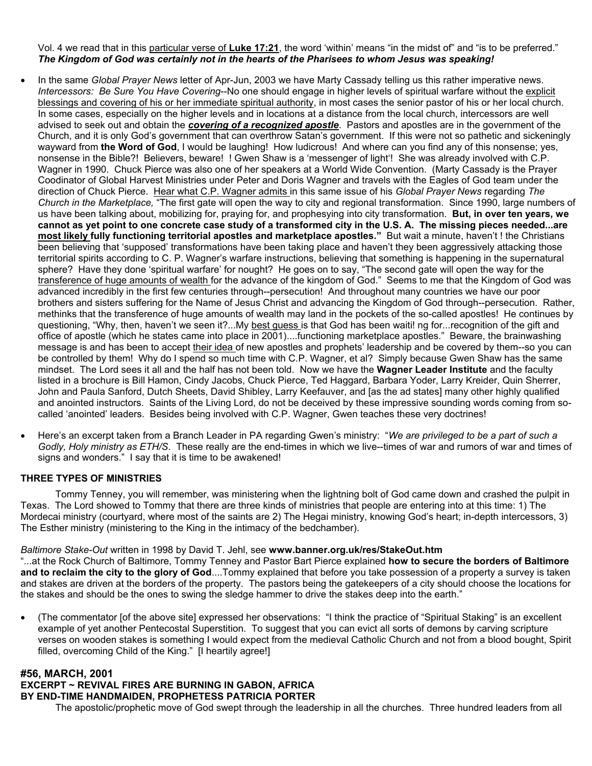# Vol. 4 we read that in this particular verse of **Luke 17:21**, the word 'within' means "in the midst of" and "is to be preferred." *The Kingdom of God was certainly not in the hearts of the Pharisees to whom Jesus was speaking!*

- In the same *Global Prayer News* letter of Apr-Jun, 2003 we have Marty Cassady telling us this rather imperative news. *Intercessors: Be Sure You Have Covering*--No one should engage in higher levels of spiritual warfare without the explicit blessings and covering of his or her immediate spiritual authority, in most cases the senior pastor of his or her local church. In some cases, especially on the higher levels and in locations at a distance from the local church, intercessors are well advised to seek out and obtain the *covering of a recognized apostle*. Pastors and apostles are in the government of the Church, and it is only God's government that can overthrow Satan's government. If this were not so pathetic and sickeningly wayward from **the Word of God**, I would be laughing! How ludicrous! And where can you find any of this nonsense; yes, nonsense in the Bible?! Believers, beware! ! Gwen Shaw is a 'messenger of light'! She was already involved with C.P. Wagner in 1990. Chuck Pierce was also one of her speakers at a World Wide Convention. (Marty Cassady is the Prayer Coodinator of Global Harvest Ministries under Peter and Doris Wagner and travels with the Eagles of God team under the direction of Chuck Pierce. Hear what C.P. Wagner admits in this same issue of his *Global Prayer News* regarding *The Church in the Marketplace,* "The first gate will open the way to city and regional transformation. Since 1990, large numbers of us have been talking about, mobilizing for, praying for, and prophesying into city transformation. **But, in over ten years, we cannot as yet point to one concrete case study of a transformed city in the U.S. A. The missing pieces needed...are most likely fully functioning territorial apostles and marketplace apostles."** But wait a minute, haven't ! the Christians been believing that 'supposed' transformations have been taking place and haven't they been aggressively attacking those territorial spirits according to C. P. Wagner's warfare instructions, believing that something is happening in the supernatural sphere? Have they done 'spiritual warfare' for nought? He goes on to say, "The second gate will open the way for the transference of huge amounts of wealth for the advance of the kingdom of God." Seems to me that the Kingdom of God was advanced incredibly in the first few centuries through--persecution! And throughout many countries we have our poor brothers and sisters suffering for the Name of Jesus Christ and advancing the Kingdom of God through--persecution. Rather, methinks that the transference of huge amounts of wealth may land in the pockets of the so-called apostles! He continues by questioning, "Why, then, haven't we seen it?...My best guess is that God has been waiti! ng for...recognition of the gift and office of apostle (which he states came into place in 2001)....functioning marketplace apostles." Beware, the brainwashing message is and has been to accept their idea of new apostles and prophets' leadership and be covered by them--so you can be controlled by them! Why do I spend so much time with C.P. Wagner, et al? Simply because Gwen Shaw has the same mindset. The Lord sees it all and the half has not been told.Now we have the **Wagner Leader Institute** and the faculty listed in a brochure is Bill Hamon, Cindy Jacobs, Chuck Pierce, Ted Haggard, Barbara Yoder, Larry Kreider, Quin Sherrer, John and Paula Sanford, Dutch Sheets, David Shibley, Larry Keefauver, and [as the ad states] many other highly qualified and anointed instructors. Saints of the Living Lord, do not be deceived by these impressive sounding words coming from socalled 'anointed' leaders. Besides being involved with C.P. Wagner, Gwen teaches these very doctrines!
- Here's an excerpt taken from a Branch Leader in PA regarding Gwen's ministry: "*We are privileged to be a part of such a Godly, Holy ministry as ETH/S*. These really are the end-times in which we live--times of war and rumors of war and times of signs and wonders." I say that it is time to be awakened!

#### **THREE TYPES OF MINISTRIES**

Tommy Tenney, you will remember, was ministering when the lightning bolt of God came down and crashed the pulpit in Texas. The Lord showed to Tommy that there are three kinds of ministries that people are entering into at this time: 1) The Mordecai ministry (courtyard, where most of the saints are 2) The Hegai ministry, knowing God's heart; in-depth intercessors, 3) The Esther ministry (ministering to the King in the intimacy of the bedchamber).

#### *Baltimore Stake-Out* written in 1998 by David T. Jehl, see **www.banner.org.uk/res/StakeOut.htm**

"...at the Rock Church of Baltimore, Tommy Tenney and Pastor Bart Pierce explained **how to secure the borders of Baltimore and to reclaim the city to the glory of God**....Tommy explained that before you take possession of a property a survey is taken and stakes are driven at the borders of the property. The pastors being the gatekeepers of a city should choose the locations for the stakes and should be the ones to swing the sledge hammer to drive the stakes deep into the earth."

• (The commentator [of the above site] expressed her observations: "I think the practice of "Spiritual Staking" is an excellent example of yet another Pentecostal Superstition. To suggest that you can evict all sorts of demons by carving scripture verses on wooden stakes is something I would expect from the medieval Catholic Church and not from a blood bought, Spirit filled, overcoming Child of the King." [I heartily agree!]

# **#56, MARCH, 2001 EXCERPT ~ REVIVAL FIRES ARE BURNING IN GABON, AFRICA BY END-TIME HANDMAIDEN, PROPHETESS PATRICIA PORTER**

The apostolic/prophetic move of God swept through the leadership in all the churches. Three hundred leaders from all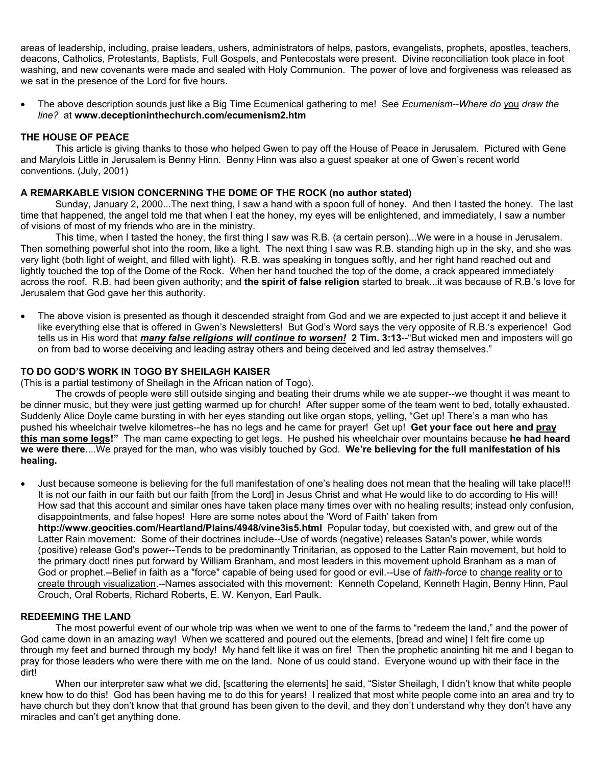areas of leadership, including, praise leaders, ushers, administrators of helps, pastors, evangelists, prophets, apostles, teachers, deacons, Catholics, Protestants, Baptists, Full Gospels, and Pentecostals were present. Divine reconciliation took place in foot washing, and new covenants were made and sealed with Holy Communion. The power of love and forgiveness was released as we sat in the presence of the Lord for five hours.

• The above description sounds just like a Big Time Ecumenical gathering to me! See *Ecumenism--Where do y*ou *draw the line?* at **www.deceptioninthechurch.com/ecumenism2.htm** 

# **THE HOUSE OF PEACE**

 This article is giving thanks to those who helped Gwen to pay off the House of Peace in Jerusalem. Pictured with Gene and Marylois Little in Jerusalem is Benny Hinn. Benny Hinn was also a guest speaker at one of Gwen's recent world conventions. (July, 2001)

# **A REMARKABLE VISION CONCERNING THE DOME OF THE ROCK (no author stated)**

Sunday, January 2, 2000...The next thing, I saw a hand with a spoon full of honey. And then I tasted the honey. The last time that happened, the angel told me that when I eat the honey, my eyes will be enlightened, and immediately, I saw a number of visions of most of my friends who are in the ministry.

 This time, when I tasted the honey, the first thing I saw was R.B. (a certain person)...We were in a house in Jerusalem. Then something powerful shot into the room, like a light. The next thing I saw was R.B. standing high up in the sky, and she was very light (both light of weight, and filled with light). R.B. was speaking in tongues softly, and her right hand reached out and lightly touched the top of the Dome of the Rock. When her hand touched the top of the dome, a crack appeared immediately across the roof. R.B. had been given authority; and **the spirit of false religion** started to break...it was because of R.B.'s love for Jerusalem that God gave her this authority.

The above vision is presented as though it descended straight from God and we are expected to just accept it and believe it like everything else that is offered in Gwen's Newsletters! But God's Word says the very opposite of R.B.'s experience! God tells us in His word that *many false religions will continue to worsen!* **2 Tim. 3:13**--"But wicked men and imposters will go on from bad to worse deceiving and leading astray others and being deceived and led astray themselves."

# **TO DO GOD'S WORK IN TOGO BY SHEILAGH KAISER**

(This is a partial testimony of Sheilagh in the African nation of Togo).

 The crowds of people were still outside singing and beating their drums while we ate supper--we thought it was meant to be dinner music, but they were just getting warmed up for church! After supper some of the team went to bed, totally exhausted. Suddenly Alice Doyle came bursting in with her eyes standing out like organ stops, yelling, "Get up! There's a man who has pushed his wheelchair twelve kilometres--he has no legs and he came for prayer! Get up! **Get your face out here and pray this man some legs!"** The man came expecting to get legs. He pushed his wheelchair over mountains because **he had heard we were there**....We prayed for the man, who was visibly touched by God. **We're believing for the full manifestation of his healing.** 

• Just because someone is believing for the full manifestation of one's healing does not mean that the healing will take place!!! It is not our faith in our faith but our faith [from the Lord] in Jesus Christ and what He would like to do according to His will! How sad that this account and similar ones have taken place many times over with no healing results; instead only confusion, disappointments, and false hopes! Here are some notes about the 'Word of Faith' taken from

**http://www.geocities.com/Heartland/Plains/4948/vine3is5.html** Popular today, but coexisted with, and grew out of the Latter Rain movement: Some of their doctrines include--Use of words (negative) releases Satan's power, while words (positive) release God's power--Tends to be predominantly Trinitarian, as opposed to the Latter Rain movement, but hold to the primary doct! rines put forward by William Branham, and most leaders in this movement uphold Branham as a man of God or prophet.--Belief in faith as a "force" capable of being used for good or evil.--Use of *faith-force* to change reality or to create through visualization.--Names associated with this movement: Kenneth Copeland, Kenneth Hagin, Benny Hinn, Paul Crouch, Oral Roberts, Richard Roberts, E. W. Kenyon, Earl Paulk.

# **REDEEMING THE LAND**

The most powerful event of our whole trip was when we went to one of the farms to "redeem the land," and the power of God came down in an amazing way! When we scattered and poured out the elements, [bread and wine] I felt fire come up through my feet and burned through my body! My hand felt like it was on fire! Then the prophetic anointing hit me and I began to pray for those leaders who were there with me on the land. None of us could stand. Everyone wound up with their face in the dirt!

 When our interpreter saw what we did, [scattering the elements] he said, "Sister Sheilagh, I didn't know that white people knew how to do this! God has been having me to do this for years! I realized that most white people come into an area and try to have church but they don't know that that ground has been given to the devil, and they don't understand why they don't have any miracles and can't get anything done.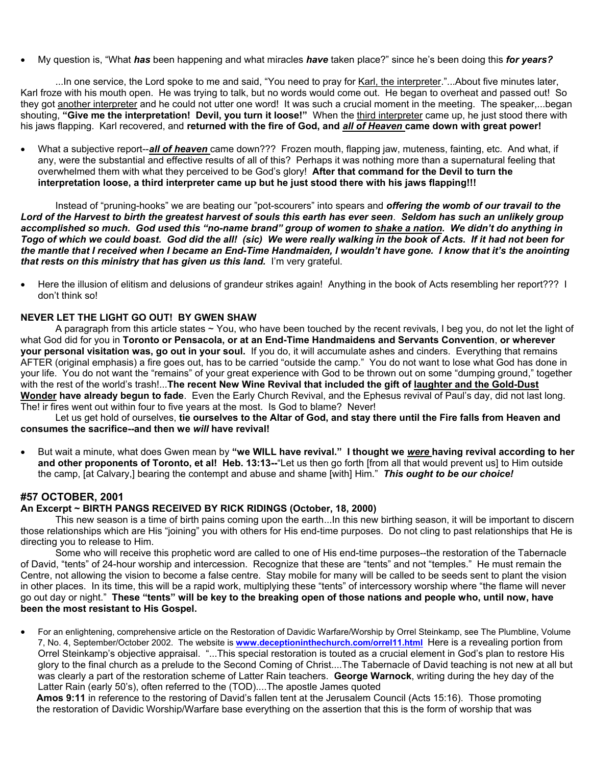• My question is, "What *has* been happening and what miracles *have* taken place?" since he's been doing this *for years?*

...In one service, the Lord spoke to me and said, "You need to pray for Karl, the interpreter."...About five minutes later, Karl froze with his mouth open. He was trying to talk, but no words would come out. He began to overheat and passed out! So they got another interpreter and he could not utter one word! It was such a crucial moment in the meeting. The speaker,...began shouting, **"Give me the interpretation! Devil, you turn it loose!"** When the third interpreter came up, he just stood there with his jaws flapping. Karl recovered, and **returned with the fire of God, and** *all of Heaven* **came down with great power!** 

• What a subjective report--*all of heaven* came down??? Frozen mouth, flapping jaw, muteness, fainting, etc. And what, if any, were the substantial and effective results of all of this? Perhaps it was nothing more than a supernatural feeling that overwhelmed them with what they perceived to be God's glory! **After that command for the Devil to turn the interpretation loose, a third interpreter came up but he just stood there with his jaws flapping!!!**

Instead of "pruning-hooks" we are beating our "pot-scourers" into spears and *offering the womb of our travail to the Lord of the Harvest to birth the greatest harvest of souls this earth has ever seen*. *Seldom has such an unlikely group accomplished so much. God used this "no-name brand" group of women to shake a nation. We didn't do anything in Togo of which we could boast. God did the all! (sic) We were really walking in the book of Acts. If it had not been for the mantle that I received when I became an End-Time Handmaiden, I wouldn't have gone. I know that it's the anointing that rests on this ministry that has given us this land.* I'm very grateful.

• Here the illusion of elitism and delusions of grandeur strikes again! Anything in the book of Acts resembling her report??? I don't think so!

#### **NEVER LET THE LIGHT GO OUT! BY GWEN SHAW**

A paragraph from this article states  $\sim$  You, who have been touched by the recent revivals, I beg you, do not let the light of what God did for you in **Toronto or Pensacola, or at an End-Time Handmaidens and Servants Convention**, **or wherever your personal visitation was, go out in your soul.** If you do, it will accumulate ashes and cinders. Everything that remains AFTER (original emphasis) a fire goes out, has to be carried "outside the camp." You do not want to lose what God has done in your life. You do not want the "remains" of your great experience with God to be thrown out on some "dumping ground," together with the rest of the world's trash!...**The recent New Wine Revival that included the gift of laughter and the Gold-Dust Wonder have already begun to fade**. Even the Early Church Revival, and the Ephesus revival of Paul's day, did not last long. The! ir fires went out within four to five years at the most. Is God to blame? Never!

 Let us get hold of ourselves, **tie ourselves to the Altar of God, and stay there until the Fire falls from Heaven and consumes the sacrifice--and then we** *will* **have revival!** 

• But wait a minute, what does Gwen mean by **"we WILL have revival." I thought we** *were* **having revival according to her and other proponents of Toronto, et al! Heb. 13:13--**"Let us then go forth [from all that would prevent us] to Him outside the camp, [at Calvary,] bearing the contempt and abuse and shame [with] Him." *This ought to be our choice!* 

# **#57 OCTOBER, 2001**

#### **An Excerpt ~ BIRTH PANGS RECEIVED BY RICK RIDINGS (October, 18, 2000)**

 This new season is a time of birth pains coming upon the earth...In this new birthing season, it will be important to discern those relationships which are His "joining" you with others for His end-time purposes. Do not cling to past relationships that He is directing you to release to Him.

 Some who will receive this prophetic word are called to one of His end-time purposes--the restoration of the Tabernacle of David, "tents" of 24-hour worship and intercession. Recognize that these are "tents" and not "temples." He must remain the Centre, not allowing the vision to become a false centre. Stay mobile for many will be called to be seeds sent to plant the vision in other places. In its time, this will be a rapid work, multiplying these "tents" of intercessory worship where "the flame will never go out day or night." **These "tents" will be key to the breaking open of those nations and people who, until now, have been the most resistant to His Gospel.** 

• For an enlightening, comprehensive article on the Restoration of Davidic Warfare/Worship by Orrel Steinkamp, see The Plumbline, Volume 7, No. 4, September/October 2002. The website is **[www.deceptioninthechurch.com/orrel11.html](http://www.deceptioninthechurch.com/orrel11.html)** Here is a revealing portion from Orrel Steinkamp's objective appraisal. "...This special restoration is touted as a crucial element in God's plan to restore His glory to the final church as a prelude to the Second Coming of Christ....The Tabernacle of David teaching is not new at all but was clearly a part of the restoration scheme of Latter Rain teachers. **George Warnock**, writing during the hey day of the Latter Rain (early 50's), often referred to the (TOD)....The apostle James quoted

 **Amos 9:11** in reference to the restoring of David's fallen tent at the Jerusalem Council (Acts 15:16). Those promoting the restoration of Davidic Worship/Warfare base everything on the assertion that this is the form of worship that was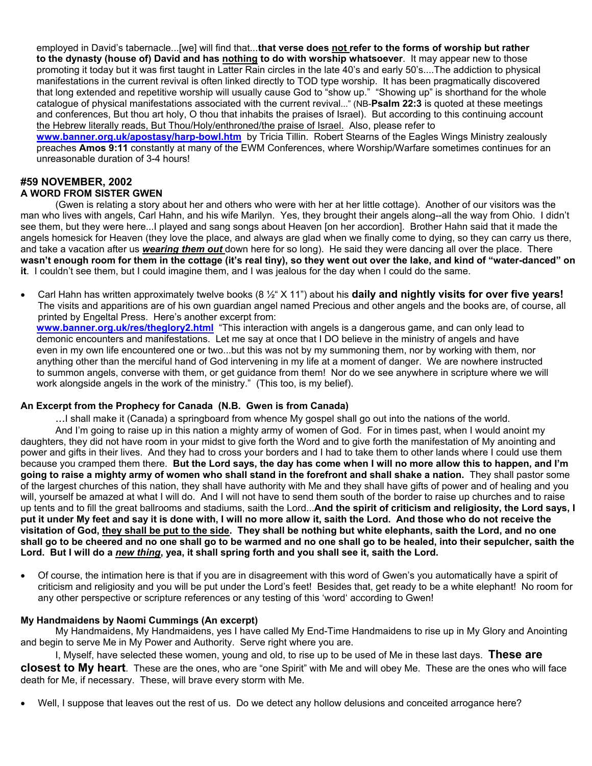employed in David's tabernacle...[we] will find that...**that verse does not refer to the forms of worship but rather to the dynasty (house of) David and has nothing to do with worship whatsoever**. It may appear new to those promoting it today but it was first taught in Latter Rain circles in the late 40's and early 50's....The addiction to physical manifestations in the current revival is often linked directly to TOD type worship. It has been pragmatically discovered that long extended and repetitive worship will usually cause God to "show up." "Showing up" is shorthand for the whole catalogue of physical manifestations associated with the current revival..." (NB-**Psalm 22:3** is quoted at these meetings and conferences, But thou art holy, O thou that inhabits the praises of Israel). But according to this continuing account the Hebrew literally reads, But Thou/Holy/enthroned/the praise of Israel. Also, please refer to

 **[www.banner.org.uk/apostasy/harp-bowl.htm](http://www.banner.org.uk/apostasy/harp-bowl.htm)** by Tricia Tillin. Robert Stearns of the Eagles Wings Ministry zealously preaches **Amos 9:11** constantly at many of the EWM Conferences, where Worship/Warfare sometimes continues for an unreasonable duration of 3-4 hours!

#### **#59 NOVEMBER, 2002 A WORD FROM SISTER GWEN**

 (Gwen is relating a story about her and others who were with her at her little cottage). Another of our visitors was the man who lives with angels, Carl Hahn, and his wife Marilyn. Yes, they brought their angels along--all the way from Ohio. I didn't see them, but they were here...I played and sang songs about Heaven [on her accordion]. Brother Hahn said that it made the angels homesick for Heaven (they love the place, and always are glad when we finally come to dying, so they can carry us there, and take a vacation after us *wearing them out* down here for so long). He said they were dancing all over the place. There **wasn't enough room for them in the cottage (it's real tiny), so they went out over the lake, and kind of "water-danced" on it**. I couldn't see them, but I could imagine them, and I was jealous for the day when I could do the same.

• Carl Hahn has written approximately twelve books (8 ½" X 11") about his **daily and nightly visits for over five years!**  The visits and apparitions are of his own guardian angel named Precious and other angels and the books are, of course, all printed by Engeltal Press. Here's another excerpt from: **[www.banner.org.uk/res/theglory2.html](http://www.banner.org.uk/res/theglory2.html)** "This interaction with angels is a dangerous game, and can only lead to demonic encounters and manifestations. Let me say at once that I DO believe in the ministry of angels and have even in my own life encountered one or two...but this was not by my summoning them, nor by working with them, nor anything other than the merciful hand of God intervening in my life at a moment of danger. We are nowhere instructed to summon angels, converse with them, or get guidance from them! Nor do we see anywhere in scripture where we will work alongside angels in the work of the ministry." (This too, is my belief).

# **An Excerpt from the Prophecy for Canada (N.B. Gwen is from Canada)**

...I shall make it (Canada) a springboard from whence My gospel shall go out into the nations of the world.

 And I'm going to raise up in this nation a mighty army of women of God. For in times past, when I would anoint my daughters, they did not have room in your midst to give forth the Word and to give forth the manifestation of My anointing and power and gifts in their lives. And they had to cross your borders and I had to take them to other lands where I could use them because you cramped them there. **But the Lord says, the day has come when I will no more allow this to happen, and I'm going to raise a mighty army of women who shall stand in the forefront and shall shake a nation.** They shall pastor some of the largest churches of this nation, they shall have authority with Me and they shall have gifts of power and of healing and you will, yourself be amazed at what I will do. And I will not have to send them south of the border to raise up churches and to raise up tents and to fill the great ballrooms and stadiums, saith the Lord...**And the spirit of criticism and religiosity, the Lord says, I put it under My feet and say it is done with, I will no more allow it, saith the Lord. And those who do not receive the visitation of God, they shall be put to the side. They shall be nothing but white elephants, saith the Lord, and no one shall go to be cheered and no one shall go to be warmed and no one shall go to be healed, into their sepulcher, saith the Lord. But I will do a** *new thing***, yea, it shall spring forth and you shall see it, saith the Lord.** 

• Of course, the intimation here is that if you are in disagreement with this word of Gwen's you automatically have a spirit of criticism and religiosity and you will be put under the Lord's feet! Besides that, get ready to be a white elephant! No room for any other perspective or scripture references or any testing of this 'word' according to Gwen!

# **My Handmaidens by Naomi Cummings (An excerpt)**

My Handmaidens, My Handmaidens, yes I have called My End-Time Handmaidens to rise up in My Glory and Anointing and begin to serve Me in My Power and Authority. Serve right where you are.

 I, Myself, have selected these women, young and old, to rise up to be used of Me in these last days. **These are closest to My heart**. These are the ones, who are "one Spirit" with Me and will obey Me. These are the ones who will face death for Me, if necessary. These, will brave every storm with Me.

• Well, I suppose that leaves out the rest of us. Do we detect any hollow delusions and conceited arrogance here?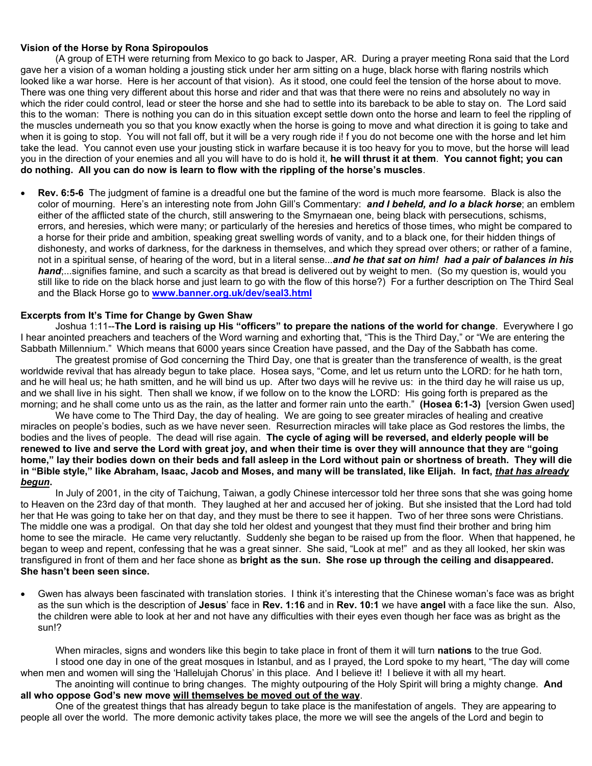#### **Vision of the Horse by Rona Spiropoulos**

 (A group of ETH were returning from Mexico to go back to Jasper, AR. During a prayer meeting Rona said that the Lord gave her a vision of a woman holding a jousting stick under her arm sitting on a huge, black horse with flaring nostrils which looked like a war horse. Here is her account of that vision). As it stood, one could feel the tension of the horse about to move. There was one thing very different about this horse and rider and that was that there were no reins and absolutely no way in which the rider could control, lead or steer the horse and she had to settle into its bareback to be able to stay on. The Lord said this to the woman: There is nothing you can do in this situation except settle down onto the horse and learn to feel the rippling of the muscles underneath you so that you know exactly when the horse is going to move and what direction it is going to take and when it is going to stop. You will not fall off, but it will be a very rough ride i! f you do not become one with the horse and let him take the lead. You cannot even use your jousting stick in warfare because it is too heavy for you to move, but the horse will lead you in the direction of your enemies and all you will have to do is hold it, **he will thrust it at them**. **You cannot fight; you can do nothing. All you can do now is learn to flow with the rippling of the horse's muscles**.

• **Rev. 6:5-6** The judgment of famine is a dreadful one but the famine of the word is much more fearsome. Black is also the color of mourning. Here's an interesting note from John Gill's Commentary: *and I beheld, and lo a black horse*; an emblem either of the afflicted state of the church, still answering to the Smyrnaean one, being black with persecutions, schisms, errors, and heresies, which were many; or particularly of the heresies and heretics of those times, who might be compared to a horse for their pride and ambition, speaking great swelling words of vanity, and to a black one, for their hidden things of dishonesty, and works of darkness, for the darkness in themselves, and which they spread over others; or rather of a famine, not in a spiritual sense, of hearing of the word, but in a literal sense...*and he that sat on him! had a pair of balances in his hand*;...signifies famine, and such a scarcity as that bread is delivered out by weight to men. (So my question is, would you still like to ride on the black horse and just learn to go with the flow of this horse?) For a further description on The Third Seal and the Black Horse go to **[www.banner.org.uk/dev/seal3.html](http://www.banner.org.uk/dev/seal3.html)**

#### **Excerpts from It's Time for Change by Gwen Shaw**

 Joshua 1:11--**The Lord is raising up His "officers" to prepare the nations of the world for change**. Everywhere I go I hear anointed preachers and teachers of the Word warning and exhorting that, "This is the Third Day," or "We are entering the Sabbath Millennium." Which means that 6000 years since Creation have passed, and the Day of the Sabbath has come.

 The greatest promise of God concerning the Third Day, one that is greater than the transference of wealth, is the great worldwide revival that has already begun to take place. Hosea says, "Come, and let us return unto the LORD: for he hath torn, and he will heal us; he hath smitten, and he will bind us up. After two days will he revive us: in the third day he will raise us up, and we shall live in his sight. Then shall we know, if we follow on to the know the LORD: His going forth is prepared as the morning; and he shall come unto us as the rain, as the latter and former rain unto the earth." **(Hosea 6:1-3)** [version Gwen used]

We have come to The Third Day, the day of healing. We are going to see greater miracles of healing and creative miracles on people's bodies, such as we have never seen. Resurrection miracles will take place as God restores the limbs, the bodies and the lives of people. The dead will rise again. **The cycle of aging will be reversed, and elderly people will be renewed to live and serve the Lord with great joy, and when their time is over they will announce that they are "going home," lay their bodies down on their beds and fall asleep in the Lord without pain or shortness of breath. They will die in "Bible style," like Abraham, Isaac, Jacob and Moses, and many will be translated, like Elijah. In fact,** *that has already begun***.** 

In July of 2001, in the city of Taichung, Taiwan, a godly Chinese intercessor told her three sons that she was going home to Heaven on the 23rd day of that month. They laughed at her and accused her of joking. But she insisted that the Lord had told her that He was going to take her on that day, and they must be there to see it happen. Two of her three sons were Christians. The middle one was a prodigal. On that day she told her oldest and youngest that they must find their brother and bring him home to see the miracle. He came very reluctantly. Suddenly she began to be raised up from the floor. When that happened, he began to weep and repent, confessing that he was a great sinner. She said, "Look at me!" and as they all looked, her skin was transfigured in front of them and her face shone as **bright as the sun. She rose up through the ceiling and disappeared. She hasn't been seen since.** 

• Gwen has always been fascinated with translation stories. I think it's interesting that the Chinese woman's face was as bright as the sun which is the description of **Jesus**' face in **Rev. 1:16** and in **Rev. 10:1** we have **angel** with a face like the sun. Also, the children were able to look at her and not have any difficulties with their eyes even though her face was as bright as the sun!?

When miracles, signs and wonders like this begin to take place in front of them it will turn **nations** to the true God. I stood one day in one of the great mosques in Istanbul, and as I prayed, the Lord spoke to my heart, "The day will come when men and women will sing the 'Hallelujah Chorus' in this place. And I believe it! I believe it with all my heart.

 The anointing will continue to bring changes. The mighty outpouring of the Holy Spirit will bring a mighty change. **And all who oppose God's new move will themselves be moved out of the way**.

 One of the greatest things that has already begun to take place is the manifestation of angels. They are appearing to people all over the world. The more demonic activity takes place, the more we will see the angels of the Lord and begin to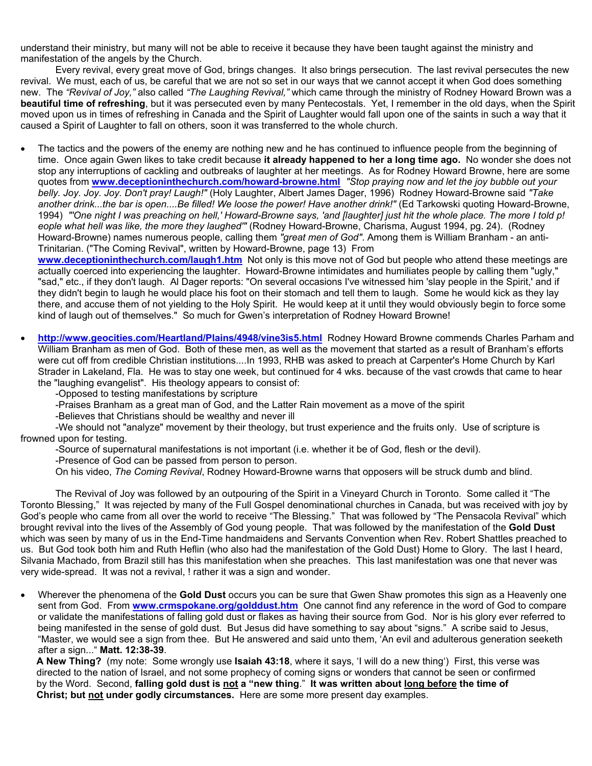understand their ministry, but many will not be able to receive it because they have been taught against the ministry and manifestation of the angels by the Church.

 Every revival, every great move of God, brings changes. It also brings persecution. The last revival persecutes the new revival. We must, each of us, be careful that we are not so set in our ways that we cannot accept it when God does something new. The *"Revival of Joy,"* also called *"The Laughing Revival,"* which came through the ministry of Rodney Howard Brown was a **beautiful time of refreshing**, but it was persecuted even by many Pentecostals. Yet, I remember in the old days, when the Spirit moved upon us in times of refreshing in Canada and the Spirit of Laughter would fall upon one of the saints in such a way that it caused a Spirit of Laughter to fall on others, soon it was transferred to the whole church.

The tactics and the powers of the enemy are nothing new and he has continued to influence people from the beginning of time. Once again Gwen likes to take credit because **it already happened to her a long time ago.** No wonder she does not stop any interruptions of cackling and outbreaks of laughter at her meetings. As for Rodney Howard Browne, here are some quotes from **[www.deceptioninthechurch.com/howard-browne.html](http://www.deceptioninthechurch.com/howard-browne.html)** *"Stop praying now and let the joy bubble out your belly. Joy. Joy. Joy. Don't pray! Laugh!"* (Holy Laughter, Albert James Dager, 1996) Rodney Howard-Browne said *"Take another drink...the bar is open....Be filled! We loose the power! Have another drink!"* (Ed Tarkowski quoting Howard-Browne, 1994) *"'One night I was preaching on hell,' Howard-Browne says, 'and [laughter] just hit the whole place. The more I told p! eople what hell was like, the more they laughed'"* (Rodney Howard-Browne, Charisma, August 1994, pg. 24). (Rodney Howard-Browne) names numerous people, calling them *"great men of God"*. Among them is William Branham - an anti-Trinitarian. ("The Coming Revival", written by Howard-Browne, page 13) From

**[www.deceptioninthechurch.com/laugh1.htm](http://www.deceptioninthechurch.com/laugh1.htm)** Not only is this move not of God but people who attend these meetings are actually coerced into experiencing the laughter. Howard-Browne intimidates and humiliates people by calling them "ugly," "sad," etc., if they don't laugh. Al Dager reports: "On several occasions I've witnessed him 'slay people in the Spirit,' and if they didn't begin to laugh he would place his foot on their stomach and tell them to laugh. Some he would kick as they lay there, and accuse them of not yielding to the Holy Spirit. He would keep at it until they would obviously begin to force some kind of laugh out of themselves." So much for Gwen's interpretation of Rodney Howard Browne!

• **<http://www.geocities.com/Heartland/Plains/4948/vine3is5.html>** Rodney Howard Browne commends Charles Parham and William Branham as men of God. Both of these men, as well as the movement that started as a result of Branham's efforts were cut off from credible Christian institutions....In 1993, RHB was asked to preach at Carpenter's Home Church by Karl Strader in Lakeland, Fla. He was to stay one week, but continued for 4 wks. because of the vast crowds that came to hear the "laughing evangelist". His theology appears to consist of:

-Opposed to testing manifestations by scripture

-Praises Branham as a great man of God, and the Latter Rain movement as a move of the spirit

-Believes that Christians should be wealthy and never ill

 -We should not "analyze" movement by their theology, but trust experience and the fruits only. Use of scripture is frowned upon for testing.

-Source of supernatural manifestations is not important (i.e. whether it be of God, flesh or the devil).

-Presence of God can be passed from person to person.

On his video, *The Coming Revival*, Rodney Howard-Browne warns that opposers will be struck dumb and blind.

The Revival of Joy was followed by an outpouring of the Spirit in a Vineyard Church in Toronto. Some called it "The Toronto Blessing," It was rejected by many of the Full Gospel denominational churches in Canada, but was received with joy by God's people who came from all over the world to receive "The Blessing." That was followed by "The Pensacola Revival" which brought revival into the lives of the Assembly of God young people. That was followed by the manifestation of the **Gold Dust**  which was seen by many of us in the End-Time handmaidens and Servants Convention when Rev. Robert Shattles preached to us. But God took both him and Ruth Heflin (who also had the manifestation of the Gold Dust) Home to Glory. The last I heard, Silvania Machado, from Brazil still has this manifestation when she preaches. This last manifestation was one that never was very wide-spread. It was not a revival, ! rather it was a sign and wonder.

• Wherever the phenomena of the **Gold Dust** occurs you can be sure that Gwen Shaw promotes this sign as a Heavenly one sent from God. From **[www.crmspokane.org/golddust.htm](http://www.crmspokane.org/golddust.htm)** One cannot find any reference in the word of God to compare or validate the manifestations of falling gold dust or flakes as having their source from God. Nor is his glory ever referred to being manifested in the sense of gold dust. But Jesus did have something to say about "signs." A scribe said to Jesus, "Master, we would see a sign from thee. But He answered and said unto them, 'An evil and adulterous generation seeketh after a sign..." **Matt. 12:38-39**.

 **A New Thing?** (my note: Some wrongly use **Isaiah 43:18**, where it says, 'I will do a new thing') First, this verse was directed to the nation of Israel, and not some prophecy of coming signs or wonders that cannot be seen or confirmed by the Word. Second, **falling gold dust is not a "new thing**." **It was written about long before the time of Christ; but not under godly circumstances.** Here are some more present day examples.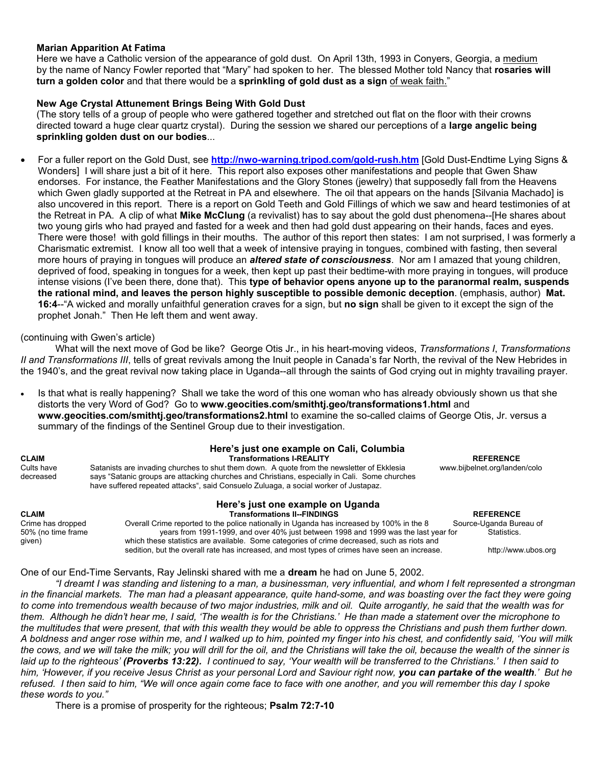#### **Marian Apparition At Fatima**

Here we have a Catholic version of the appearance of gold dust. On April 13th, 1993 in Conyers, Georgia, a medium by the name of Nancy Fowler reported that "Mary" had spoken to her. The blessed Mother told Nancy that **rosaries will turn a golden color** and that there would be a **sprinkling of gold dust as a sign** of weak faith."

#### **New Age Crystal Attunement Brings Being With Gold Dust**

 (The story tells of a group of people who were gathered together and stretched out flat on the floor with their crowns directed toward a huge clear quartz crystal). During the session we shared our perceptions of a **large angelic being sprinkling golden dust on our bodies**...

• For a fuller report on the Gold Dust, see **<http://nwo-warning.tripod.com/gold-rush.htm>** [Gold Dust-Endtime Lying Signs & Wonders] I will share just a bit of it here. This report also exposes other manifestations and people that Gwen Shaw endorses. For instance, the Feather Manifestations and the Glory Stones (jewelry) that supposedly fall from the Heavens which Gwen gladly supported at the Retreat in PA and elsewhere. The oil that appears on the hands [Silvania Machado] is also uncovered in this report. There is a report on Gold Teeth and Gold Fillings of which we saw and heard testimonies of at the Retreat in PA. A clip of what **Mike McClung** (a revivalist) has to say about the gold dust phenomena--[He shares about two young girls who had prayed and fasted for a week and then had gold dust appearing on their hands, faces and eyes. There were those! with gold fillings in their mouths. The author of this report then states: I am not surprised, I was formerly a Charismatic extremist. I know all too well that a week of intensive praying in tongues, combined with fasting, then several more hours of praying in tongues will produce an *altered state of consciousness*. Nor am I amazed that young children, deprived of food, speaking in tongues for a week, then kept up past their bedtime-with more praying in tongues, will produce intense visions (I've been there, done that). This **type of behavior opens anyone up to the paranormal realm, suspends the rational mind, and leaves the person highly susceptible to possible demonic deception**. (emphasis, author) **Mat. 16:4**--"A wicked and morally unfaithful generation craves for a sign, but **no sign** shall be given to it except the sign of the prophet Jonah." Then He left them and went away.

#### (continuing with Gwen's article)

 What will the next move of God be like? George Otis Jr., in his heart-moving videos, *Transformations I*, *Transformations II and Transformations III*, tells of great revivals among the Inuit people in Canada's far North, the revival of the New Hebrides in the 1940's, and the great revival now taking place in Uganda--all through the saints of God crying out in mighty travailing prayer.

• Is that what is really happening? Shall we take the word of this one woman who has already obviously shown us that she distorts the very Word of God? Go to **www.geocities.com/smithtj.geo/transformations1.html** and **www.geocities.com/smithtj.geo/transformations2.html** to examine the so-called claims of George Otis, Jr. versus a summary of the findings of the Sentinel Group due to their investigation.

| <b>CLAIM</b><br>Cults have<br>decreased | Here's just one example on Cali, Columbia<br><b>Transformations I-REALITY</b><br>Satanists are invading churches to shut them down. A quote from the newsletter of Ekklesia<br>says "Satanic groups are attacking churches and Christians, especially in Cali. Some churches<br>have suffered repeated attacks", said Consuelo Zuluaga, a social worker of Justapaz. | <b>REFERENCE</b><br>www.bijbelnet.org/landen/colo |
|-----------------------------------------|----------------------------------------------------------------------------------------------------------------------------------------------------------------------------------------------------------------------------------------------------------------------------------------------------------------------------------------------------------------------|---------------------------------------------------|
| <b>CLAIM</b><br>Crime has dropped       | Here's just one example on Uganda<br><b>Transformations II--FINDINGS</b><br>Overall Crime reported to the police nationally in Uganda has increased by 100% in the 8                                                                                                                                                                                                 | <b>REFERENCE</b><br>Source-Uganda Bureau of       |
| 50% (no time frame<br>given)            | years from 1991-1999, and over 40% just between 1998 and 1999 was the last year for<br>which these statistics are available. Some categories of crime decreased, such as riots and<br>sedition, but the overall rate has increased, and most types of crimes have seen an increase.                                                                                  | Statistics.<br>http://www.ubos.org                |

One of our End-Time Servants, Ray Jelinski shared with me a **dream** he had on June 5, 2002.

 *"I dreamt I was standing and listening to a man, a businessman, very influential, and whom I felt represented a strongman in the financial markets. The man had a pleasant appearance, quite hand-some, and was boasting over the fact they were going to come into tremendous wealth because of two major industries, milk and oil. Quite arrogantly, he said that the wealth was for them. Although he didn't hear me, I said, 'The wealth is for the Christians.' He than made a statement over the microphone to the multitudes that were present, that with this wealth they would be able to oppress the Christians and push them further down. A boldness and anger rose within me, and I walked up to him, pointed my finger into his chest, and confidently said, 'You will milk the cows, and we will take the milk; you will drill for the oil, and the Christians will take the oil, because the wealth of the sinner is laid up to the righteous' (Proverbs 13:22). I continued to say, 'Your wealth will be transferred to the Christians.' I then said to him, 'However, if you receive Jesus Christ as your personal Lord and Saviour right now, you can partake of the wealth.' But he refused. I then said to him, "We will once again come face to face with one another, and you will remember this day I spoke these words to you."* 

There is a promise of prosperity for the righteous; **Psalm 72:7-10**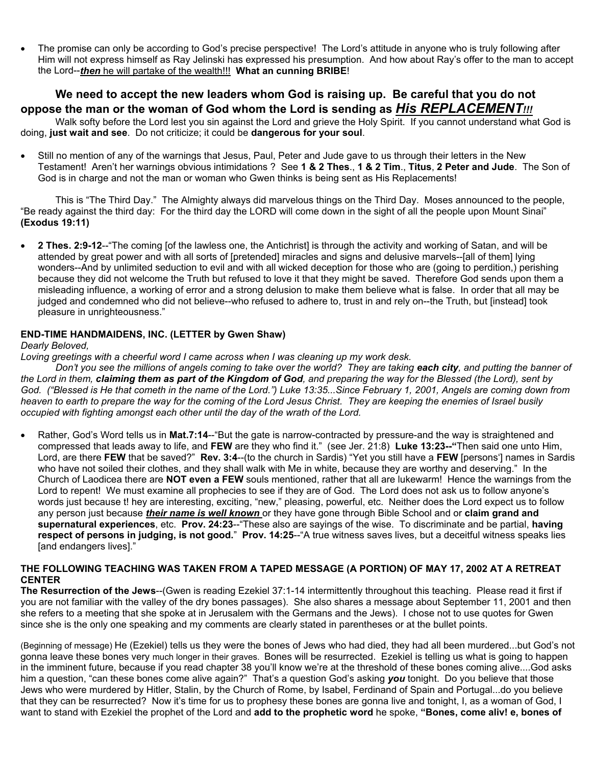• The promise can only be according to God's precise perspective! The Lord's attitude in anyone who is truly following after Him will not express himself as Ray Jelinski has expressed his presumption. And how about Ray's offer to the man to accept the Lord--*then* he will partake of the wealth!!! **What an cunning BRIBE**!

# **We need to accept the new leaders whom God is raising up. Be careful that you do not oppose the man or the woman of God whom the Lord is sending as** *His REPLACEMENT!!!*

 Walk softy before the Lord lest you sin against the Lord and grieve the Holy Spirit. If you cannot understand what God is doing, **just wait and see**. Do not criticize; it could be **dangerous for your soul**.

• Still no mention of any of the warnings that Jesus, Paul, Peter and Jude gave to us through their letters in the New Testament! Aren't her warnings obvious intimidations ? See **1 & 2 Thes**., **1 & 2 Tim**., **Titus**, **2 Peter and Jude**. The Son of God is in charge and not the man or woman who Gwen thinks is being sent as His Replacements!

This is "The Third Day." The Almighty always did marvelous things on the Third Day. Moses announced to the people, "Be ready against the third day: For the third day the LORD will come down in the sight of all the people upon Mount Sinai" **(Exodus 19:11)** 

• **2 Thes. 2:9-12**--"The coming [of the lawless one, the Antichrist] is through the activity and working of Satan, and will be attended by great power and with all sorts of [pretended] miracles and signs and delusive marvels--[all of them] lying wonders--And by unlimited seduction to evil and with all wicked deception for those who are (going to perdition,) perishing because they did not welcome the Truth but refused to love it that they might be saved. Therefore God sends upon them a misleading influence, a working of error and a strong delusion to make them believe what is false. In order that all may be judged and condemned who did not believe--who refused to adhere to, trust in and rely on--the Truth, but [instead] took pleasure in unrighteousness."

# **END-TIME HANDMAIDENS, INC. (LETTER by Gwen Shaw)**

*Dearly Beloved,* 

*Loving greetings with a cheerful word I came across when I was cleaning up my work desk.* 

 *Don't you see the millions of angels coming to take over the world? They are taking each city, and putting the banner of the Lord in them, claiming them as part of the Kingdom of God, and preparing the way for the Blessed (the Lord), sent by God. ("Blessed is He that cometh in the name of the Lord.") Luke 13:35...Since February 1, 2001, Angels are coming down from heaven to earth to prepare the way for the coming of the Lord Jesus Christ. They are keeping the enemies of Israel busily occupied with fighting amongst each other until the day of the wrath of the Lord.* 

• Rather, God's Word tells us in **Mat.7:14**--"But the gate is narrow-contracted by pressure-and the way is straightened and compressed that leads away to life, and **FEW** are they who find it." (see Jer. 21:8) **Luke 13:23--"**Then said one unto Him, Lord, are there FEW that be saved?" Rev. 3:4--(to the church in Sardis) "Yet you still have a FEW [persons'] names in Sardis who have not soiled their clothes, and they shall walk with Me in white, because they are worthy and deserving." In the Church of Laodicea there are **NOT even a FEW** souls mentioned, rather that all are lukewarm! Hence the warnings from the Lord to repent! We must examine all prophecies to see if they are of God. The Lord does not ask us to follow anyone's words just because t! hey are interesting, exciting, "new," pleasing, powerful, etc. Neither does the Lord expect us to follow any person just because *their name is well known* or they have gone through Bible School and or **claim grand and supernatural experiences**, etc. **Prov. 24:23**--"These also are sayings of the wise. To discriminate and be partial, **having respect of persons in judging, is not good.**" **Prov. 14:25**--"A true witness saves lives, but a deceitful witness speaks lies [and endangers lives]."

#### **THE FOLLOWING TEACHING WAS TAKEN FROM A TAPED MESSAGE (A PORTION) OF MAY 17, 2002 AT A RETREAT CENTER**

**The Resurrection of the Jews**--(Gwen is reading Ezekiel 37:1-14 intermittently throughout this teaching. Please read it first if you are not familiar with the valley of the dry bones passages). She also shares a message about September 11, 2001 and then she refers to a meeting that she spoke at in Jerusalem with the Germans and the Jews). I chose not to use quotes for Gwen since she is the only one speaking and my comments are clearly stated in parentheses or at the bullet points.

(Beginning of message) He (Ezekiel) tells us they were the bones of Jews who had died, they had all been murdered...but God's not gonna leave these bones very much longer in their graves. Bones will be resurrected. Ezekiel is telling us what is going to happen in the imminent future, because if you read chapter 38 you'll know we're at the threshold of these bones coming alive....God asks him a question, "can these bones come alive again?" That's a question God's asking *you* tonight. Do you believe that those Jews who were murdered by Hitler, Stalin, by the Church of Rome, by Isabel, Ferdinand of Spain and Portugal...do you believe that they can be resurrected? Now it's time for us to prophesy these bones are gonna live and tonight, I, as a woman of God, I want to stand with Ezekiel the prophet of the Lord and **add to the prophetic word** he spoke, **"Bones, come aliv! e, bones of**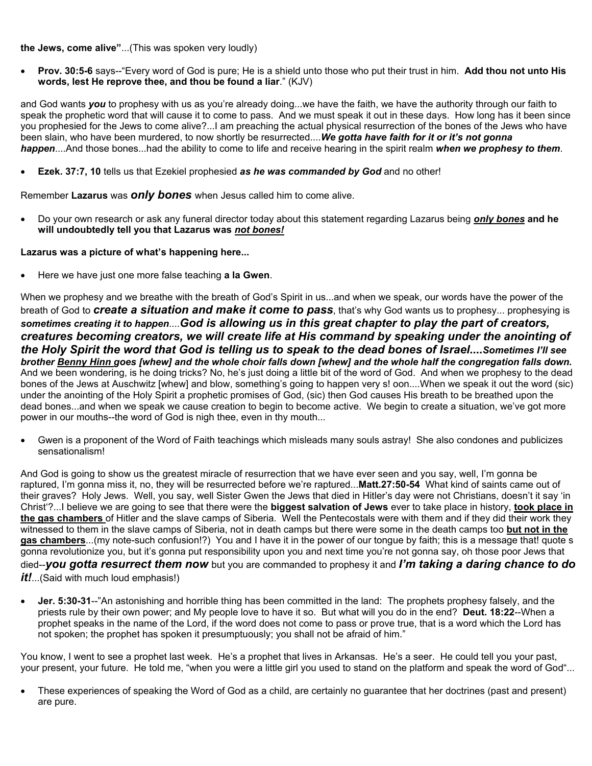**the Jews, come alive"**...(This was spoken very loudly)

• **Prov. 30:5-6** says--"Every word of God is pure; He is a shield unto those who put their trust in him. **Add thou not unto His words, lest He reprove thee, and thou be found a liar**." (KJV)

and God wants **you** to prophesy with us as you're already doing...we have the faith, we have the authority through our faith to speak the prophetic word that will cause it to come to pass. And we must speak it out in these days. How long has it been since you prophesied for the Jews to come alive?...I am preaching the actual physical resurrection of the bones of the Jews who have been slain, who have been murdered, to now shortly be resurrected....*We gotta have faith for it or it's not gonna happen*....And those bones...had the ability to come to life and receive hearing in the spirit realm *when we prophesy to them*.

• **Ezek. 37:7, 10** tells us that Ezekiel prophesied *as he was commanded by God* and no other!

Remember **Lazarus** was *only bones* when Jesus called him to come alive.

• Do your own research or ask any funeral director today about this statement regarding Lazarus being *only bones* **and he will undoubtedly tell you that Lazarus was** *not bones!* 

# **Lazarus was a picture of what's happening here...**

• Here we have just one more false teaching **a la Gwen**.

When we prophesy and we breathe with the breath of God's Spirit in us...and when we speak, our words have the power of the breath of God to *create a situation and make it come to pass*, that's why God wants us to prophesy... prophesying is *sometimes creating it to happen*....*God is allowing us in this great chapter to play the part of creators, creatures becoming creators, we will create life at His command by speaking under the anointing of the Holy Spirit the word that God is telling us to speak to the dead bones of Israel....Sometimes I'll see brother Benny Hinn goes [whew] and the whole choir falls down [whew] and the whole half the congregation falls down.*  And we been wondering, is he doing tricks? No, he's just doing a little bit of the word of God. And when we prophesy to the dead bones of the Jews at Auschwitz [whew] and blow, something's going to happen very s! oon....When we speak it out the word (sic) under the anointing of the Holy Spirit a prophetic promises of God, (sic) then God causes His breath to be breathed upon the dead bones...and when we speak we cause creation to begin to become active. We begin to create a situation, we've got more power in our mouths--the word of God is nigh thee, even in thy mouth...

• Gwen is a proponent of the Word of Faith teachings which misleads many souls astray! She also condones and publicizes sensationalism!

And God is going to show us the greatest miracle of resurrection that we have ever seen and you say, well, I'm gonna be raptured, I'm gonna miss it, no, they will be resurrected before we're raptured...**Matt.27:50-54** What kind of saints came out of their graves? Holy Jews. Well, you say, well Sister Gwen the Jews that died in Hitler's day were not Christians, doesn't it say 'in Christ'?...I believe we are going to see that there were the **biggest salvation of Jews** ever to take place in history, **took place in the gas chambers** of Hitler and the slave camps of Siberia. Well the Pentecostals were with them and if they did their work they witnessed to them in the slave camps of Siberia, not in death camps but there were some in the death camps too **but not in the gas chambers**...(my note-such confusion!?) You and I have it in the power of our tongue by faith; this is a message that! quote s gonna revolutionize you, but it's gonna put responsibility upon you and next time you're not gonna say, oh those poor Jews that died--*you gotta resurrect them now* but you are commanded to prophesy it and *I'm taking a daring chance to do it!...*(Said with much loud emphasis!)

• **Jer. 5:30-31**--"An astonishing and horrible thing has been committed in the land: The prophets prophesy falsely, and the priests rule by their own power; and My people love to have it so. But what will you do in the end? **Deut. 18:22**--When a prophet speaks in the name of the Lord, if the word does not come to pass or prove true, that is a word which the Lord has not spoken; the prophet has spoken it presumptuously; you shall not be afraid of him."

You know, I went to see a prophet last week. He's a prophet that lives in Arkansas. He's a seer. He could tell you your past, your present, your future. He told me, "when you were a little girl you used to stand on the platform and speak the word of God"...

• These experiences of speaking the Word of God as a child, are certainly no guarantee that her doctrines (past and present) are pure.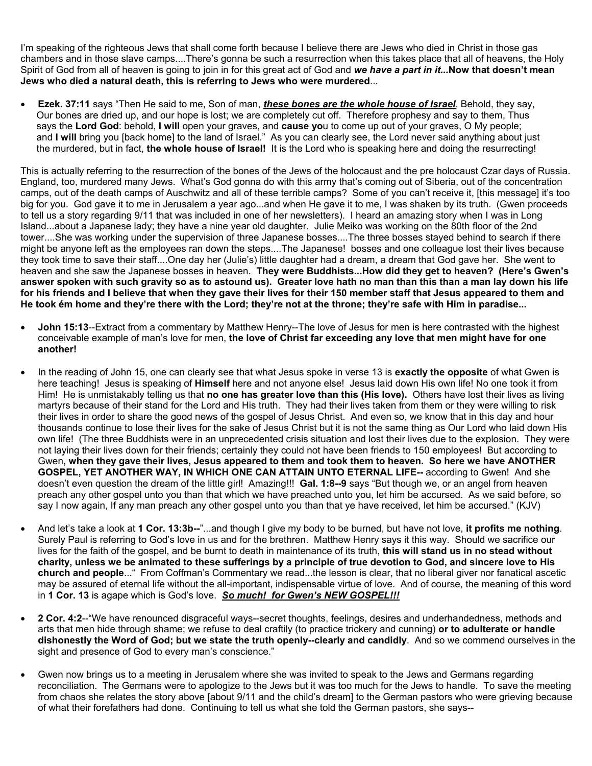I'm speaking of the righteous Jews that shall come forth because I believe there are Jews who died in Christ in those gas chambers and in those slave camps....There's gonna be such a resurrection when this takes place that all of heavens, the Holy Spirit of God from all of heaven is going to join in for this great act of God and *we have a part in it...***Now that doesn't mean Jews who died a natural death, this is referring to Jews who were murdered**...

• **Ezek. 37:11** says "Then He said to me, Son of man, *these bones are the whole house of Israel*, Behold, they say, Our bones are dried up, and our hope is lost; we are completely cut off. Therefore prophesy and say to them, Thus says the **Lord God**: behold, **I will** open your graves, and **cause yo**u to come up out of your graves, O My people; and **I will** bring you [back home] to the land of Israel." As you can clearly see, the Lord never said anything about just the murdered, but in fact, **the whole house of Israel!** It is the Lord who is speaking here and doing the resurrecting!

This is actually referring to the resurrection of the bones of the Jews of the holocaust and the pre holocaust Czar days of Russia. England, too, murdered many Jews. What's God gonna do with this army that's coming out of Siberia, out of the concentration camps, out of the death camps of Auschwitz and all of these terrible camps? Some of you can't receive it, [this message] it's too big for you. God gave it to me in Jerusalem a year ago...and when He gave it to me, I was shaken by its truth. (Gwen proceeds to tell us a story regarding 9/11 that was included in one of her newsletters). I heard an amazing story when I was in Long Island...about a Japanese lady; they have a nine year old daughter. Julie Meiko was working on the 80th floor of the 2nd tower....She was working under the supervision of three Japanese bosses....The three bosses stayed behind to search if there might be anyone left as the employees ran down the steps....The Japanese! bosses and one colleague lost their lives because they took time to save their staff....One day her (Julie's) little daughter had a dream, a dream that God gave her. She went to heaven and she saw the Japanese bosses in heaven. **They were Buddhists...How did they get to heaven? (Here's Gwen's answer spoken with such gravity so as to astound us). Greater love hath no man than this than a man lay down his life for his friends and I believe that when they gave their lives for their 150 member staff that Jesus appeared to them and He took ém home and they're there with the Lord; they're not at the throne; they're safe with Him in paradise...** 

- **John 15:13**--Extract from a commentary by Matthew Henry--The love of Jesus for men is here contrasted with the highest conceivable example of man's love for men, **the love of Christ far exceeding any love that men might have for one another!**
- In the reading of John 15, one can clearly see that what Jesus spoke in verse 13 is **exactly the opposite** of what Gwen is here teaching! Jesus is speaking of **Himself** here and not anyone else! Jesus laid down His own life! No one took it from Him! He is unmistakably telling us that **no one has greater love than this (His love).** Others have lost their lives as living martyrs because of their stand for the Lord and His truth. They had their lives taken from them or they were willing to risk their lives in order to share the good news of the gospel of Jesus Christ. And even so, we know that in this day and hour thousands continue to lose their lives for the sake of Jesus Christ but it is not the same thing as Our Lord who laid down His own life! (The three Buddhists were in an unprecedented crisis situation and lost their lives due to the explosion. They were not laying their lives down for their friends; certainly they could not have been friends to 150 employees! But according to Gwen**, when they gave their lives, Jesus appeared to them and took them to heaven. So here we have ANOTHER GOSPEL, YET ANOTHER WAY, IN WHICH ONE CAN ATTAIN UNTO ETERNAL LIFE--** according to Gwen! And she doesn't even question the dream of the little girl! Amazing!!! **Gal. 1:8--9** says "But though we, or an angel from heaven preach any other gospel unto you than that which we have preached unto you, let him be accursed. As we said before, so say I now again, If any man preach any other gospel unto you than that ye have received, let him be accursed." (KJV)
- And let's take a look at **1 Cor. 13:3b--**"...and though I give my body to be burned, but have not love, **it profits me nothing**. Surely Paul is referring to God's love in us and for the brethren. Matthew Henry says it this way. Should we sacrifice our lives for the faith of the gospel, and be burnt to death in maintenance of its truth, **this will stand us in no stead without charity, unless we be animated to these sufferings by a principle of true devotion to God, and sincere love to His church and people**..." From Coffman's Commentary we read...the lesson is clear, that no liberal giver nor fanatical ascetic may be assured of eternal life without the all-important, indispensable virtue of love. And of course, the meaning of this word in **1 Cor. 13** is agape which is God's love. *So much! for Gwen's NEW GOSPEL!!!*
- **2 Cor. 4:2**--"We have renounced disgraceful ways--secret thoughts, feelings, desires and underhandedness, methods and arts that men hide through shame; we refuse to deal craftily (to practice trickery and cunning) **or to adulterate or handle dishonestly the Word of God; but we state the truth openly--clearly and candidly**. And so we commend ourselves in the sight and presence of God to every man's conscience."
- Gwen now brings us to a meeting in Jerusalem where she was invited to speak to the Jews and Germans regarding reconciliation. The Germans were to apologize to the Jews but it was too much for the Jews to handle. To save the meeting from chaos she relates the story above [about 9/11 and the child's dream] to the German pastors who were grieving because of what their forefathers had done. Continuing to tell us what she told the German pastors, she says--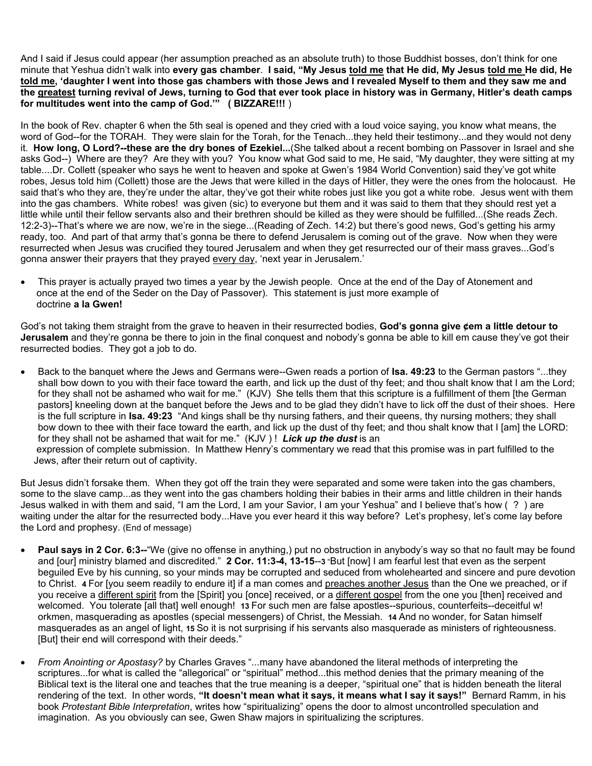And I said if Jesus could appear (her assumption preached as an absolute truth) to those Buddhist bosses, don't think for one minute that Yeshua didn't walk into **every gas chamber**. **I said, "My Jesus told me that He did, My Jesus told me He did, He told me, 'daughter I went into those gas chambers with those Jews and I revealed Myself to them and they saw me and the greatest turning revival of Jews, turning to God that ever took place in history was in Germany, Hitler's death camps for multitudes went into the camp of God.'" ( BIZZARE!!!** )

In the book of Rev. chapter 6 when the 5th seal is opened and they cried with a loud voice saying, you know what means, the word of God--for the TORAH. They were slain for the Torah, for the Tenach...they held their testimony...and they would not deny it. **How long, O Lord?--these are the dry bones of Ezekiel...**(She talked about a recent bombing on Passover in Israel and she asks God--) Where are they? Are they with you? You know what God said to me, He said, "My daughter, they were sitting at my table....Dr. Collett (speaker who says he went to heaven and spoke at Gwen's 1984 World Convention) said they've got white robes, Jesus told him (Collett) those are the Jews that were killed in the days of Hitler, they were the ones from the holocaust. He said that's who they are, they're under the altar, they've got their white robes just like you got a white robe. Jesus went with them into the gas chambers. White robes! was given (sic) to everyone but them and it was said to them that they should rest yet a little while until their fellow servants also and their brethren should be killed as they were should be fulfilled...(She reads Zech. 12:2-3)--That's where we are now, we're in the siege...(Reading of Zech. 14:2) but there's good news, God's getting his army ready, too. And part of that army that's gonna be there to defend Jerusalem is coming out of the grave. Now when they were resurrected when Jesus was crucified they toured Jerusalem and when they get resurrected our of their mass graves...God's gonna answer their prayers that they prayed every day, 'next year in Jerusalem.'

• This prayer is actually prayed two times a year by the Jewish people. Once at the end of the Day of Atonement and once at the end of the Seder on the Day of Passover). This statement is just more example of doctrine **a la Gwen!** 

God's not taking them straight from the grave to heaven in their resurrected bodies, **God's gonna give ¢em a little detour to Jerusalem** and they're gonna be there to join in the final conquest and nobody's gonna be able to kill em cause they've got their resurrected bodies. They got a job to do.

• Back to the banquet where the Jews and Germans were--Gwen reads a portion of **Isa. 49:23** to the German pastors "...they shall bow down to you with their face toward the earth, and lick up the dust of thy feet; and thou shalt know that I am the Lord; for they shall not be ashamed who wait for me." (KJV) She tells them that this scripture is a fulfillment of them [the German pastors] kneeling down at the banquet before the Jews and to be glad they didn't have to lick off the dust of their shoes. Here is the full scripture in **Isa. 49:23** "And kings shall be thy nursing fathers, and their queens, thy nursing mothers; they shall bow down to thee with their face toward the earth, and lick up the dust of thy feet; and thou shalt know that I [am] the LORD: for they shall not be ashamed that wait for me." (KJV ) ! *Lick up the dust* is an expression of complete submission. In Matthew Henry's commentary we read that this promise was in part fulfilled to the Jews, after their return out of captivity.

But Jesus didn't forsake them. When they got off the train they were separated and some were taken into the gas chambers, some to the slave camp...as they went into the gas chambers holding their babies in their arms and little children in their hands Jesus walked in with them and said, "I am the Lord, I am your Savior, I am your Yeshua" and I believe that's how ( ? ) are waiting under the altar for the resurrected body...Have you ever heard it this way before? Let's prophesy, let's come lay before the Lord and prophesy. (End of message)

- **Paul says in 2 Cor. 6:3--** "We (give no offense in anything,) put no obstruction in anybody's way so that no fault may be found and [our] ministry blamed and discredited." **2 Cor. 11:3-4, 13-15**--**3** "But [now] I am fearful lest that even as the serpent beguiled Eve by his cunning, so your minds may be corrupted and seduced from wholehearted and sincere and pure devotion to Christ. **4** For [you seem readily to endure it] if a man comes and preaches another Jesus than the One we preached, or if you receive a different spirit from the [Spirit] you [once] received, or a different gospel from the one you [then] received and welcomed. You tolerate [all that] well enough! **13** For such men are false apostles--spurious, counterfeits--deceitful w! orkmen, masquerading as apostles (special messengers) of Christ, the Messiah. **14** And no wonder, for Satan himself masquerades as an angel of light, **15** So it is not surprising if his servants also masquerade as ministers of righteousness. [But] their end will correspond with their deeds."
- *From Anointing or Apostasy?* by Charles Graves "*...*many have abandoned the literal methods of interpreting the scriptures...for what is called the "allegorical" or "spiritual" method...this method denies that the primary meaning of the Biblical text is the literal one and teaches that the true meaning is a deeper, "spiritual one" that is hidden beneath the literal rendering of the text. In other words, **"It doesn't mean what it says, it means what I say it says!"** Bernard Ramm, in his book *Protestant Bible Interpretation*, writes how "spiritualizing" opens the door to almost uncontrolled speculation and imagination. As you obviously can see, Gwen Shaw majors in spiritualizing the scriptures.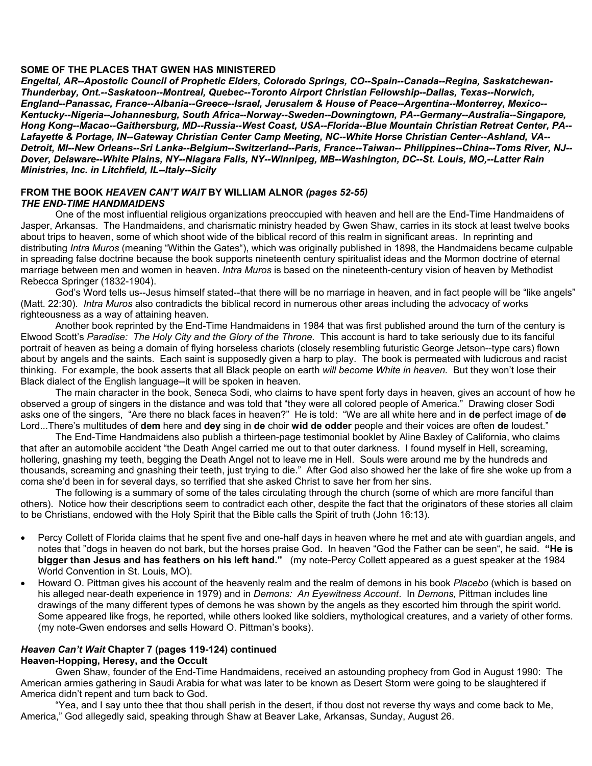# **SOME OF THE PLACES THAT GWEN HAS MINISTERED**

*Engeltal, AR--Apostolic Council of Prophetic Elders, Colorado Springs, CO--Spain--Canada--Regina, Saskatchewan-Thunderbay, Ont.--Saskatoon--Montreal, Quebec--Toronto Airport Christian Fellowship--Dallas, Texas--Norwich, England--Panassac, France--Albania--Greece--Israel, Jerusalem & House of Peace--Argentina--Monterrey, Mexico-- Kentucky--Nigeria--Johannesburg, South Africa--Norway--Sweden--Downingtown, PA--Germany--Australia--Singapore, Hong Kong--Macao--Gaithersburg, MD--Russia--West Coast, USA--Florida--Blue Mountain Christian Retreat Center, PA-- Lafayette & Portage, IN--Gateway Christian Center Camp Meeting, NC--White Horse Christian Center--Ashland, VA-- Detroit, MI--New Orleans--Sri Lanka--Belgium--Switzerland--Paris, France--Taiwan-- Philippines--China--Toms River, NJ-- Dover, Delaware--White Plains, NY--Niagara Falls, NY--Winnipeg, MB--Washington, DC--St. Louis, MO,--Latter Rain Ministries, Inc. in Litchfield, IL--Italy--Sicily* 

#### **FROM THE BOOK** *HEAVEN CAN'T WAIT* **BY WILLIAM ALNOR** *(pages 52-55) THE END-TIME HANDMAIDENS*

One of the most influential religious organizations preoccupied with heaven and hell are the End-Time Handmaidens of Jasper, Arkansas. The Handmaidens, and charismatic ministry headed by Gwen Shaw, carries in its stock at least twelve books about trips to heaven, some of which shoot wide of the biblical record of this realm in significant areas. In reprinting and distributing *Intra Muros* (meaning "Within the Gates"), which was originally published in 1898, the Handmaidens became culpable in spreading false doctrine because the book supports nineteenth century spiritualist ideas and the Mormon doctrine of eternal marriage between men and women in heaven. *Intra Muros* is based on the nineteenth-century vision of heaven by Methodist Rebecca Springer (1832-1904).

 God's Word tells us--Jesus himself stated--that there will be no marriage in heaven, and in fact people will be "like angels" (Matt. 22:30). *Intra Muros* also contradicts the biblical record in numerous other areas including the advocacy of works righteousness as a way of attaining heaven.

 Another book reprinted by the End-Time Handmaidens in 1984 that was first published around the turn of the century is Elwood Scott's *Paradise: The Holy City and the Glory of the Throne.* This account is hard to take seriously due to its fanciful portrait of heaven as being a domain of flying horseless chariots (closely resembling futuristic George Jetson--type cars) flown about by angels and the saints. Each saint is supposedly given a harp to play. The book is permeated with ludicrous and racist thinking. For example, the book asserts that all Black people on earth *will become White in heaven.* But they won't lose their Black dialect of the English language--it will be spoken in heaven.

 The main character in the book, Seneca Sodi, who claims to have spent forty days in heaven, gives an account of how he observed a group of singers in the distance and was told that "they were all colored people of America." Drawing closer Sodi asks one of the singers, "Are there no black faces in heaven?" He is told: "We are all white here and in **de** perfect image of **de** Lord...There's multitudes of **dem** here and **dey** sing in **de** choir **wid de odder** people and their voices are often **de** loudest."

 The End-Time Handmaidens also publish a thirteen-page testimonial booklet by Aline Baxley of California, who claims that after an automobile accident "the Death Angel carried me out to that outer darkness. I found myself in Hell, screaming, hollering, gnashing my teeth, begging the Death Angel not to leave me in Hell. Souls were around me by the hundreds and thousands, screaming and gnashing their teeth, just trying to die." After God also showed her the lake of fire she woke up from a coma she'd been in for several days, so terrified that she asked Christ to save her from her sins.

 The following is a summary of some of the tales circulating through the church (some of which are more fanciful than others). Notice how their descriptions seem to contradict each other, despite the fact that the originators of these stories all claim to be Christians, endowed with the Holy Spirit that the Bible calls the Spirit of truth (John 16:13).

- Percy Collett of Florida claims that he spent five and one-half days in heaven where he met and ate with guardian angels, and notes that "dogs in heaven do not bark, but the horses praise God. In heaven "God the Father can be seen", he said. **"He is bigger than Jesus and has feathers on his left hand."** (my note-Percy Collett appeared as a guest speaker at the 1984 World Convention in St. Louis, MO).
- Howard O. Pittman gives his account of the heavenly realm and the realm of demons in his book *Placebo* (which is based on his alleged near-death experience in 1979) and in *Demons: An Eyewitness Account*. In *Demons,* Pittman includes line drawings of the many different types of demons he was shown by the angels as they escorted him through the spirit world. Some appeared like frogs, he reported, while others looked like soldiers, mythological creatures, and a variety of other forms. (my note-Gwen endorses and sells Howard O. Pittman's books).

#### *Heaven Can't Wait* **Chapter 7 (pages 119-124) continued Heaven-Hopping, Heresy, and the Occult**

 Gwen Shaw, founder of the End-Time Handmaidens, received an astounding prophecy from God in August 1990: The American armies gathering in Saudi Arabia for what was later to be known as Desert Storm were going to be slaughtered if America didn't repent and turn back to God.

 "Yea, and I say unto thee that thou shall perish in the desert, if thou dost not reverse thy ways and come back to Me, America," God allegedly said, speaking through Shaw at Beaver Lake, Arkansas, Sunday, August 26.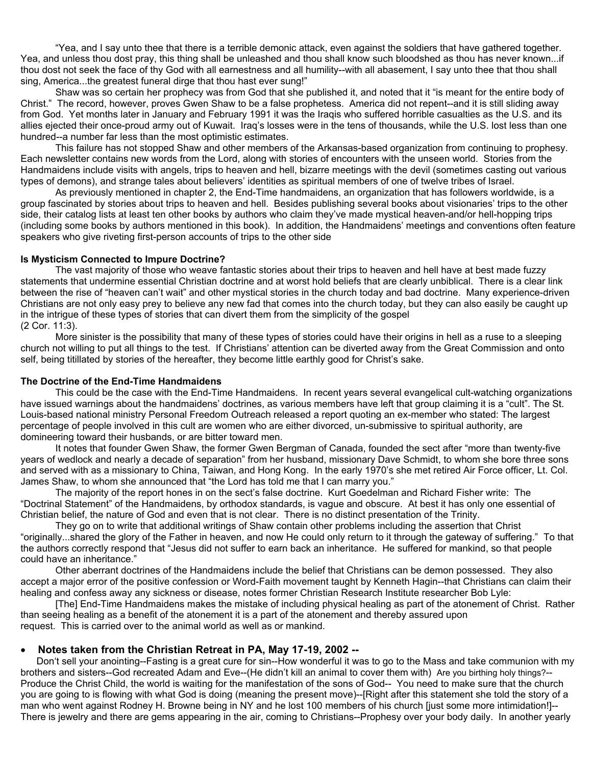"Yea, and I say unto thee that there is a terrible demonic attack, even against the soldiers that have gathered together. Yea, and unless thou dost pray, this thing shall be unleashed and thou shall know such bloodshed as thou has never known...if thou dost not seek the face of thy God with all earnestness and all humility--with all abasement, I say unto thee that thou shall sing, America...the greatest funeral dirge that thou hast ever sung!"

 Shaw was so certain her prophecy was from God that she published it, and noted that it "is meant for the entire body of Christ." The record, however, proves Gwen Shaw to be a false prophetess. America did not repent--and it is still sliding away from God. Yet months later in January and February 1991 it was the Iraqis who suffered horrible casualties as the U.S. and its allies ejected their once-proud army out of Kuwait. Iraq's losses were in the tens of thousands, while the U.S. lost less than one hundred--a number far less than the most optimistic estimates.

 This failure has not stopped Shaw and other members of the Arkansas-based organization from continuing to prophesy. Each newsletter contains new words from the Lord, along with stories of encounters with the unseen world. Stories from the Handmaidens include visits with angels, trips to heaven and hell, bizarre meetings with the devil (sometimes casting out various types of demons), and strange tales about believers' identities as spiritual members of one of twelve tribes of Israel.

 As previously mentioned in chapter 2, the End-Time handmaidens, an organization that has followers worldwide, is a group fascinated by stories about trips to heaven and hell. Besides publishing several books about visionaries' trips to the other side, their catalog lists at least ten other books by authors who claim they've made mystical heaven-and/or hell-hopping trips (including some books by authors mentioned in this book). In addition, the Handmaidens' meetings and conventions often feature speakers who give riveting first-person accounts of trips to the other side

#### **Is Mysticism Connected to Impure Doctrine?**

The vast majority of those who weave fantastic stories about their trips to heaven and hell have at best made fuzzy statements that undermine essential Christian doctrine and at worst hold beliefs that are clearly unbiblical. There is a clear link between the rise of "heaven can't wait" and other mystical stories in the church today and bad doctrine. Many experience-driven Christians are not only easy prey to believe any new fad that comes into the church today, but they can also easily be caught up in the intrigue of these types of stories that can divert them from the simplicity of the gospel (2 Cor. 11:3).

 More sinister is the possibility that many of these types of stories could have their origins in hell as a ruse to a sleeping church not willing to put all things to the test. If Christians' attention can be diverted away from the Great Commission and onto self, being titillated by stories of the hereafter, they become little earthly good for Christ's sake.

#### **The Doctrine of the End-Time Handmaidens**

This could be the case with the End-Time Handmaidens. In recent years several evangelical cult-watching organizations have issued warnings about the handmaidens' doctrines, as various members have left that group claiming it is a "cult". The St. Louis-based national ministry Personal Freedom Outreach released a report quoting an ex-member who stated: The largest percentage of people involved in this cult are women who are either divorced, un-submissive to spiritual authority, are domineering toward their husbands, or are bitter toward men.

 It notes that founder Gwen Shaw, the former Gwen Bergman of Canada, founded the sect after "more than twenty-five years of wedlock and nearly a decade of separation" from her husband, missionary Dave Schmidt, to whom she bore three sons and served with as a missionary to China, Taiwan, and Hong Kong. In the early 1970's she met retired Air Force officer, Lt. Col. James Shaw, to whom she announced that "the Lord has told me that I can marry you."

 The majority of the report hones in on the sect's false doctrine. Kurt Goedelman and Richard Fisher write: The "Doctrinal Statement" of the Handmaidens, by orthodox standards, is vague and obscure. At best it has only one essential of Christian belief, the nature of God and even that is not clear. There is no distinct presentation of the Trinity.

 They go on to write that additional writings of Shaw contain other problems including the assertion that Christ "originally...shared the glory of the Father in heaven, and now He could only return to it through the gateway of suffering." To that the authors correctly respond that "Jesus did not suffer to earn back an inheritance. He suffered for mankind, so that people could have an inheritance."

 Other aberrant doctrines of the Handmaidens include the belief that Christians can be demon possessed. They also accept a major error of the positive confession or Word-Faith movement taught by Kenneth Hagin--that Christians can claim their healing and confess away any sickness or disease, notes former Christian Research Institute researcher Bob Lyle:

 [The] End-Time Handmaidens makes the mistake of including physical healing as part of the atonement of Christ. Rather than seeing healing as a benefit of the atonement it is a part of the atonement and thereby assured upon request. This is carried over to the animal world as well as or mankind.

#### • **Notes taken from the Christian Retreat in PA, May 17-19, 2002 --**

 Don't sell your anointing--Fasting is a great cure for sin--How wonderful it was to go to the Mass and take communion with my brothers and sisters--God recreated Adam and Eve--(He didn't kill an animal to cover them with) Are you birthing holy things?-- Produce the Christ Child, the world is waiting for the manifestation of the sons of God-- You need to make sure that the church you are going to is flowing with what God is doing (meaning the present move)--[Right after this statement she told the story of a man who went against Rodney H. Browne being in NY and he lost 100 members of his church [just some more intimidation!]-- There is jewelry and there are gems appearing in the air, coming to Christians--Prophesy over your body daily. In another yearly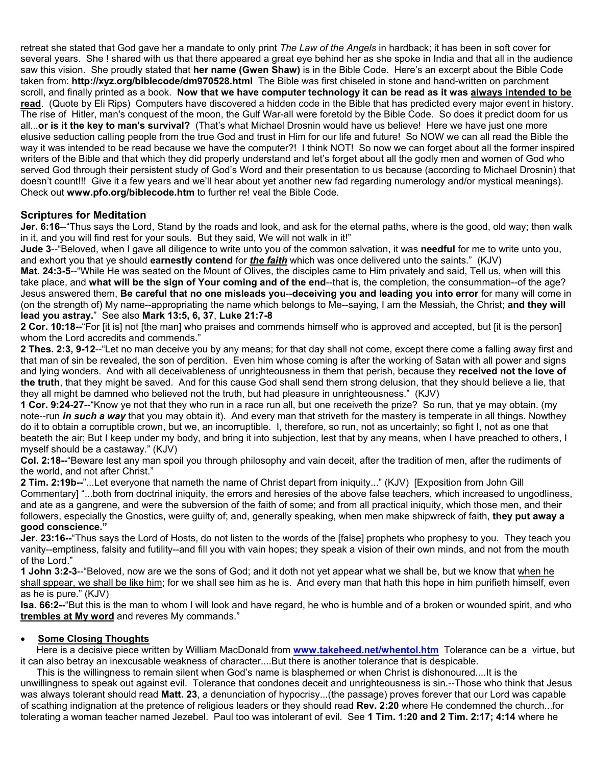retreat she stated that God gave her a mandate to only print *The Law of the Angels* in hardback; it has been in soft cover for several years. She ! shared with us that there appeared a great eye behind her as she spoke in India and that all in the audience saw this vision. She proudly stated that **her name (Gwen Shaw)** is in the Bible Code. Here's an excerpt about the Bible Code taken from: **http://xyz.org/biblecode/dm970528.html** The Bible was first chiseled in stone and hand-written on parchment scroll, and finally printed as a book. **Now that we have computer technology it can be read as it was always intended to be read**. (Quote by Eli Rips) Computers have discovered a hidden code in the Bible that has predicted every major event in history. The rise of Hitler, man's conquest of the moon, the Gulf War-all were foretold by the Bible Code. So does it predict doom for us all...**or is it the key to man's survival?** (That's what Michael Drosnin would have us believe!Here we have just one more elusive seduction calling people from the true God and trust in Him for our life and future! So NOW we can all read the Bible the way it was intended to be read because we have the computer?! I think NOT! So now we can forget about all the former inspired writers of the Bible and that which they did properly understand and let's forget about all the godly men and women of God who served God through their persistent study of God's Word and their presentation to us because (according to Michael Drosnin) that doesn't count!!! Give it a few years and we'll hear about yet another new fad regarding numerology and/or mystical meanings). Check out **www.pfo.org/biblecode.htm** to further re! veal the Bible Code.

# **Scriptures for Meditation**

**Jer. 6:16**--"Thus says the Lord, Stand by the roads and look, and ask for the eternal paths, where is the good, old way; then walk in it, and you will find rest for your souls. But they said, We will not walk in it!"

**Jude 3**--"Beloved, when I gave all diligence to write unto you of the common salvation, it was **needful** for me to write unto you, and exhort you that ye should **earnestly contend** for *the faith* which was once delivered unto the saints." (KJV)

**Mat. 24:3-5**--"While He was seated on the Mount of Olives, the disciples came to Him privately and said, Tell us, when will this take place, and **what will be the sign of Your coming and of the end**--that is, the completion, the consummation--of the age? Jesus answered them, **Be careful that no one misleads you**--**deceiving you and leading you into error** for many will come in (on the strength of) My name--appropriating the name which belongs to Me--saying, I am the Messiah, the Christ; **and they will lead you astray.**"See also **Mark 13:5, 6, 37**, **Luke 21:7-8** 

**2 Cor. 10:18--**"For [it is] not [the man] who praises and commends himself who is approved and accepted, but [it is the person] whom the Lord accredits and commends."

**2 Thes. 2:3, 9-12**--"Let no man deceive you by any means; for that day shall not come, except there come a falling away first and that man of sin be revealed, the son of perdition. Even him whose coming is after the working of Satan with all power and signs and lying wonders. And with all deceivableness of unrighteousness in them that perish, because they **received not the love of the truth**, that they might be saved. And for this cause God shall send them strong delusion, that they should believe a lie, that they all might be damned who believed not the truth, but had pleasure in unrighteousness." (KJV)

**1 Cor. 9:24-27**--"Know ye not that they who run in a race run all, but one receiveth the prize? So run, that ye may obtain. (my note--run *in such a way* that you may obtain it). And every man that striveth for the mastery is temperate in all things. Nowthey do it to obtain a corruptible crown, but we, an incorruptible. I, therefore, so run, not as uncertainly; so fight I, not as one that beateth the air; But I keep under my body, and bring it into subjection, lest that by any means, when I have preached to others, I myself should be a castaway." (KJV)

**Col. 2:18--**"Beware lest any man spoil you through philosophy and vain deceit, after the tradition of men, after the rudiments of the world, and not after Christ."

**2 Tim. 2:19b--**"...Let everyone that nameth the name of Christ depart from iniquity..." (KJV) [Exposition from John Gill Commentary] "...both from doctrinal iniquity, the errors and heresies of the above false teachers, which increased to ungodliness, and ate as a gangrene, and were the subversion of the faith of some; and from all practical iniquity, which those men, and their followers, especially the Gnostics, were guilty of; and, generally speaking, when men make shipwreck of faith, **they put away a good conscience."** 

**Jer. 23:16--**"Thus says the Lord of Hosts, do not listen to the words of the [false] prophets who prophesy to you. They teach you vanity--emptiness, falsity and futility--and fill you with vain hopes; they speak a vision of their own minds, and not from the mouth of the Lord."

**1 John 3:2-3**--"Beloved, now are we the sons of God; and it doth not yet appear what we shall be, but we know that when he shall sppear, we shall be like him; for we shall see him as he is. And every man that hath this hope in him purifieth himself, even as he is pure." (KJV)

**Isa. 66:2--**"But this is the man to whom I will look and have regard, he who is humble and of a broken or wounded spirit, and who **trembles at My word** and reveres My commands."

# • **Some Closing Thoughts**

 Here is a decisive piece written by William MacDonald from **<www.takeheed.net/whentol.htm>**Tolerance can be a virtue, but it can also betray an inexcusable weakness of character....But there is another tolerance that is despicable.

 This is the willingness to remain silent when God's name is blasphemed or when Christ is dishonoured....It is the unwillingness to speak out against evil. Tolerance that condones deceit and unrighteousness is sin.--Those who think that Jesus was always tolerant should read **Matt. 23**, a denunciation of hypocrisy...(the passage) proves forever that our Lord was capable of scathing indignation at the pretence of religious leaders or they should read **Rev. 2:20** where He condemned the church...for tolerating a woman teacher named Jezebel. Paul too was intolerant of evil. See **1 Tim. 1:20 and 2 Tim. 2:17; 4:14** where he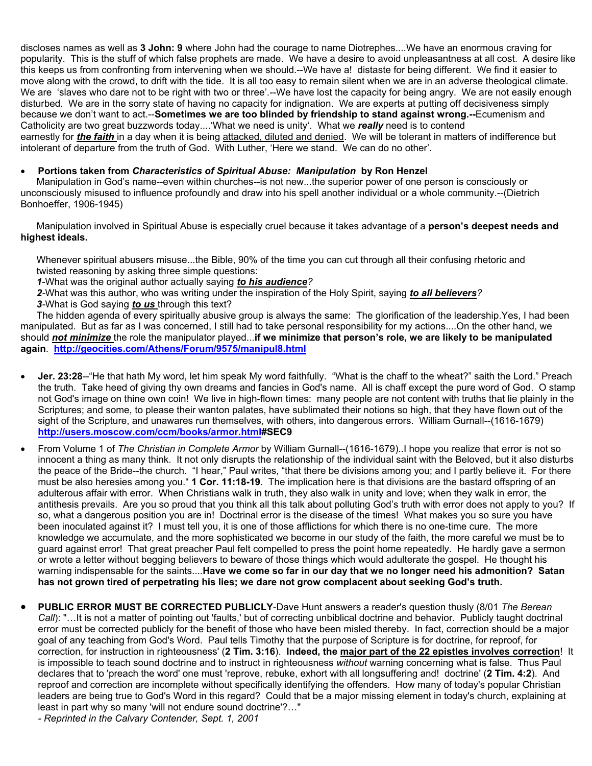discloses names as well as **3 John: 9** where John had the courage to name Diotrephes....We have an enormous craving for popularity. This is the stuff of which false prophets are made. We have a desire to avoid unpleasantness at all cost. A desire like this keeps us from confronting from intervening when we should.--We have a! distaste for being different. We find it easier to move along with the crowd, to drift with the tide. It is all too easy to remain silent when we are in an adverse theological climate. We are 'slaves who dare not to be right with two or three'.--We have lost the capacity for being angry. We are not easily enough disturbed. We are in the sorry state of having no capacity for indignation. We are experts at putting off decisiveness simply because we don't want to act.--**Sometimes we are too blinded by friendship to stand against wrong.--**Ecumenism and Catholicity are two great buzzwords today....'What we need is unity'. What we *really* need is to contend earnestly for *the faith* in a day when it is being attacked, diluted and denied. We will be tolerant in matters of indifference but intolerant of departure from the truth of God. With Luther, 'Here we stand. We can do no other'.

# • **Portions taken from** *Characteristics of Spiritual Abuse: Manipulation* **by Ron Henzel**

 Manipulation in God's name--even within churches--is not new...the superior power of one person is consciously or unconsciously misused to influence profoundly and draw into his spell another individual or a whole community.--(Dietrich Bonhoeffer, 1906-1945)

 Manipulation involved in Spiritual Abuse is especially cruel because it takes advantage of a **person's deepest needs and highest ideals.** 

 Whenever spiritual abusers misuse...the Bible, 90% of the time you can cut through all their confusing rhetoric and twisted reasoning by asking three simple questions:

 *1*-What was the original author actually saying *to his audience?* 

 *2-*What was this author, who was writing under the inspiration of the Holy Spirit, saying *to all believers?* 

 *3-*What is God saying *to us* through this text?

 The hidden agenda of every spiritually abusive group is always the same: The glorification of the leadership.Yes, I had been manipulated. But as far as I was concerned, I still had to take personal responsibility for my actions....On the other hand, we should *not minimize* the role the manipulator played...**if we minimize that person's role, we are likely to be manipulated again**. **<http://geocities.com/Athens/Forum/9575/manipul8.html>**

- **Jer. 23:28**--"He that hath My word, let him speak My word faithfully. "What is the chaff to the wheat?" saith the Lord." Preach the truth. Take heed of giving thy own dreams and fancies in God's name. All is chaff except the pure word of God. O stamp not God's image on thine own coin! We live in high-flown times: many people are not content with truths that lie plainly in the Scriptures; and some, to please their wanton palates, have sublimated their notions so high, that they have flown out of the sight of the Scripture, and unawares run themselves, with others, into dangerous errors. William Gurnall--(1616-1679) **<http://users.moscow.com/ccm/books/armor.html>#SEC9**
- From Volume 1 of *The Christian in Complete Armor* by William Gurnall--(1616-1679)..I hope you realize that error is not so innocent a thing as many think. It not only disrupts the relationship of the individual saint with the Beloved, but it also disturbs the peace of the Bride--the church. "I hear," Paul writes, "that there be divisions among you; and I partly believe it. For there must be also heresies among you." **1 Cor. 11:18-19**. The implication here is that divisions are the bastard offspring of an adulterous affair with error. When Christians walk in truth, they also walk in unity and love; when they walk in error, the antithesis prevails. Are you so proud that you think all this talk about polluting God's truth with error does not apply to you? If so, what a dangerous position you are in! Doctrinal error is the disease of the times! What makes you so sure you have been inoculated against it? I must tell you, it is one of those afflictions for which there is no one-time cure. The more knowledge we accumulate, and the more sophisticated we become in our study of the faith, the more careful we must be to guard against error! That great preacher Paul felt compelled to press the point home repeatedly. He hardly gave a sermon or wrote a letter without begging believers to beware of those things which would adulterate the gospel. He thought his warning indispensable for the saints....**Have we come so far in our day that we no longer need his admonition? Satan has not grown tired of perpetrating his lies; we dare not grow complacent about seeking God's truth.**
- **PUBLIC ERROR MUST BE CORRECTED PUBLICLY**-Dave Hunt answers a reader's question thusly (8/01 *The Berean Call*): "…It is not a matter of pointing out 'faults,' but of correcting unbiblical doctrine and behavior. Publicly taught doctrinal error must be corrected publicly for the benefit of those who have been misled thereby. In fact, correction should be a major goal of any teaching from God's Word. Paul tells Timothy that the purpose of Scripture is for doctrine, for reproof, for correction, for instruction in righteousness' (**2 Tim. 3:16**). **Indeed, the major part of the 22 epistles involves correction**! It is impossible to teach sound doctrine and to instruct in righteousness *without* warning concerning what is false. Thus Paul declares that to 'preach the word' one must 'reprove, rebuke, exhort with all longsuffering and! doctrine' (**2 Tim. 4:2**). And reproof and correction are incomplete without specifically identifying the offenders. How many of today's popular Christian leaders are being true to God's Word in this regard? Could that be a major missing element in today's church, explaining at least in part why so many 'will not endure sound doctrine'?…"
	- *Reprinted in the Calvary Contender, Sept. 1, 2001*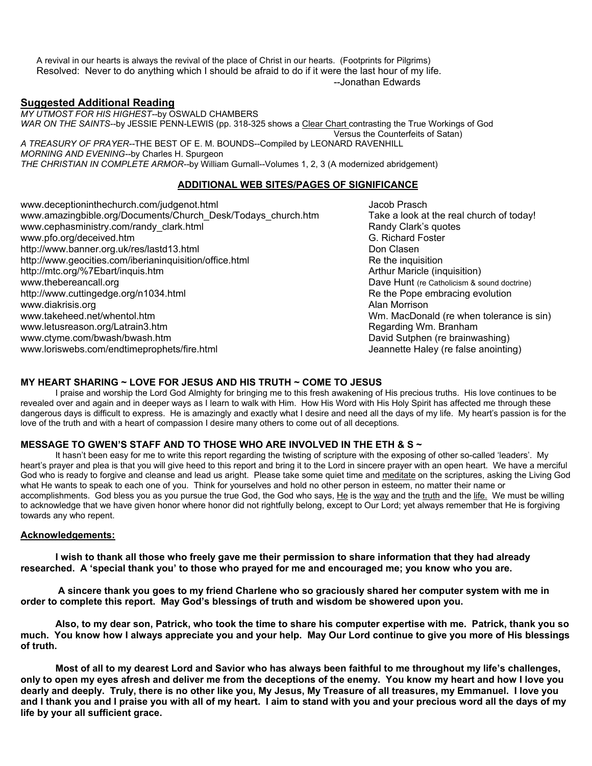A revival in our hearts is always the revival of the place of Christ in our hearts. (Footprints for Pilgrims) Resolved: Never to do anything which I should be afraid to do if it were the last hour of my life. --Jonathan Edwards

# **Suggested Additional Reading**

*MY UTMOST FOR HIS HIGHEST--*by OSWALD CHAMBERS *WAR ON THE SAINTS--*by JESSIE PENN-LEWIS (pp. 318-325 shows a Clear Chart contrasting the True Workings of God Versus the Counterfeits of Satan) *A TREASURY OF PRAYER--*THE BEST OF E. M. BOUNDS--Compiled by LEONARD RAVENHILL *MORNING AND EVENING--*by Charles H. Spurgeon *THE CHRISTIAN IN COMPLETE ARMOR--*by William Gurnall--Volumes 1, 2, 3 (A modernized abridgement)

# **ADDITIONAL WEB SITES/PAGES OF SIGNIFICANCE**

www.deceptioninthechurch.com/judgenot.html Jacob Prasch www.amazingbible.org/Documents/Church\_Desk/Todays\_church.htm www.cephasministry.com/randy\_clark.html Randy Clark.html Randy Clark's quotes www.pfo.org/deceived.htm G. Richard Foster http://www.banner.org.uk/res/lastd13.html download by Don Clasen http://www.geocities.com/iberianinquisition/office.html Re the inquisition http://mtc.org/%7Ebart/inquis.htm **Arthur Maricle (inquisition)** Arthur Maricle (inquisition) www.thebereancall.org **Dave Hunt (re Catholicism & sound doctrine)** Dave Hunt (re Catholicism & sound doctrine) http://www.cuttingedge.org/n1034.html Reflexere is a set of the Pope embracing evolution www.diakrisis.org Alan Morrison and the Control of the Control of the Control of the Alan Morrison www.takeheed.net/whentol.htm WMM NacDonald (re when tolerance is sin) www.letusreason.org/Latrain3.htm **Regarding Wm. Branham** www.ctyme.com/bwash/bwash.htm **David Sutphen (re brainwashing)** bayid Sutphen (re brainwashing) www.loriswebs.com/endtimeprophets/fire.html and the state of the state Haley (re false anointing)

#### **MY HEART SHARING ~ LOVE FOR JESUS AND HIS TRUTH ~ COME TO JESUS**

I praise and worship the Lord God Almighty for bringing me to this fresh awakening of His precious truths. His love continues to be revealed over and again and in deeper ways as I learn to walk with Him. How His Word with His Holy Spirit has affected me through these dangerous days is difficult to express. He is amazingly and exactly what I desire and need all the days of my life. My heart's passion is for the love of the truth and with a heart of compassion I desire many others to come out of all deceptions*.* 

#### **MESSAGE TO GWEN'S STAFF AND TO THOSE WHO ARE INVOLVED IN THE ETH & S ~**

It hasn't been easy for me to write this report regarding the twisting of scripture with the exposing of other so-called 'leaders'. My heart's prayer and plea is that you will give heed to this report and bring it to the Lord in sincere prayer with an open heart. We have a merciful God who is ready to forgive and cleanse and lead us aright. Please take some quiet time and meditate on the scriptures, asking the Living God what He wants to speak to each one of you. Think for yourselves and hold no other person in esteem, no matter their name or accomplishments. God bless you as you pursue the true God, the God who says, He is the way and the truth and the life. We must be willing to acknowledge that we have given honor where honor did not rightfully belong, except to Our Lord; yet always remember that He is forgiving towards any who repent.

#### **Acknowledgements:**

**I wish to thank all those who freely gave me their permission to share information that they had already researched. A 'special thank you' to those who prayed for me and encouraged me; you know who you are.** 

 **A sincere thank you goes to my friend Charlene who so graciously shared her computer system with me in order to complete this report. May God's blessings of truth and wisdom be showered upon you.** 

**Also, to my dear son, Patrick, who took the time to share his computer expertise with me. Patrick, thank you so much. You know how I always appreciate you and your help. May Our Lord continue to give you more of His blessings of truth.** 

**Most of all to my dearest Lord and Savior who has always been faithful to me throughout my life's challenges, only to open my eyes afresh and deliver me from the deceptions of the enemy. You know my heart and how I love you dearly and deeply. Truly, there is no other like you, My Jesus, My Treasure of all treasures, my Emmanuel. I love you and I thank you and I praise you with all of my heart. I aim to stand with you and your precious word all the days of my life by your all sufficient grace.**